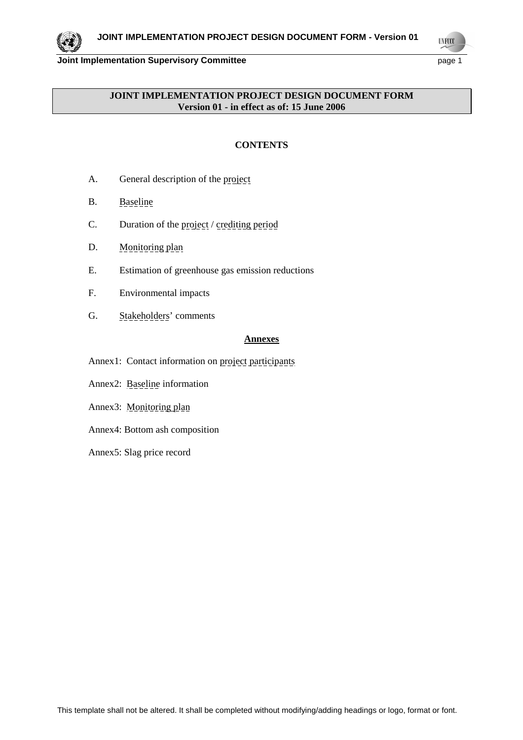**UNFCCC** 

# **JOINT IMPLEMENTATION PROJECT DESIGN DOCUMENT FORM Version 01 - in effect as of: 15 June 2006**

# **CONTENTS**

- A. General description of the project
- B. Baseline
- C. Duration of the project / crediting period
- D. Monitoring plan
- E. Estimation of greenhouse gas emission reductions
- F. Environmental impacts
- G. Stakeholders' comments

# **Annexes**

- Annex1: Contact information on project participants
- Annex2: Baseline information
- Annex3: Monitoring plan
- Annex4: Bottom ash composition
- Annex5: Slag price record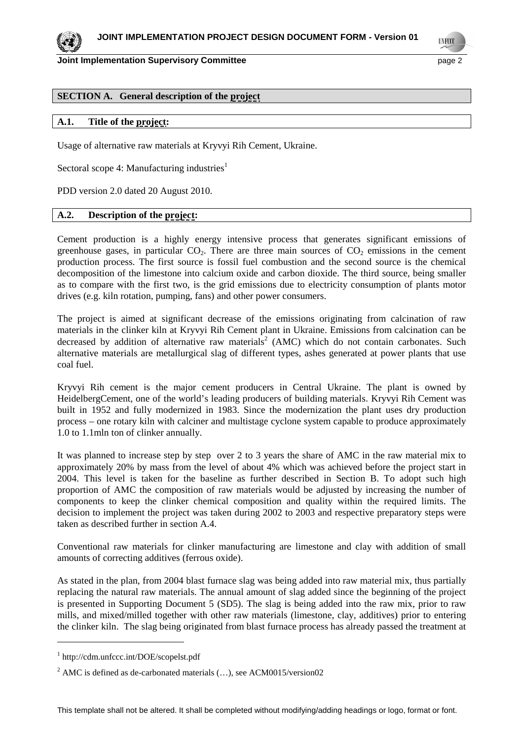**Joint Implementation Supervisory Committee** *page 2* **and** *page 2* **by page 2** 

**UNFCC** 

# **SECTION A. General description of the project**

# **A.1. Title of the project:**

Usage of alternative raw materials at Kryvyi Rih Cement, Ukraine.

Sectoral scope 4: Manufacturing industries<sup>1</sup>

PDD version 2.0 dated 20 August 2010.

# **A.2. Description of the project:**

Cement production is a highly energy intensive process that generates significant emissions of greenhouse gases, in particular  $CO<sub>2</sub>$ . There are three main sources of  $CO<sub>2</sub>$  emissions in the cement production process. The first source is fossil fuel combustion and the second source is the chemical decomposition of the limestone into calcium oxide and carbon dioxide. The third source, being smaller as to compare with the first two, is the grid emissions due to electricity consumption of plants motor drives (e.g. kiln rotation, pumping, fans) and other power consumers.

The project is aimed at significant decrease of the emissions originating from calcination of raw materials in the clinker kiln at Kryvyi Rih Cement plant in Ukraine. Emissions from calcination can be decreased by addition of alternative raw materials<sup>2</sup> (AMC) which do not contain carbonates. Such alternative materials are metallurgical slag of different types, ashes generated at power plants that use coal fuel.

Kryvyi Rih cement is the major cement producers in Central Ukraine. The plant is owned by HeidelbergCement, one of the world's leading producers of building materials. Kryvyi Rih Cement was built in 1952 and fully modernized in 1983. Since the modernization the plant uses dry production process – one rotary kiln with calciner and multistage cyclone system capable to produce approximately 1.0 to 1.1mln ton of clinker annually.

It was planned to increase step by step over 2 to 3 years the share of AMC in the raw material mix to approximately 20% by mass from the level of about 4% which was achieved before the project start in 2004. This level is taken for the baseline as further described in Section B. To adopt such high proportion of AMC the composition of raw materials would be adjusted by increasing the number of components to keep the clinker chemical composition and quality within the required limits. The decision to implement the project was taken during 2002 to 2003 and respective preparatory steps were taken as described further in section A.4.

Conventional raw materials for clinker manufacturing are limestone and clay with addition of small amounts of correcting additives (ferrous oxide).

As stated in the plan, from 2004 blast furnace slag was being added into raw material mix, thus partially replacing the natural raw materials. The annual amount of slag added since the beginning of the project is presented in Supporting Document 5 (SD5). The slag is being added into the raw mix, prior to raw mills, and mixed/milled together with other raw materials (limestone, clay, additives) prior to entering the clinker kiln. The slag being originated from blast furnace process has already passed the treatment at

 $\overline{a}$ 

<sup>1</sup> http://cdm.unfccc.int/DOE/scopelst.pdf

<sup>&</sup>lt;sup>2</sup> AMC is defined as de-carbonated materials  $(...)$ , see ACM0015/version02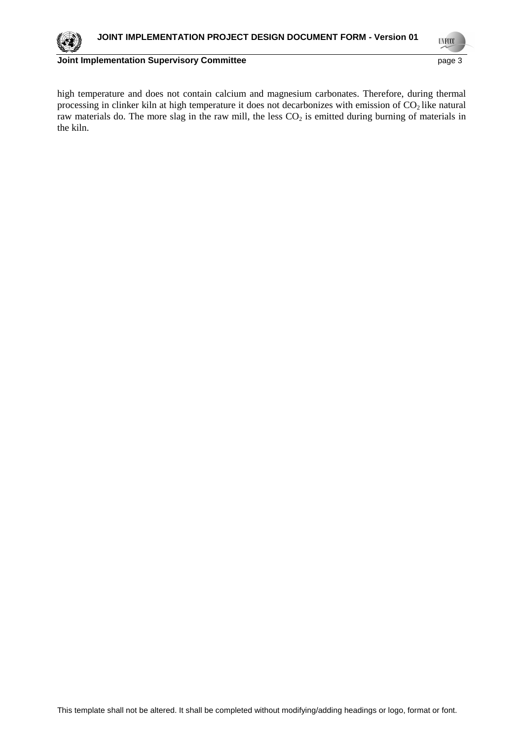**UNFCCC** 

high temperature and does not contain calcium and magnesium carbonates. Therefore, during thermal processing in clinker kiln at high temperature it does not decarbonizes with emission of  $CO<sub>2</sub>$  like natural raw materials do. The more slag in the raw mill, the less CO<sub>2</sub> is emitted during burning of materials in the kiln.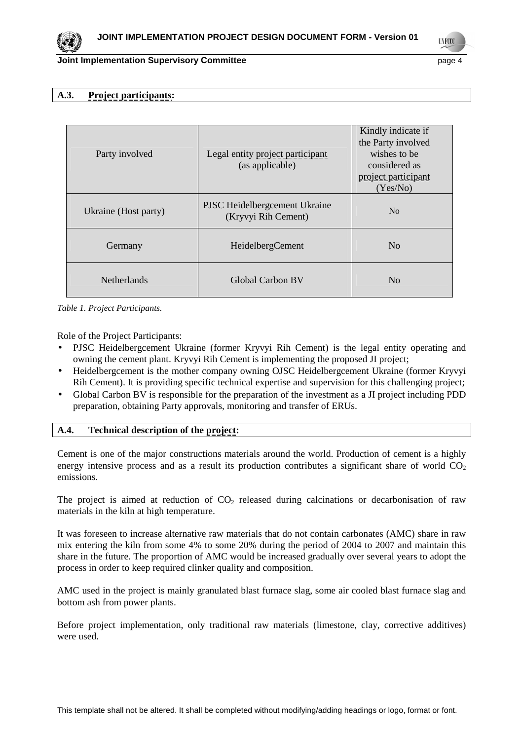# **Joint Implementation Supervisory Committee According to the Committee of the Committee According to the Committee According to the Committee According to the Committee According to the Page 4**

**TNF00** 

# **A.3. Project participants:**

| Party involved       |                                                      | Kindly indicate if<br>the Party involved<br>wishes to be |
|----------------------|------------------------------------------------------|----------------------------------------------------------|
|                      | Legal entity project participant<br>(as applicable)  | considered as<br>project participant<br>(Yes/No)         |
| Ukraine (Host party) | PJSC Heidelbergcement Ukraine<br>(Kryvyi Rih Cement) | N <sub>0</sub>                                           |
| Germany              | HeidelbergCement                                     | No                                                       |
| <b>Netherlands</b>   | Global Carbon BV                                     | No                                                       |

*Table 1. Project Participants.* 

Role of the Project Participants:

- PJSC Heidelbergcement Ukraine (former Kryvyi Rih Cement) is the legal entity operating and owning the cement plant. Kryvyi Rih Cement is implementing the proposed JI project;
- Heidelbergcement is the mother company owning OJSC Heidelbergcement Ukraine (former Kryvyi Rih Cement). It is providing specific technical expertise and supervision for this challenging project;
- Global Carbon BV is responsible for the preparation of the investment as a JI project including PDD preparation, obtaining Party approvals, monitoring and transfer of ERUs.

# **A.4. Technical description of the project:**

Cement is one of the major constructions materials around the world. Production of cement is a highly energy intensive process and as a result its production contributes a significant share of world  $CO<sub>2</sub>$ emissions.

The project is aimed at reduction of  $CO<sub>2</sub>$  released during calcinations or decarbonisation of raw materials in the kiln at high temperature.

It was foreseen to increase alternative raw materials that do not contain carbonates (AMC) share in raw mix entering the kiln from some 4% to some 20% during the period of 2004 to 2007 and maintain this share in the future. The proportion of AMC would be increased gradually over several years to adopt the process in order to keep required clinker quality and composition.

AMC used in the project is mainly granulated blast furnace slag, some air cooled blast furnace slag and bottom ash from power plants.

Before project implementation, only traditional raw materials (limestone, clay, corrective additives) were used.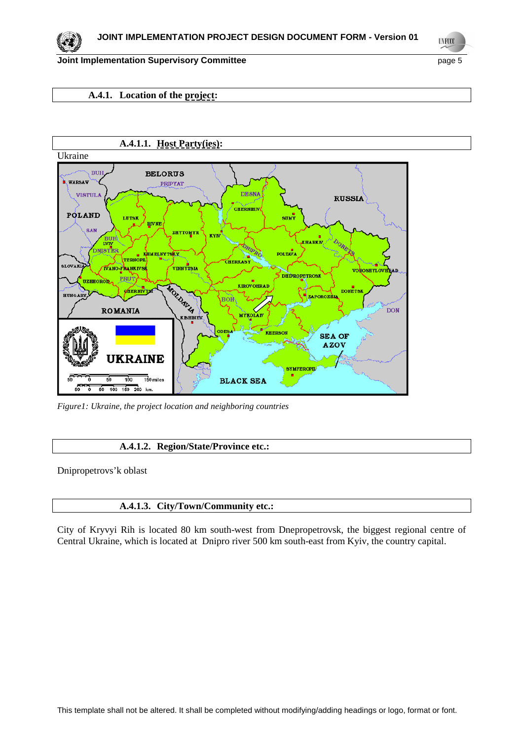**UNFCCC** 

# **A.4.1. Location of the project:**



*Figure1: Ukraine, the project location and neighboring countries* 

# **A.4.1.2. Region/State/Province etc.:**

Dnipropetrovs'k oblast

# **A.4.1.3. City/Town/Community etc.:**

City of Kryvyi Rih is located 80 km south-west from Dnepropetrovsk, the biggest regional centre of Central Ukraine, which is located at Dnipro river 500 km south-east from Kyiv, the country capital.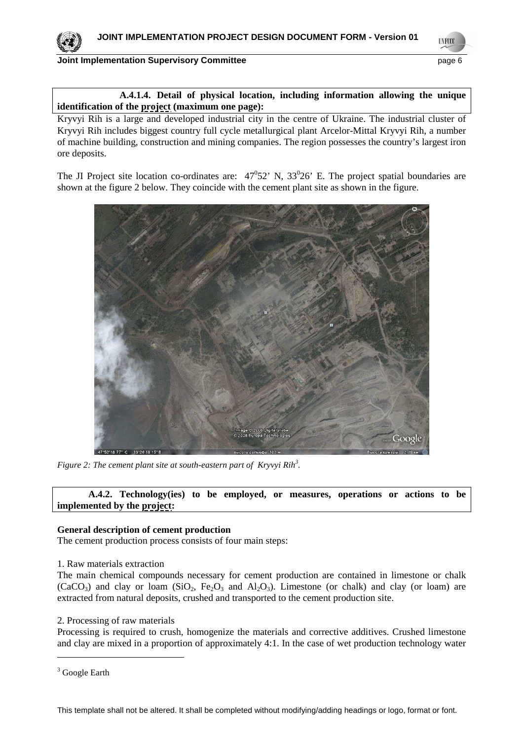# **Joint Implementation Supervisory Committee** *page 6* **and page 6 and page 6 and page 6 and page 6 and page 6 and page 6 and page 6 and page 6 and page 6 and page 6 and page 6 and page 6 and page 6 and page 6 and page 6 and**

**UNFCC** 



Kryvyi Rih is a large and developed industrial city in the centre of Ukraine. The industrial cluster of Kryvyi Rih includes biggest country full cycle metallurgical plant Arcelor-Mittal Kryvyi Rih, a number of machine building, construction and mining companies. The region possesses the country's largest iron ore deposits.

The JI Project site location co-ordinates are:  $47^{\circ}52'$  N,  $33^{\circ}26'$  E. The project spatial boundaries are shown at the figure 2 below. They coincide with the cement plant site as shown in the figure.



*Figure 2: The cement plant site at south-eastern part of Kryvyi Rih<sup>3</sup> .* 

 **A.4.2. Technology(ies) to be employed, or measures, operations or actions to be implemented by the project:**

# **General description of cement production**

The cement production process consists of four main steps:

# 1. Raw materials extraction

The main chemical compounds necessary for cement production are contained in limestone or chalk  $(CaCO<sub>3</sub>)$  and clay or loam  $(SiO<sub>2</sub>, Fe<sub>2</sub>O<sub>3</sub>$  and  $Al<sub>2</sub>O<sub>3</sub>)$ . Limestone (or chalk) and clay (or loam) are extracted from natural deposits, crushed and transported to the cement production site.

# 2. Processing of raw materials

Processing is required to crush, homogenize the materials and corrective additives. Crushed limestone and clay are mixed in a proportion of approximately 4:1. In the case of wet production technology water

 $\overline{a}$ 

<sup>&</sup>lt;sup>3</sup> Google Earth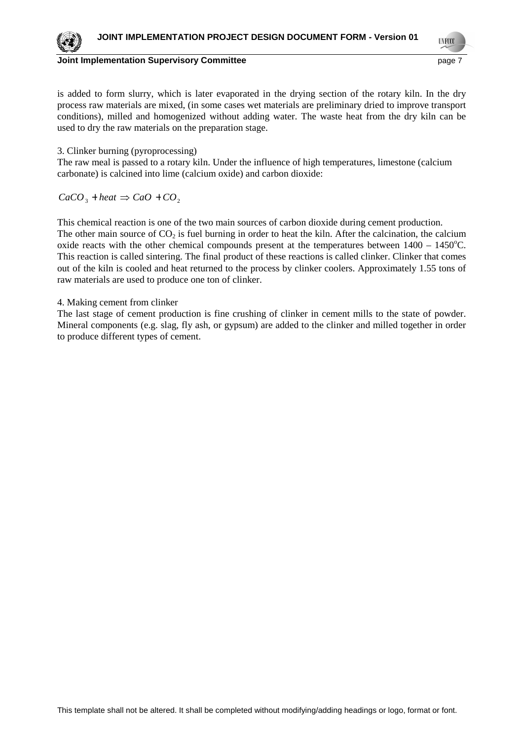

**TNF00** 

is added to form slurry, which is later evaporated in the drying section of the rotary kiln. In the dry process raw materials are mixed, (in some cases wet materials are preliminary dried to improve transport conditions), milled and homogenized without adding water. The waste heat from the dry kiln can be used to dry the raw materials on the preparation stage.

# 3. Clinker burning (pyroprocessing)

The raw meal is passed to a rotary kiln. Under the influence of high temperatures, limestone (calcium carbonate) is calcined into lime (calcium oxide) and carbon dioxide:

 $CaCO<sub>3</sub> + heat \Rightarrow CaO + CO<sub>2</sub>$ 

This chemical reaction is one of the two main sources of carbon dioxide during cement production. The other main source of  $CO<sub>2</sub>$  is fuel burning in order to heat the kiln. After the calcination, the calcium oxide reacts with the other chemical compounds present at the temperatures between  $1400 - 1450^{\circ}$ C. This reaction is called sintering. The final product of these reactions is called clinker. Clinker that comes out of the kiln is cooled and heat returned to the process by clinker coolers. Approximately 1.55 tons of raw materials are used to produce one ton of clinker.

# 4. Making cement from clinker

The last stage of cement production is fine crushing of clinker in cement mills to the state of powder. Mineral components (e.g. slag, fly ash, or gypsum) are added to the clinker and milled together in order to produce different types of cement.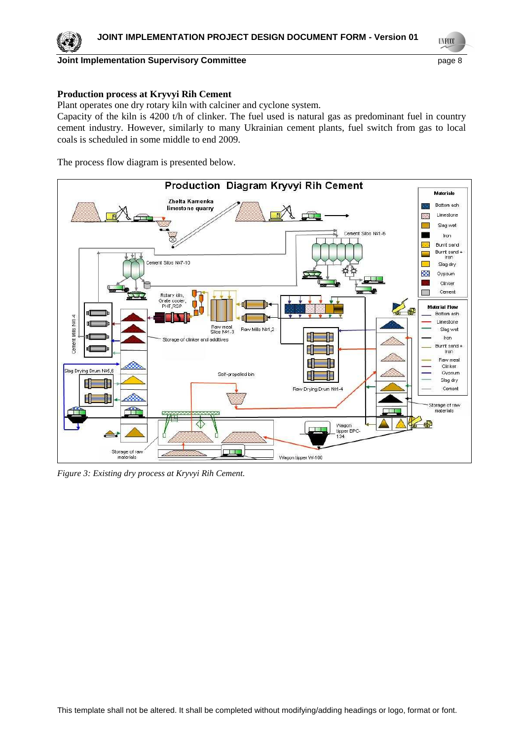

**UNFCCC** 

# **Production process at Kryvyi Rih Cement**

Plant operates one dry rotary kiln with calciner and cyclone system.

Capacity of the kiln is 4200 t/h of clinker. The fuel used is natural gas as predominant fuel in country cement industry. However, similarly to many Ukrainian cement plants, fuel switch from gas to local coals is scheduled in some middle to end 2009.

The process flow diagram is presented below.



*Figure 3: Existing dry process at Kryvyi Rih Cement.*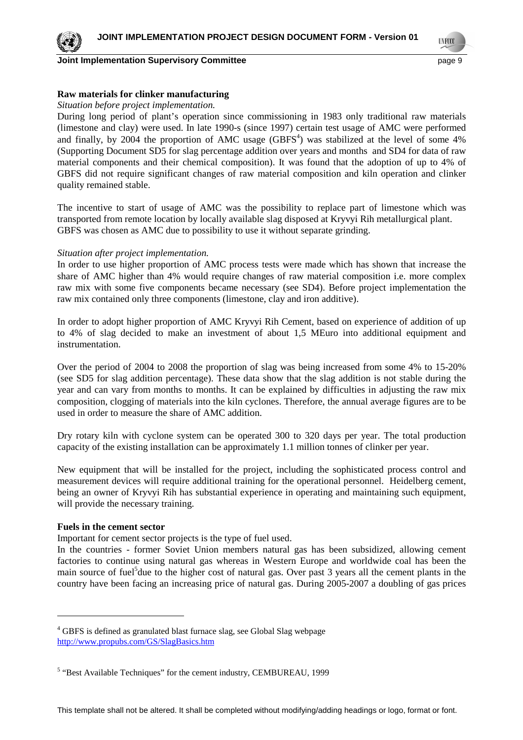

**Joint Implementation Supervisory Committee and Community Community Community Community Community Community Community Community Community Community Community Community Community Community Community Community Community Comm** 

**TNF00** 

# **Raw materials for clinker manufacturing**

# *Situation before project implementation.*

During long period of plant's operation since commissioning in 1983 only traditional raw materials (limestone and clay) were used. In late 1990-s (since 1997) certain test usage of AMC were performed and finally, by 2004 the proportion of AMC usage  $(GBFS<sup>4</sup>)$  was stabilized at the level of some 4% (Supporting Document SD5 for slag percentage addition over years and months and SD4 for data of raw material components and their chemical composition). It was found that the adoption of up to 4% of GBFS did not require significant changes of raw material composition and kiln operation and clinker quality remained stable.

The incentive to start of usage of AMC was the possibility to replace part of limestone which was transported from remote location by locally available slag disposed at Kryvyi Rih metallurgical plant. GBFS was chosen as AMC due to possibility to use it without separate grinding.

# *Situation after project implementation.*

In order to use higher proportion of AMC process tests were made which has shown that increase the share of AMC higher than 4% would require changes of raw material composition i.e. more complex raw mix with some five components became necessary (see SD4). Before project implementation the raw mix contained only three components (limestone, clay and iron additive).

In order to adopt higher proportion of AMC Kryvyi Rih Cement, based on experience of addition of up to 4% of slag decided to make an investment of about 1,5 MEuro into additional equipment and instrumentation.

Over the period of 2004 to 2008 the proportion of slag was being increased from some 4% to 15-20% (see SD5 for slag addition percentage). These data show that the slag addition is not stable during the year and can vary from months to months. It can be explained by difficulties in adjusting the raw mix composition, clogging of materials into the kiln cyclones. Therefore, the annual average figures are to be used in order to measure the share of AMC addition.

Dry rotary kiln with cyclone system can be operated 300 to 320 days per year. The total production capacity of the existing installation can be approximately 1.1 million tonnes of clinker per year.

New equipment that will be installed for the project, including the sophisticated process control and measurement devices will require additional training for the operational personnel. Heidelberg cement, being an owner of Kryvyi Rih has substantial experience in operating and maintaining such equipment, will provide the necessary training.

# **Fuels in the cement sector**

Important for cement sector projects is the type of fuel used.

In the countries - former Soviet Union members natural gas has been subsidized, allowing cement factories to continue using natural gas whereas in Western Europe and worldwide coal has been the main source of fuel<sup>5</sup> due to the higher cost of natural gas. Over past 3 years all the cement plants in the country have been facing an increasing price of natural gas. During 2005-2007 a doubling of gas prices

<sup>&</sup>lt;sup>4</sup> GBFS is defined as granulated blast furnace slag, see Global Slag webpage http://www.propubs.com/GS/SlagBasics.htm

<sup>&</sup>lt;sup>5</sup> "Best Available Techniques" for the cement industry, CEMBUREAU, 1999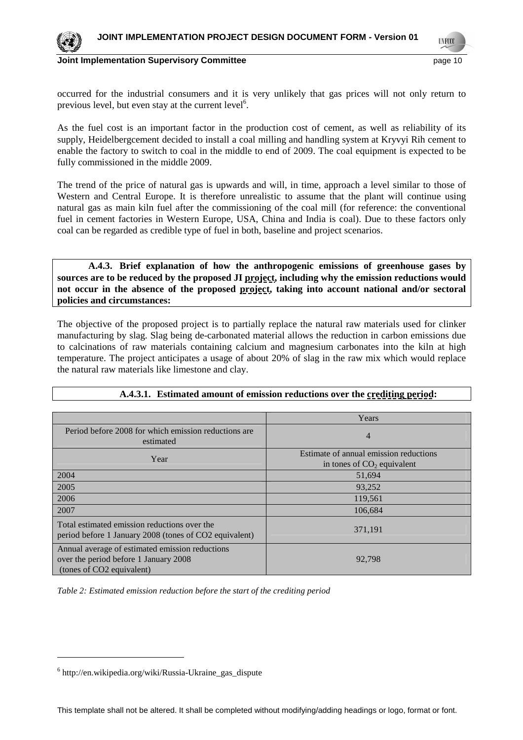

**Joint Implementation Supervisory Committee According to the Control of the Control of the Control of the Control of the Page 10** 

occurred for the industrial consumers and it is very unlikely that gas prices will not only return to previous level, but even stay at the current level<sup>6</sup>.

As the fuel cost is an important factor in the production cost of cement, as well as reliability of its supply, Heidelbergcement decided to install a coal milling and handling system at Kryvyi Rih cement to enable the factory to switch to coal in the middle to end of 2009. The coal equipment is expected to be fully commissioned in the middle 2009.

The trend of the price of natural gas is upwards and will, in time, approach a level similar to those of Western and Central Europe. It is therefore unrealistic to assume that the plant will continue using natural gas as main kiln fuel after the commissioning of the coal mill (for reference: the conventional fuel in cement factories in Western Europe, USA, China and India is coal). Due to these factors only coal can be regarded as credible type of fuel in both, baseline and project scenarios.

 **A.4.3. Brief explanation of how the anthropogenic emissions of greenhouse gases by sources are to be reduced by the proposed JI project, including why the emission reductions would not occur in the absence of the proposed project, taking into account national and/or sectoral policies and circumstances:**

The objective of the proposed project is to partially replace the natural raw materials used for clinker manufacturing by slag. Slag being de-carbonated material allows the reduction in carbon emissions due to calcinations of raw materials containing calcium and magnesium carbonates into the kiln at high temperature. The project anticipates a usage of about 20% of slag in the raw mix which would replace the natural raw materials like limestone and clay.

|                                                                                                                       | Years                                                                  |
|-----------------------------------------------------------------------------------------------------------------------|------------------------------------------------------------------------|
| Period before 2008 for which emission reductions are<br>estimated                                                     | $\overline{4}$                                                         |
| Year                                                                                                                  | Estimate of annual emission reductions<br>in tones of $CO2$ equivalent |
| 2004                                                                                                                  | 51,694                                                                 |
| 2005                                                                                                                  | 93,252                                                                 |
| 2006                                                                                                                  | 119,561                                                                |
| 2007                                                                                                                  | 106,684                                                                |
| Total estimated emission reductions over the<br>period before 1 January 2008 (tones of CO2 equivalent)                | 371,191                                                                |
| Annual average of estimated emission reductions<br>over the period before 1 January 2008<br>(tones of CO2 equivalent) | 92,798                                                                 |

# **A.4.3.1. Estimated amount of emission reductions over the crediting period:**

*Table 2: Estimated emission reduction before the start of the crediting period* 

 $\overline{a}$ 

<sup>6</sup> http://en.wikipedia.org/wiki/Russia-Ukraine\_gas\_dispute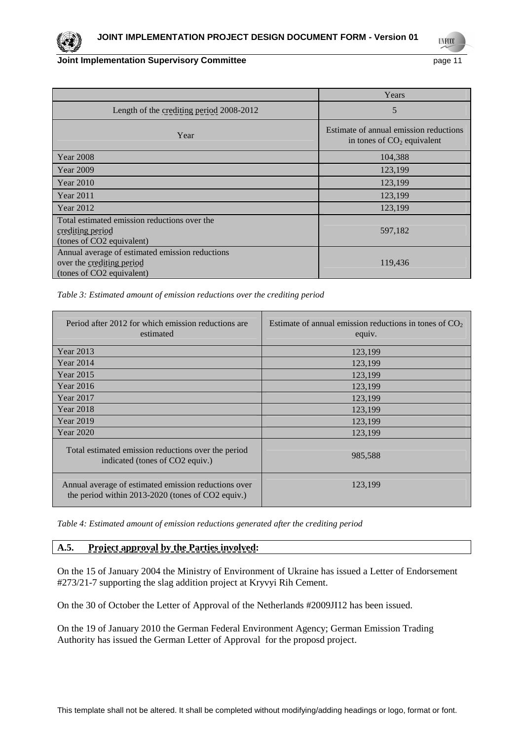**UNFCCC** 

# **Joint Implementation Supervisory Committee** *page* **11**

|                                                                                                           | Years                                                                  |
|-----------------------------------------------------------------------------------------------------------|------------------------------------------------------------------------|
| Length of the crediting period 2008-2012                                                                  | 5                                                                      |
| Year                                                                                                      | Estimate of annual emission reductions<br>in tones of $CO2$ equivalent |
| <b>Year 2008</b>                                                                                          | 104,388                                                                |
| Year 2009                                                                                                 | 123,199                                                                |
| <b>Year 2010</b>                                                                                          | 123,199                                                                |
| Year 2011                                                                                                 | 123,199                                                                |
| Year 2012                                                                                                 | 123,199                                                                |
| Total estimated emission reductions over the<br>crediting period<br>(tones of CO2 equivalent)             | 597,182                                                                |
| Annual average of estimated emission reductions<br>over the crediting period<br>(tones of CO2 equivalent) | 119,436                                                                |

# *Table 3: Estimated amount of emission reductions over the crediting period*

| Period after 2012 for which emission reductions are<br>estimated                                          | Estimate of annual emission reductions in tones of $CO2$<br>equiv. |
|-----------------------------------------------------------------------------------------------------------|--------------------------------------------------------------------|
| Year 2013                                                                                                 | 123,199                                                            |
| Year 2014                                                                                                 | 123,199                                                            |
| <b>Year 2015</b>                                                                                          | 123,199                                                            |
| Year 2016                                                                                                 | 123,199                                                            |
| Year 2017                                                                                                 | 123,199                                                            |
| <b>Year 2018</b>                                                                                          | 123,199                                                            |
| Year 2019                                                                                                 | 123,199                                                            |
| <b>Year 2020</b>                                                                                          | 123,199                                                            |
| Total estimated emission reductions over the period<br>indicated (tones of CO2 equiv.)                    | 985,588                                                            |
| Annual average of estimated emission reductions over<br>the period within 2013-2020 (tones of CO2 equiv.) | 123,199                                                            |

*Table 4: Estimated amount of emission reductions generated after the crediting period* 

# **A.5. Project approval by the Parties involved:**

On the 15 of January 2004 the Ministry of Environment of Ukraine has issued a Letter of Endorsement #273/21-7 supporting the slag addition project at Kryvyi Rih Cement.

On the 30 of October the Letter of Approval of the Netherlands #2009JI12 has been issued.

On the 19 of January 2010 the German Federal Environment Agency; German Emission Trading Authority has issued the German Letter of Approval for the proposd project.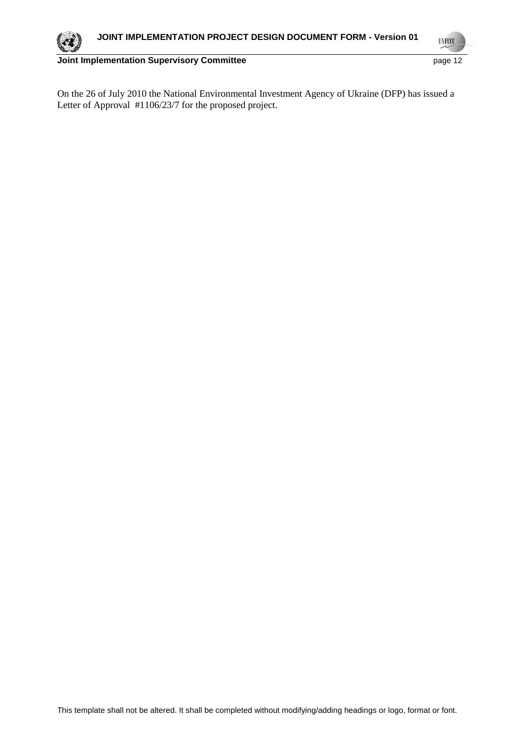**UNFCCC** 

On the 26 of July 2010 the National Environmental Investment Agency of Ukraine (DFP) has issued a Letter of Approval #1106/23/7 for the proposed project.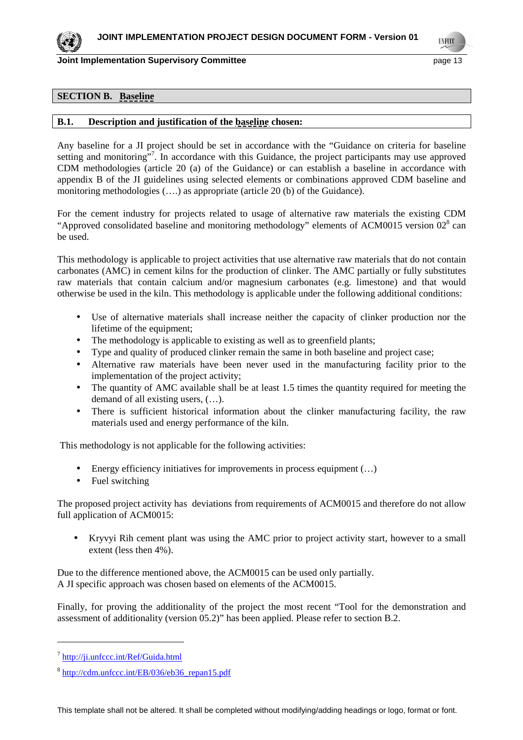**TNF00** 

#### **SECTION B. Baseline**

## **B.1. Description and justification of the baseline chosen:**

Any baseline for a JI project should be set in accordance with the "Guidance on criteria for baseline setting and monitoring"<sup>7</sup>. In accordance with this Guidance, the project participants may use approved CDM methodologies (article 20 (a) of the Guidance) or can establish a baseline in accordance with appendix B of the JI guidelines using selected elements or combinations approved CDM baseline and monitoring methodologies (….) as appropriate (article 20 (b) of the Guidance).

For the cement industry for projects related to usage of alternative raw materials the existing CDM "Approved consolidated baseline and monitoring methodology" elements of ACM0015 version  $02<sup>8</sup>$  can be used.

This methodology is applicable to project activities that use alternative raw materials that do not contain carbonates (AMC) in cement kilns for the production of clinker. The AMC partially or fully substitutes raw materials that contain calcium and/or magnesium carbonates (e.g. limestone) and that would otherwise be used in the kiln. This methodology is applicable under the following additional conditions:

- Use of alternative materials shall increase neither the capacity of clinker production nor the lifetime of the equipment;
- The methodology is applicable to existing as well as to greenfield plants;
- Type and quality of produced clinker remain the same in both baseline and project case;
- Alternative raw materials have been never used in the manufacturing facility prior to the implementation of the project activity;
- The quantity of AMC available shall be at least 1.5 times the quantity required for meeting the demand of all existing users, (…).
- There is sufficient historical information about the clinker manufacturing facility, the raw materials used and energy performance of the kiln.

This methodology is not applicable for the following activities:

- Energy efficiency initiatives for improvements in process equipment  $(\dots)$
- Fuel switching

The proposed project activity has deviations from requirements of ACM0015 and therefore do not allow full application of ACM0015:

• Kryvyi Rih cement plant was using the AMC prior to project activity start, however to a small extent (less then 4%).

Due to the difference mentioned above, the ACM0015 can be used only partially. A JI specific approach was chosen based on elements of the ACM0015.

Finally, for proving the additionality of the project the most recent "Tool for the demonstration and assessment of additionality (version 05.2)" has been applied. Please refer to section B.2.

 $\overline{a}$ 

<sup>&</sup>lt;sup>7</sup> http://ji.unfccc.int/Ref/Guida.html

<sup>&</sup>lt;sup>8</sup> http://cdm.unfccc.int/EB/036/eb36\_repan15.pdf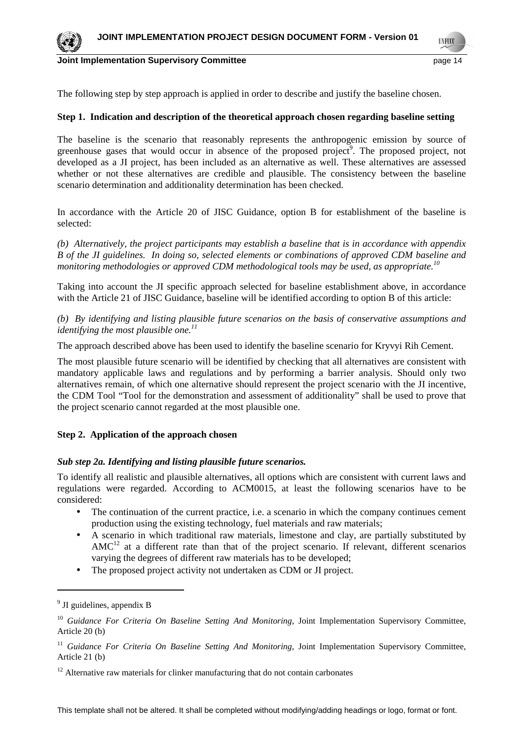

**TNF00** 

The following step by step approach is applied in order to describe and justify the baseline chosen.

# **Step 1. Indication and description of the theoretical approach chosen regarding baseline setting**

The baseline is the scenario that reasonably represents the anthropogenic emission by source of greenhouse gases that would occur in absence of the proposed project<sup>9</sup>. The proposed project, not developed as a JI project, has been included as an alternative as well. These alternatives are assessed whether or not these alternatives are credible and plausible. The consistency between the baseline scenario determination and additionality determination has been checked.

In accordance with the Article 20 of JISC Guidance, option B for establishment of the baseline is selected:

*(b) Alternatively, the project participants may establish a baseline that is in accordance with appendix B of the JI guidelines. In doing so, selected elements or combinations of approved CDM baseline and monitoring methodologies or approved CDM methodological tools may be used, as appropriate.<sup>10</sup>*

Taking into account the JI specific approach selected for baseline establishment above, in accordance with the Article 21 of JISC Guidance, baseline will be identified according to option B of this article:

*(b) By identifying and listing plausible future scenarios on the basis of conservative assumptions and identifying the most plausible one.<sup>11</sup>* 

The approach described above has been used to identify the baseline scenario for Kryvyi Rih Cement.

The most plausible future scenario will be identified by checking that all alternatives are consistent with mandatory applicable laws and regulations and by performing a barrier analysis. Should only two alternatives remain, of which one alternative should represent the project scenario with the JI incentive, the CDM Tool "Tool for the demonstration and assessment of additionality" shall be used to prove that the project scenario cannot regarded at the most plausible one.

# **Step 2. Application of the approach chosen**

# *Sub step 2a. Identifying and listing plausible future scenarios.*

To identify all realistic and plausible alternatives, all options which are consistent with current laws and regulations were regarded. According to ACM0015, at least the following scenarios have to be considered:

- The continuation of the current practice, i.e. a scenario in which the company continues cement production using the existing technology, fuel materials and raw materials;
- A scenario in which traditional raw materials, limestone and clay, are partially substituted by  $AMC<sup>12</sup>$  at a different rate than that of the project scenario. If relevant, different scenarios varying the degrees of different raw materials has to be developed;
- The proposed project activity not undertaken as CDM or JI project.

 $\overline{a}$ 

<sup>&</sup>lt;sup>9</sup> JI guidelines, appendix B

<sup>&</sup>lt;sup>10</sup> Guidance For Criteria On Baseline Setting And Monitoring, Joint Implementation Supervisory Committee, Article 20 (b)

<sup>&</sup>lt;sup>11</sup> Guidance For Criteria On Baseline Setting And Monitoring, Joint Implementation Supervisory Committee, Article 21 (b)

 $12$  Alternative raw materials for clinker manufacturing that do not contain carbonates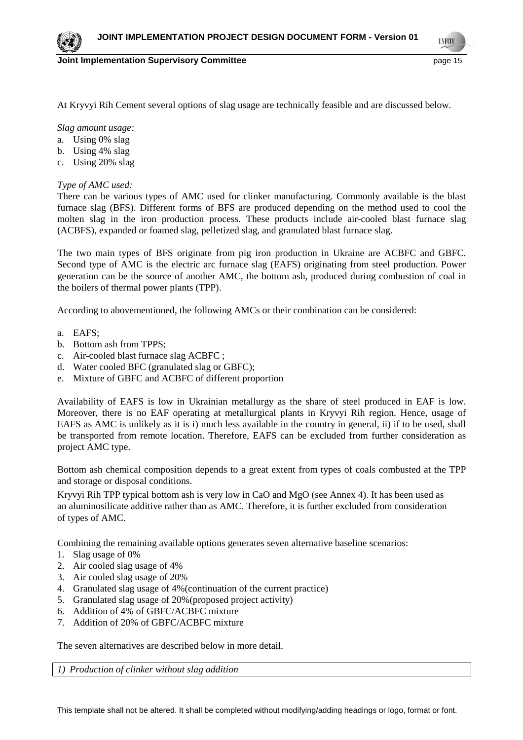**Joint Implementation Supervisory Committee According to the Committee of the Committee Committee According to the Committee According to the Committee According to the Page 15** 

**TNF00** 

At Kryvyi Rih Cement several options of slag usage are technically feasible and are discussed below.

*Slag amount usage:* 

- a. Using 0% slag
- b. Using 4% slag
- c. Using 20% slag

*Type of AMC used:* 

There can be various types of AMC used for clinker manufacturing. Commonly available is the blast furnace slag (BFS). Different forms of BFS are produced depending on the method used to cool the molten slag in the iron production process. These products include air-cooled blast furnace slag (ACBFS), expanded or foamed slag, pelletized slag, and granulated blast furnace slag.

The two main types of BFS originate from pig iron production in Ukraine are ACBFC and GBFC. Second type of AMC is the electric arc furnace slag (EAFS) originating from steel production. Power generation can be the source of another AMC, the bottom ash, produced during combustion of coal in the boilers of thermal power plants (TPP).

According to abovementioned, the following AMCs or their combination can be considered:

- a. EAFS;
- b. Bottom ash from TPPS;
- c. Air-cooled blast furnace slag ACBFC ;
- d. Water cooled BFC (granulated slag or GBFC);
- e. Mixture of GBFC and ACBFC of different proportion

Availability of EAFS is low in Ukrainian metallurgy as the share of steel produced in EAF is low. Moreover, there is no EAF operating at metallurgical plants in Kryvyi Rih region. Hence, usage of EAFS as AMC is unlikely as it is i) much less available in the country in general, ii) if to be used, shall be transported from remote location. Therefore, EAFS can be excluded from further consideration as project AMC type.

Bottom ash chemical composition depends to a great extent from types of coals combusted at the TPP and storage or disposal conditions.

Kryvyi Rih TPP typical bottom ash is very low in CaO and MgO (see Annex 4). It has been used as an aluminosilicate additive rather than as AMC. Therefore, it is further excluded from consideration of types of AMC.

Combining the remaining available options generates seven alternative baseline scenarios:

- 1. Slag usage of 0%
- 2. Air cooled slag usage of 4%
- 3. Air cooled slag usage of 20%
- 4. Granulated slag usage of 4%(continuation of the current practice)
- 5. Granulated slag usage of 20%(proposed project activity)
- 6. Addition of 4% of GBFC/ACBFC mixture
- 7. Addition of 20% of GBFC/ACBFC mixture

The seven alternatives are described below in more detail.

*1) Production of clinker without slag addition*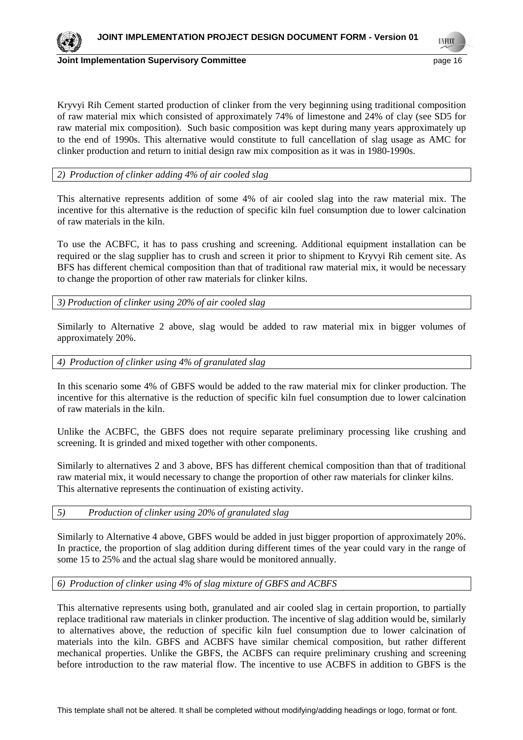

Kryvyi Rih Cement started production of clinker from the very beginning using traditional composition of raw material mix which consisted of approximately 74% of limestone and 24% of clay (see SD5 for raw material mix composition). Such basic composition was kept during many years approximately up to the end of 1990s. This alternative would constitute to full cancellation of slag usage as AMC for clinker production and return to initial design raw mix composition as it was in 1980-1990s.

*2) Production of clinker adding 4% of air cooled slag* 

This alternative represents addition of some 4% of air cooled slag into the raw material mix. The incentive for this alternative is the reduction of specific kiln fuel consumption due to lower calcination of raw materials in the kiln.

To use the ACBFC, it has to pass crushing and screening. Additional equipment installation can be required or the slag supplier has to crush and screen it prior to shipment to Kryvyi Rih cement site. As BFS has different chemical composition than that of traditional raw material mix, it would be necessary to change the proportion of other raw materials for clinker kilns.

*3) Production of clinker using 20% of air cooled slag* 

Similarly to Alternative 2 above, slag would be added to raw material mix in bigger volumes of approximately 20%.

#### *4) Production of clinker using 4% of granulated slag*

In this scenario some 4% of GBFS would be added to the raw material mix for clinker production. The incentive for this alternative is the reduction of specific kiln fuel consumption due to lower calcination of raw materials in the kiln.

Unlike the ACBFC, the GBFS does not require separate preliminary processing like crushing and screening. It is grinded and mixed together with other components.

Similarly to alternatives 2 and 3 above, BFS has different chemical composition than that of traditional raw material mix, it would necessary to change the proportion of other raw materials for clinker kilns. This alternative represents the continuation of existing activity.

#### *5) Production of clinker using 20% of granulated slag*

Similarly to Alternative 4 above, GBFS would be added in just bigger proportion of approximately 20%. In practice, the proportion of slag addition during different times of the year could vary in the range of some 15 to 25% and the actual slag share would be monitored annually.

# *6) Production of clinker using 4% of slag mixture of GBFS and ACBFS*

This alternative represents using both, granulated and air cooled slag in certain proportion, to partially replace traditional raw materials in clinker production. The incentive of slag addition would be, similarly to alternatives above, the reduction of specific kiln fuel consumption due to lower calcination of materials into the kiln. GBFS and ACBFS have similar chemical composition, but rather different mechanical properties. Unlike the GBFS, the ACBFS can require preliminary crushing and screening before introduction to the raw material flow. The incentive to use ACBFS in addition to GBFS is the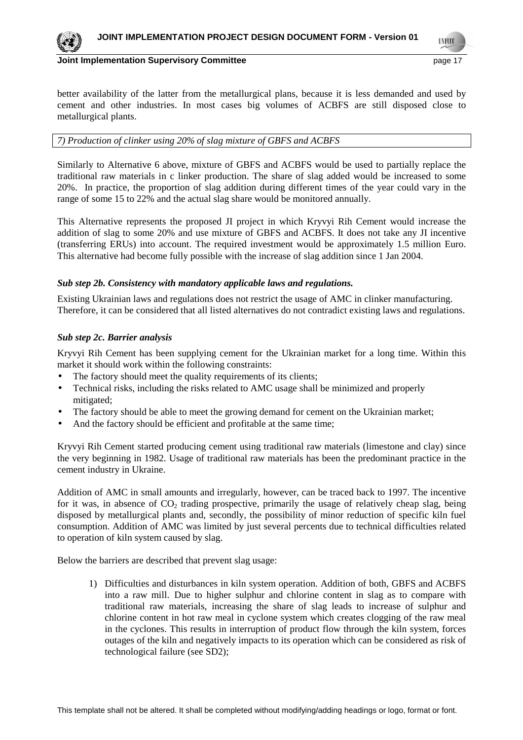



**Joint Implementation Supervisory Committee According the Common Committee According to the Control of the Control of the Page 17** 

**TNF00** 

better availability of the latter from the metallurgical plans, because it is less demanded and used by cement and other industries. In most cases big volumes of ACBFS are still disposed close to metallurgical plants.

# *7) Production of clinker using 20% of slag mixture of GBFS and ACBFS*

Similarly to Alternative 6 above, mixture of GBFS and ACBFS would be used to partially replace the traditional raw materials in c linker production. The share of slag added would be increased to some 20%. In practice, the proportion of slag addition during different times of the year could vary in the range of some 15 to 22% and the actual slag share would be monitored annually.

This Alternative represents the proposed JI project in which Kryvyi Rih Cement would increase the addition of slag to some 20% and use mixture of GBFS and ACBFS. It does not take any JI incentive (transferring ERUs) into account. The required investment would be approximately 1.5 million Euro. This alternative had become fully possible with the increase of slag addition since 1 Jan 2004.

# *Sub step 2b. Consistency with mandatory applicable laws and regulations.*

Existing Ukrainian laws and regulations does not restrict the usage of AMC in clinker manufacturing. Therefore, it can be considered that all listed alternatives do not contradict existing laws and regulations.

# *Sub step 2c. Barrier analysis*

Kryvyi Rih Cement has been supplying cement for the Ukrainian market for a long time. Within this market it should work within the following constraints:

- The factory should meet the quality requirements of its clients;
- Technical risks, including the risks related to AMC usage shall be minimized and properly mitigated;
- The factory should be able to meet the growing demand for cement on the Ukrainian market;
- And the factory should be efficient and profitable at the same time;

Kryvyi Rih Cement started producing cement using traditional raw materials (limestone and clay) since the very beginning in 1982. Usage of traditional raw materials has been the predominant practice in the cement industry in Ukraine.

Addition of AMC in small amounts and irregularly, however, can be traced back to 1997. The incentive for it was, in absence of  $CO<sub>2</sub>$  trading prospective, primarily the usage of relatively cheap slag, being disposed by metallurgical plants and, secondly, the possibility of minor reduction of specific kiln fuel consumption. Addition of AMC was limited by just several percents due to technical difficulties related to operation of kiln system caused by slag.

Below the barriers are described that prevent slag usage:

1) Difficulties and disturbances in kiln system operation. Addition of both, GBFS and ACBFS into a raw mill. Due to higher sulphur and chlorine content in slag as to compare with traditional raw materials, increasing the share of slag leads to increase of sulphur and chlorine content in hot raw meal in cyclone system which creates clogging of the raw meal in the cyclones. This results in interruption of product flow through the kiln system, forces outages of the kiln and negatively impacts to its operation which can be considered as risk of technological failure (see SD2);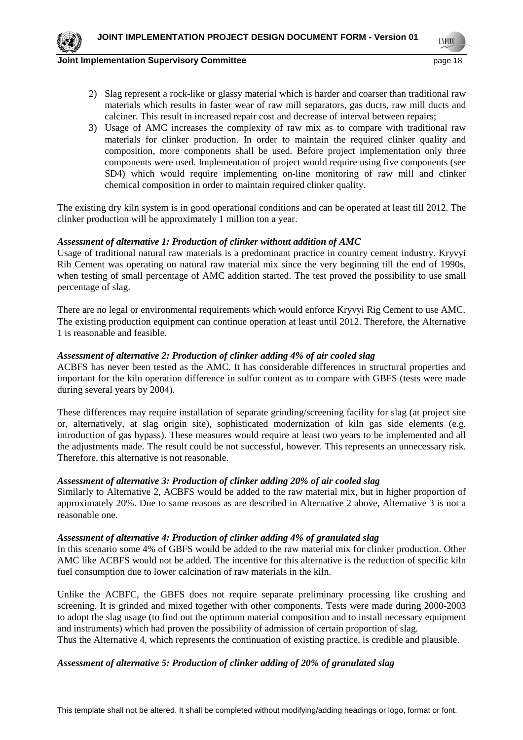

**TNF00** 

- 2) Slag represent a rock-like or glassy material which is harder and coarser than traditional raw materials which results in faster wear of raw mill separators, gas ducts, raw mill ducts and calciner. This result in increased repair cost and decrease of interval between repairs;
- 3) Usage of AMC increases the complexity of raw mix as to compare with traditional raw materials for clinker production. In order to maintain the required clinker quality and composition, more components shall be used. Before project implementation only three components were used. Implementation of project would require using five components (see SD4) which would require implementing on-line monitoring of raw mill and clinker chemical composition in order to maintain required clinker quality.

The existing dry kiln system is in good operational conditions and can be operated at least till 2012. The clinker production will be approximately 1 million ton a year.

# *Assessment of alternative 1: Production of clinker without addition of AMC*

Usage of traditional natural raw materials is a predominant practice in country cement industry. Kryvyi Rih Cement was operating on natural raw material mix since the very beginning till the end of 1990s, when testing of small percentage of AMC addition started. The test proved the possibility to use small percentage of slag.

There are no legal or environmental requirements which would enforce Kryvyi Rig Cement to use AMC. The existing production equipment can continue operation at least until 2012. Therefore, the Alternative 1 is reasonable and feasible.

# *Assessment of alternative 2: Production of clinker adding 4% of air cooled slag*

ACBFS has never been tested as the AMC. It has considerable differences in structural properties and important for the kiln operation difference in sulfur content as to compare with GBFS (tests were made during several years by 2004).

These differences may require installation of separate grinding/screening facility for slag (at project site or, alternatively, at slag origin site), sophisticated modernization of kiln gas side elements (e.g. introduction of gas bypass). These measures would require at least two years to be implemented and all the adjustments made. The result could be not successful, however. This represents an unnecessary risk. Therefore, this alternative is not reasonable.

#### *Assessment of alternative 3: Production of clinker adding 20% of air cooled slag*

Similarly to Alternative 2, ACBFS would be added to the raw material mix, but in higher proportion of approximately 20%. Due to same reasons as are described in Alternative 2 above, Alternative 3 is not a reasonable one.

#### *Assessment of alternative 4: Production of clinker adding 4% of granulated slag*

In this scenario some 4% of GBFS would be added to the raw material mix for clinker production. Other AMC like ACBFS would not be added. The incentive for this alternative is the reduction of specific kiln fuel consumption due to lower calcination of raw materials in the kiln.

Unlike the ACBFC, the GBFS does not require separate preliminary processing like crushing and screening. It is grinded and mixed together with other components. Tests were made during 2000-2003 to adopt the slag usage (to find out the optimum material composition and to install necessary equipment and instruments) which had proven the possibility of admission of certain proportion of slag. Thus the Alternative 4, which represents the continuation of existing practice, is credible and plausible.

# *Assessment of alternative 5: Production of clinker adding of 20% of granulated slag*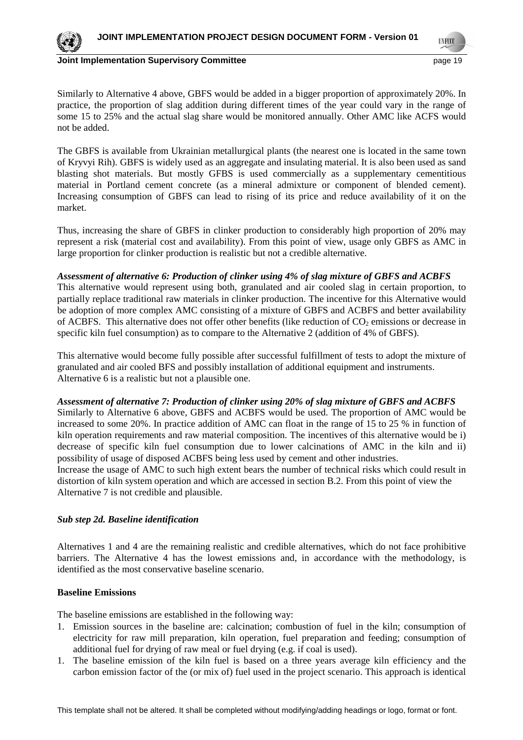

**Joint Implementation Supervisory Committee According the Control of the Control of the Control of the Page 19** 

**TNF00** 

Similarly to Alternative 4 above, GBFS would be added in a bigger proportion of approximately 20%. In practice, the proportion of slag addition during different times of the year could vary in the range of some 15 to 25% and the actual slag share would be monitored annually. Other AMC like ACFS would not be added.

The GBFS is available from Ukrainian metallurgical plants (the nearest one is located in the same town of Kryvyi Rih). GBFS is widely used as an aggregate and insulating material. It is also been used as sand blasting shot materials. But mostly GFBS is used commercially as a supplementary cementitious material in Portland cement concrete (as a mineral admixture or component of blended cement). Increasing consumption of GBFS can lead to rising of its price and reduce availability of it on the market.

Thus, increasing the share of GBFS in clinker production to considerably high proportion of 20% may represent a risk (material cost and availability). From this point of view, usage only GBFS as AMC in large proportion for clinker production is realistic but not a credible alternative.

# *Assessment of alternative 6: Production of clinker using 4% of slag mixture of GBFS and ACBFS*

This alternative would represent using both, granulated and air cooled slag in certain proportion, to partially replace traditional raw materials in clinker production. The incentive for this Alternative would be adoption of more complex AMC consisting of a mixture of GBFS and ACBFS and better availability of ACBFS. This alternative does not offer other benefits (like reduction of  $CO<sub>2</sub>$  emissions or decrease in specific kiln fuel consumption) as to compare to the Alternative 2 (addition of 4% of GBFS).

This alternative would become fully possible after successful fulfillment of tests to adopt the mixture of granulated and air cooled BFS and possibly installation of additional equipment and instruments. Alternative 6 is a realistic but not a plausible one.

*Assessment of alternative 7: Production of clinker using 20% of slag mixture of GBFS and ACBFS*  Similarly to Alternative 6 above, GBFS and ACBFS would be used. The proportion of AMC would be increased to some 20%. In practice addition of AMC can float in the range of 15 to 25 % in function of kiln operation requirements and raw material composition. The incentives of this alternative would be i) decrease of specific kiln fuel consumption due to lower calcinations of AMC in the kiln and ii) possibility of usage of disposed ACBFS being less used by cement and other industries. Increase the usage of AMC to such high extent bears the number of technical risks which could result in distortion of kiln system operation and which are accessed in section B.2. From this point of view the Alternative 7 is not credible and plausible.

# *Sub step 2d. Baseline identification*

Alternatives 1 and 4 are the remaining realistic and credible alternatives, which do not face prohibitive barriers. The Alternative 4 has the lowest emissions and, in accordance with the methodology, is identified as the most conservative baseline scenario.

# **Baseline Emissions**

The baseline emissions are established in the following way:

- 1. Emission sources in the baseline are: calcination; combustion of fuel in the kiln; consumption of electricity for raw mill preparation, kiln operation, fuel preparation and feeding; consumption of additional fuel for drying of raw meal or fuel drying (e.g. if coal is used).
- 1. The baseline emission of the kiln fuel is based on a three years average kiln efficiency and the carbon emission factor of the (or mix of) fuel used in the project scenario. This approach is identical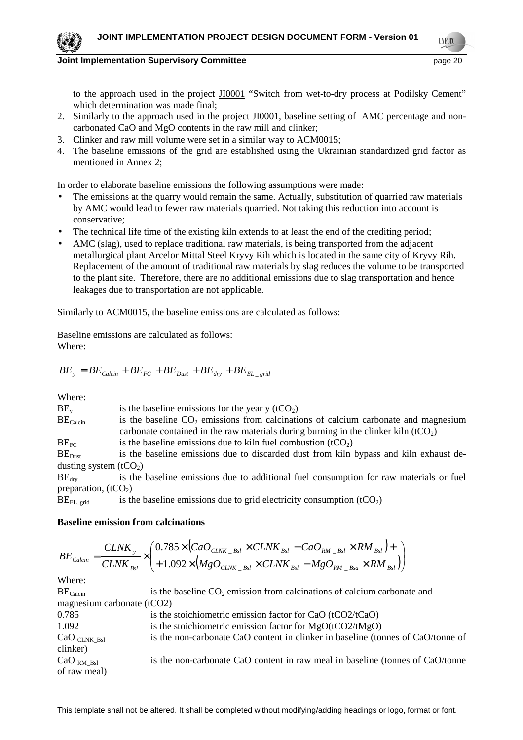to the approach used in the project JI0001 "Switch from wet-to-dry process at Podilsky Cement" which determination was made final;

- 2. Similarly to the approach used in the project JI0001, baseline setting of AMC percentage and noncarbonated CaO and MgO contents in the raw mill and clinker;
- 3. Clinker and raw mill volume were set in a similar way to ACM0015;
- 4. The baseline emissions of the grid are established using the Ukrainian standardized grid factor as mentioned in Annex 2;

In order to elaborate baseline emissions the following assumptions were made:

- The emissions at the quarry would remain the same. Actually, substitution of quarried raw materials by AMC would lead to fewer raw materials quarried. Not taking this reduction into account is conservative;
- The technical life time of the existing kiln extends to at least the end of the crediting period;
- AMC (slag), used to replace traditional raw materials, is being transported from the adjacent metallurgical plant Arcelor Mittal Steel Kryvy Rih which is located in the same city of Kryvy Rih. Replacement of the amount of traditional raw materials by slag reduces the volume to be transported to the plant site. Therefore, there are no additional emissions due to slag transportation and hence leakages due to transportation are not applicable.

Similarly to ACM0015, the baseline emissions are calculated as follows:

Baseline emissions are calculated as follows: Where:

$$
BE_y = BE_{Calcin} + BE_{FC} + BE_{Dust} + BE_{dry} + BE_{EL\_grid}
$$

Where:

| $BE_v$                  | is the baseline emissions for the year y $(tCO2)$                                     |
|-------------------------|---------------------------------------------------------------------------------------|
| BE <sub>Calcin</sub>    | is the baseline $CO2$ emissions from calcinations of calcium carbonate and magnesium  |
|                         | carbonate contained in the raw materials during burning in the clinker kiln $(tCO2)$  |
| $BE_{FC}$               | is the baseline emissions due to kiln fuel combustion $(tCO2)$                        |
| BE <sub>Dist</sub>      | is the baseline emissions due to discarded dust from kiln bypass and kiln exhaust de- |
| dusting system $(tCO2)$ |                                                                                       |

 $BE<sub>dry</sub>$  is the baseline emissions due to additional fuel consumption for raw materials or fuel preparation,  $(tCO<sub>2</sub>)$ 

 $BE<sub>EL grid</sub>$  is the baseline emissions due to grid electricity consumption (tCO<sub>2</sub>)

# **Baseline emission from calcinations**

$$
BE_{Calcin} = \frac{CLNK_y}{CLNK_{Bsl}} \times \left(\begin{matrix} 0.785 \times \left(CaO_{CLNK \_Bsl} \times CLNK_{Bsl} - CaO_{RM \_Bsl} \times RM_{Bsl} \right) + \\ + 1.092 \times \left(MgO_{CLNK \_Bsl} \times CLNK_{Bsl} - MgO_{RM \_Bsa} \times RM_{Bsl} \right) \end{matrix}\right)
$$

| BE <sub>Calcin</sub>         | is the baseline $CO2$ emission from calcinations of calcium carbonate and       |
|------------------------------|---------------------------------------------------------------------------------|
| magnesium carbonate $(tCO2)$ |                                                                                 |
| 0.785                        | is the stoichiometric emission factor for CaO (tCO2/tCaO)                       |
| 1.092                        | is the stoichiometric emission factor for $MgO(tCO2/tMgO)$                      |
| $CaO$ CLNK Bsl               | is the non-carbonate CaO content in clinker in baseline (tonnes of CaO/tonne of |
| clinker)                     |                                                                                 |
| CaO <sub>RM Bsl</sub>        | is the non-carbonate CaO content in raw meal in baseline (tonnes of CaO/tonne   |
| of raw meal)                 |                                                                                 |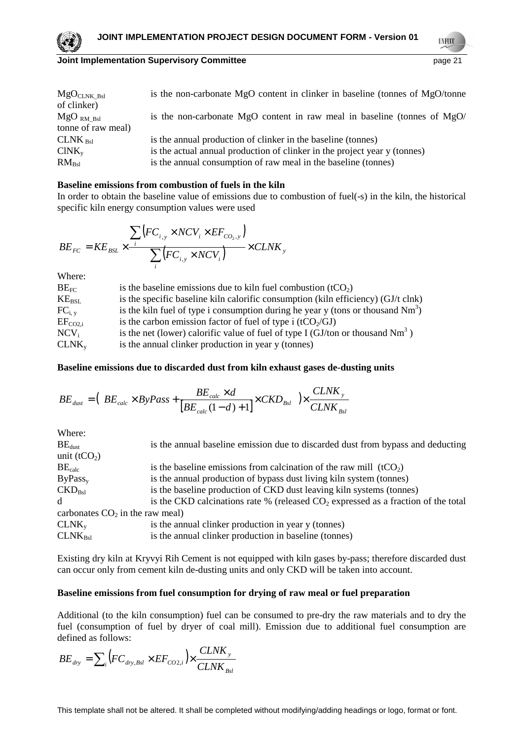**TNF00** 

| ${ {\rm MgO}_{\rm CLNK\ Bsl}}$ | is the non-carbonate MgO content in clinker in baseline (tonnes of MgO/tonne |
|--------------------------------|------------------------------------------------------------------------------|
| of clinker)                    |                                                                              |
| $MgO_{RMBS}$                   | is the non-carbonate MgO content in raw meal in baseline (tonnes of MgO/     |
| tonne of raw meal)             |                                                                              |
| CLNK <sub>Bsl</sub>            | is the annual production of clinker in the baseline (tonnes)                 |
| $CINK_{v}$                     | is the actual annual production of clinker in the project year y (tonnes)    |
| $RM_{Bsl}$                     | is the annual consumption of raw meal in the baseline (tonnes)               |

#### **Baseline emissions from combustion of fuels in the kiln**

In order to obtain the baseline value of emissions due to combustion of fuel(-s) in the kiln, the historical specific kiln energy consumption values were used

$$
BE_{FC} = KE_{BSL} \times \frac{\sum_{i} (FC_{i,y} \times NCV_{i} \times EF_{CO_{2},y})}{\sum_{i} (FC_{i,y} \times NCV_{i})} \times CLNK_{y}
$$

Where:

| $BE_{FC}$     | is the baseline emissions due to kiln fuel combustion $(tCO2)$                     |
|---------------|------------------------------------------------------------------------------------|
| $KE_{BSL}$    | is the specific baseline kiln calorific consumption (kiln efficiency) (GJ/t clnk)  |
| $FC_{i.v.}$   | is the kiln fuel of type i consumption during he year y (tons or thousand $Nm^3$ ) |
| $EF_{CO2,i}$  | is the carbon emission factor of fuel of type i ( $tCO2/GI$ )                      |
| $\rm NCV_{i}$ | is the net (lower) calorific value of fuel of type I (GJ/ton or thousand $Nm^3$ )  |
| $CLNK_{v}$    | is the annual clinker production in year y (tonnes)                                |

# **Baseline emissions due to discarded dust from kiln exhaust gases de-dusting units**

$$
BE_{dust} = \left(BE_{calc} \times ByPass + \frac{BE_{calc} \times d}{[BE_{calc}(1-d)+1]} \times CKD_{Bsl} \right) \times \frac{CLNK_y}{CLNK_{Bsl}}
$$

Where:<br>BE<sub>dust</sub> is the annual baseline emission due to discarded dust from bypass and deducting unit  $(tCO<sub>2</sub>)$  $BE<sub>calc</sub>$  is the baseline emissions from calcination of the raw mill (tCO<sub>2</sub>)  $ByPass<sub>v</sub>$  is the annual production of bypass dust living kiln system (tonnes)  $\text{CKD}_{\text{Bsl}}$  is the baseline production of  $\text{CKD}$  dust leaving kiln systems (tonnes) d is the CKD calcinations rate % (released  $CO<sub>2</sub>$  expressed as a fraction of the total carbonates  $CO<sub>2</sub>$  in the raw meal)  $CLNK<sub>v</sub>$  is the annual clinker production in year y (tonnes)  $CLNK<sub>Ref</sub>$  is the annual clinker production in baseline (tonnes)

Existing dry kiln at Kryvyi Rih Cement is not equipped with kiln gases by-pass; therefore discarded dust can occur only from cement kiln de-dusting units and only CKD will be taken into account.

#### **Baseline emissions from fuel consumption for drying of raw meal or fuel preparation**

Additional (to the kiln consumption) fuel can be consumed to pre-dry the raw materials and to dry the fuel (consumption of fuel by dryer of coal mill). Emission due to additional fuel consumption are defined as follows:

$$
BE_{\text{dry}} = \sum_{i} \left( FC_{\text{dry},\text{Bsl}} \times EF_{CO2,i} \right) \times \frac{CLNK_{y}}{CLNK_{\text{Bsl}}}
$$

This template shall not be altered. It shall be completed without modifying/adding headings or logo, format or font.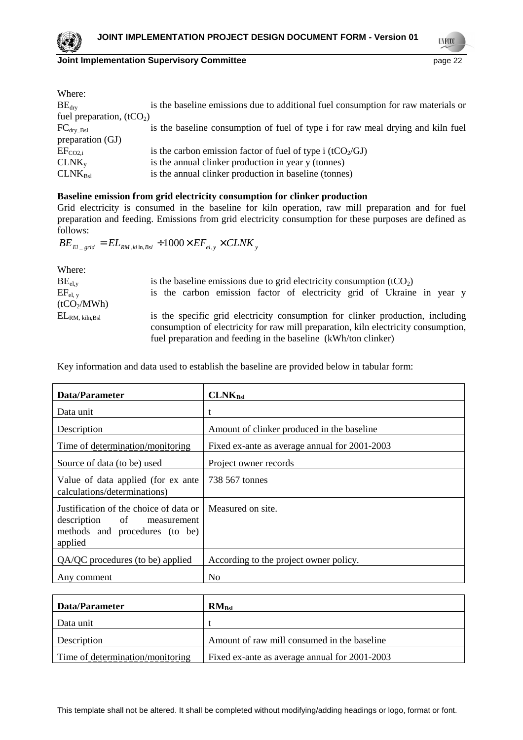

**UNFCCC** 

| Where:                     |                                                                                   |
|----------------------------|-----------------------------------------------------------------------------------|
| BE <sub>div</sub>          | is the baseline emissions due to additional fuel consumption for raw materials or |
| fuel preparation, $(tCO2)$ |                                                                                   |
| $FC_{\text{dry\_Bsl}}$     | is the baseline consumption of fuel of type i for raw meal drying and kiln fuel   |
| preparation (GJ)           |                                                                                   |
| $EF_{CO2,i}$               | is the carbon emission factor of fuel of type i ( $tCO2/GI$ )                     |
| $CLNK_{v}$                 | is the annual clinker production in year y (tonnes)                               |
| $CLNK_{Bsl}$               | is the annual clinker production in baseline (tonnes)                             |

# **Baseline emission from grid electricity consumption for clinker production**

Grid electricity is consumed in the baseline for kiln operation, raw mill preparation and for fuel preparation and feeding. Emissions from grid electricity consumption for these purposes are defined as follows:

 $BE_{El\_grid} = EL_{RM$  , $k i \ln,B s l} + 1000\times EF_{el, y}\times CL N K_{y}$ 

| Where:                  |                                                                                                                                                                      |  |
|-------------------------|----------------------------------------------------------------------------------------------------------------------------------------------------------------------|--|
| $BE_{el,y}$             | is the baseline emissions due to grid electricity consumption $(tCO2)$                                                                                               |  |
| $EF_{el, v}$            | is the carbon emission factor of electricity grid of Ukraine in year y                                                                                               |  |
| (tCO <sub>2</sub> /MWh) |                                                                                                                                                                      |  |
| $\rm EL_{RM,~kiln,Bsl}$ | is the specific grid electricity consumption for clinker production, including<br>consumption of electricity for raw mill preparation, kiln electricity consumption, |  |
|                         | fuel preparation and feeding in the baseline (kWh/ton clinker)                                                                                                       |  |

Key information and data used to establish the baseline are provided below in tabular form:

| Data/Parameter                                                                                                    | CLNK <sub>Bs1</sub>                           |
|-------------------------------------------------------------------------------------------------------------------|-----------------------------------------------|
| Data unit                                                                                                         | t                                             |
| Description                                                                                                       | Amount of clinker produced in the baseline    |
| Time of determination/monitoring                                                                                  | Fixed ex-ante as average annual for 2001-2003 |
| Source of data (to be) used                                                                                       | Project owner records                         |
| Value of data applied (for ex ante<br>calculations/determinations)                                                | 738 567 tonnes                                |
| Justification of the choice of data or<br>description of measurement<br>methods and procedures (to be)<br>applied | Measured on site.                             |
| QA/QC procedures (to be) applied                                                                                  | According to the project owner policy.        |
| Any comment                                                                                                       | N <sub>0</sub>                                |

| Data/Parameter                   | $RM_{Bsl}$                                    |
|----------------------------------|-----------------------------------------------|
| Data unit                        |                                               |
| Description                      | Amount of raw mill consumed in the baseline   |
| Time of determination/monitoring | Fixed ex-ante as average annual for 2001-2003 |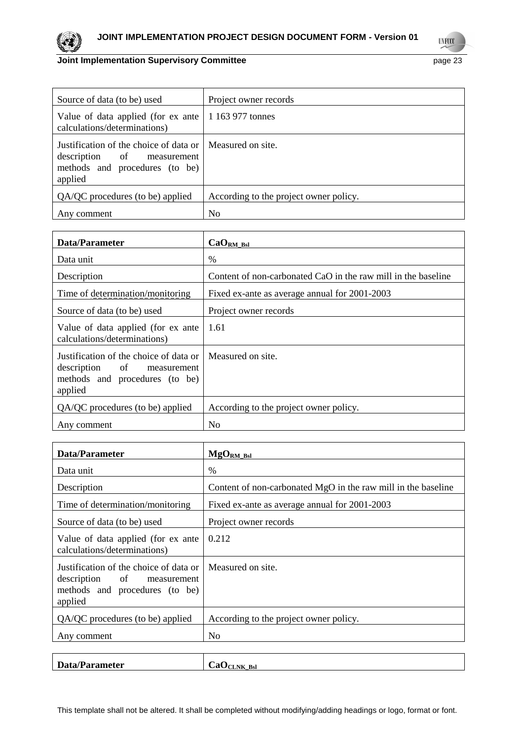

| Source of data (to be) used                                                                                                           | Project owner records                  |
|---------------------------------------------------------------------------------------------------------------------------------------|----------------------------------------|
| Value of data applied (for ex ante   1 163 977 tonnes<br>calculations/determinations)                                                 |                                        |
| Justification of the choice of data or   Measured on site.<br>description of measurement<br>methods and procedures (to be)<br>applied |                                        |
| QA/QC procedures (to be) applied                                                                                                      | According to the project owner policy. |
| Any comment                                                                                                                           | N <sub>0</sub>                         |

| Data/Parameter                                                                                                    | $CaORM_Bsl$                                                   |
|-------------------------------------------------------------------------------------------------------------------|---------------------------------------------------------------|
| Data unit                                                                                                         | $\frac{0}{0}$                                                 |
| Description                                                                                                       | Content of non-carbonated CaO in the raw mill in the baseline |
| Time of determination/monitoring                                                                                  | Fixed ex-ante as average annual for 2001-2003                 |
| Source of data (to be) used                                                                                       | Project owner records                                         |
| Value of data applied (for ex anter<br>calculations/determinations)                                               | 1.61                                                          |
| Justification of the choice of data or<br>description of measurement<br>methods and procedures (to be)<br>applied | Measured on site.                                             |
| QA/QC procedures (to be) applied                                                                                  | According to the project owner policy.                        |
| Any comment                                                                                                       | N <sub>0</sub>                                                |

| Data/Parameter                                                                                                    | $MgORM_Bsl$                                                   |
|-------------------------------------------------------------------------------------------------------------------|---------------------------------------------------------------|
| Data unit                                                                                                         | $\frac{0}{0}$                                                 |
| Description                                                                                                       | Content of non-carbonated MgO in the raw mill in the baseline |
| Time of determination/monitoring                                                                                  | Fixed ex-ante as average annual for 2001-2003                 |
| Source of data (to be) used                                                                                       | Project owner records                                         |
| Value of data applied (for ex anter<br>calculations/determinations)                                               | 0.212                                                         |
| Justification of the choice of data or<br>description of measurement<br>methods and procedures (to be)<br>applied | Measured on site.                                             |
| QA/QC procedures (to be) applied                                                                                  | According to the project owner policy.                        |
| Any comment                                                                                                       | No                                                            |
|                                                                                                                   |                                                               |

| <b>D</b><br>m<br>a/Parameter | -<br>Ca<br>'CLNK Bsl<br>~ |
|------------------------------|---------------------------|
|                              |                           |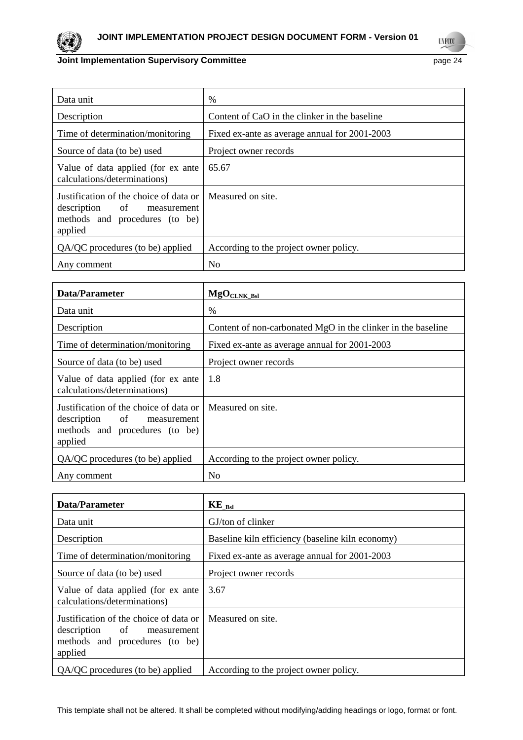

**UNFCCC** 

| Data unit                                                                                                         | $\%$                                          |
|-------------------------------------------------------------------------------------------------------------------|-----------------------------------------------|
| Description                                                                                                       | Content of CaO in the clinker in the baseline |
| Time of determination/monitoring                                                                                  | Fixed ex-ante as average annual for 2001-2003 |
| Source of data (to be) used                                                                                       | Project owner records                         |
| Value of data applied (for ex ante<br>calculations/determinations)                                                | 65.67                                         |
| Justification of the choice of data or<br>description of measurement<br>methods and procedures (to be)<br>applied | Measured on site.                             |
| QA/QC procedures (to be) applied                                                                                  | According to the project owner policy.        |
| Any comment                                                                                                       | No                                            |

| Data/Parameter                                                                                                    | $MgOCLNK$ <sub>Bsl</sub>                                     |
|-------------------------------------------------------------------------------------------------------------------|--------------------------------------------------------------|
| Data unit                                                                                                         | $\%$                                                         |
| Description                                                                                                       | Content of non-carbonated MgO in the clinker in the baseline |
| Time of determination/monitoring                                                                                  | Fixed ex-ante as average annual for 2001-2003                |
| Source of data (to be) used                                                                                       | Project owner records                                        |
| Value of data applied (for ex ante<br>calculations/determinations)                                                | 1.8                                                          |
| Justification of the choice of data or<br>description of measurement<br>methods and procedures (to be)<br>applied | Measured on site.                                            |
| QA/QC procedures (to be) applied                                                                                  | According to the project owner policy.                       |
| Any comment                                                                                                       | N <sub>0</sub>                                               |

| Data/Parameter                                                                                                    | $KE$ <sub>Bsl</sub>                              |
|-------------------------------------------------------------------------------------------------------------------|--------------------------------------------------|
| Data unit                                                                                                         | GJ/ton of clinker                                |
| Description                                                                                                       | Baseline kiln efficiency (baseline kiln economy) |
| Time of determination/monitoring                                                                                  | Fixed ex-ante as average annual for 2001-2003    |
| Source of data (to be) used                                                                                       | Project owner records                            |
| Value of data applied (for ex anter<br>calculations/determinations)                                               | 3.67                                             |
| Justification of the choice of data or<br>description of measurement<br>methods and procedures (to be)<br>applied | Measured on site.                                |
| QA/QC procedures (to be) applied                                                                                  | According to the project owner policy.           |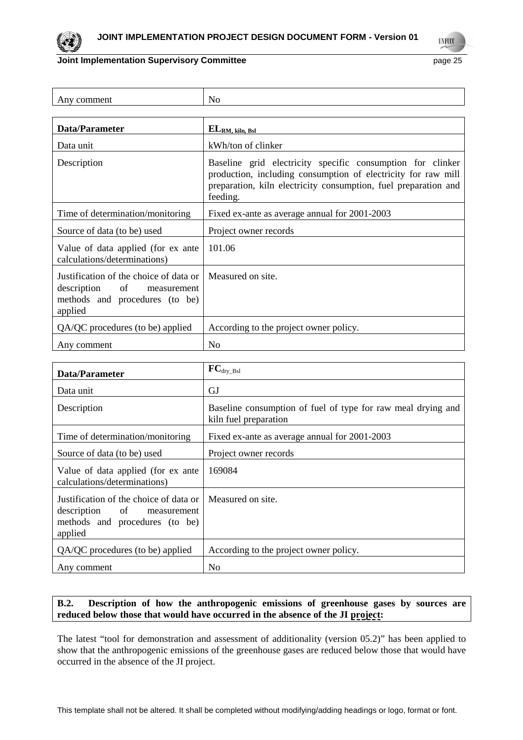

**UNFCCC** 

| Any comment                                                                                                       | N <sub>0</sub>                                                                                                                                                                                             |
|-------------------------------------------------------------------------------------------------------------------|------------------------------------------------------------------------------------------------------------------------------------------------------------------------------------------------------------|
|                                                                                                                   |                                                                                                                                                                                                            |
| Data/Parameter                                                                                                    | $EL_{RM, kiln, Bsl}$                                                                                                                                                                                       |
| Data unit                                                                                                         | kWh/ton of clinker                                                                                                                                                                                         |
| Description                                                                                                       | Baseline grid electricity specific consumption for clinker<br>production, including consumption of electricity for raw mill<br>preparation, kiln electricity consumption, fuel preparation and<br>feeding. |
| Time of determination/monitoring                                                                                  | Fixed ex-ante as average annual for 2001-2003                                                                                                                                                              |
| Source of data (to be) used                                                                                       | Project owner records                                                                                                                                                                                      |
| Value of data applied (for ex ante<br>calculations/determinations)                                                | 101.06                                                                                                                                                                                                     |
| Justification of the choice of data or<br>description of measurement<br>methods and procedures (to be)<br>applied | Measured on site.                                                                                                                                                                                          |
| QA/QC procedures (to be) applied                                                                                  | According to the project owner policy.                                                                                                                                                                     |
| Any comment                                                                                                       | N <sub>0</sub>                                                                                                                                                                                             |

| Data/Parameter                                                                                                    | ${FC}_{\text{dry\_Bsl}}$                                                              |
|-------------------------------------------------------------------------------------------------------------------|---------------------------------------------------------------------------------------|
| Data unit                                                                                                         | GJ                                                                                    |
| Description                                                                                                       | Baseline consumption of fuel of type for raw meal drying and<br>kiln fuel preparation |
| Time of determination/monitoring                                                                                  | Fixed ex-ante as average annual for 2001-2003                                         |
| Source of data (to be) used                                                                                       | Project owner records                                                                 |
| Value of data applied (for ex anter<br>calculations/determinations)                                               | 169084                                                                                |
| Justification of the choice of data or<br>description of measurement<br>methods and procedures (to be)<br>applied | Measured on site.                                                                     |
| QA/QC procedures (to be) applied                                                                                  | According to the project owner policy.                                                |
| Any comment                                                                                                       | No                                                                                    |

# **B.2. Description of how the anthropogenic emissions of greenhouse gases by sources are reduced below those that would have occurred in the absence of the JI project:**

The latest "tool for demonstration and assessment of additionality (version 05.2)" has been applied to show that the anthropogenic emissions of the greenhouse gases are reduced below those that would have occurred in the absence of the JI project.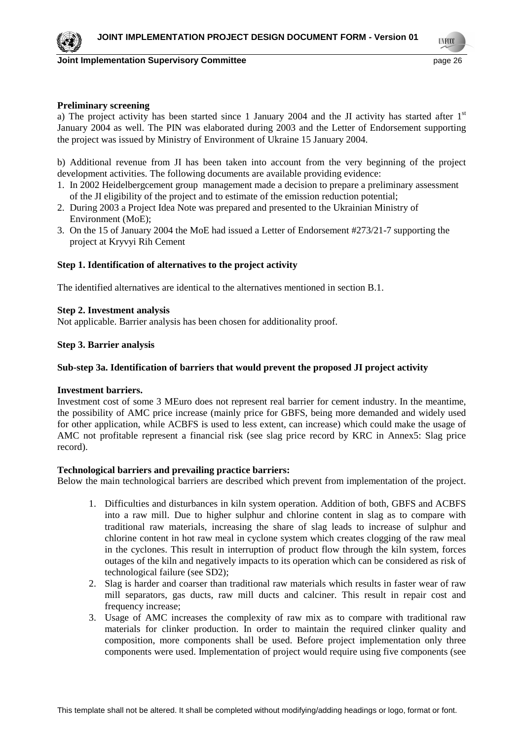**Joint Implementation Supervisory Committee According to the Control of the Control of the Control of the Control of the Page 26** 

**TNF00** 

# **Preliminary screening**

a) The project activity has been started since 1 January 2004 and the JI activity has started after  $1<sup>st</sup>$ January 2004 as well. The PIN was elaborated during 2003 and the Letter of Endorsement supporting the project was issued by Ministry of Environment of Ukraine 15 January 2004.

b) Additional revenue from JI has been taken into account from the very beginning of the project development activities. The following documents are available providing evidence:

- 1. In 2002 Heidelbergcement group management made a decision to prepare a preliminary assessment of the JI eligibility of the project and to estimate of the emission reduction potential;
- 2. During 2003 a Project Idea Note was prepared and presented to the Ukrainian Ministry of Environment (MoE);
- 3. On the 15 of January 2004 the MoE had issued a Letter of Endorsement #273/21-7 supporting the project at Kryvyi Rih Cement

# **Step 1. Identification of alternatives to the project activity**

The identified alternatives are identical to the alternatives mentioned in section B.1.

# **Step 2. Investment analysis**

Not applicable. Barrier analysis has been chosen for additionality proof.

# **Step 3. Barrier analysis**

# **Sub-step 3a. Identification of barriers that would prevent the proposed JI project activity**

#### **Investment barriers.**

Investment cost of some 3 MEuro does not represent real barrier for cement industry. In the meantime, the possibility of AMC price increase (mainly price for GBFS, being more demanded and widely used for other application, while ACBFS is used to less extent, can increase) which could make the usage of AMC not profitable represent a financial risk (see slag price record by KRC in Annex5: Slag price record).

#### **Technological barriers and prevailing practice barriers:**

Below the main technological barriers are described which prevent from implementation of the project.

- 1. Difficulties and disturbances in kiln system operation. Addition of both, GBFS and ACBFS into a raw mill. Due to higher sulphur and chlorine content in slag as to compare with traditional raw materials, increasing the share of slag leads to increase of sulphur and chlorine content in hot raw meal in cyclone system which creates clogging of the raw meal in the cyclones. This result in interruption of product flow through the kiln system, forces outages of the kiln and negatively impacts to its operation which can be considered as risk of technological failure (see SD2);
- 2. Slag is harder and coarser than traditional raw materials which results in faster wear of raw mill separators, gas ducts, raw mill ducts and calciner. This result in repair cost and frequency increase;
- 3. Usage of AMC increases the complexity of raw mix as to compare with traditional raw materials for clinker production. In order to maintain the required clinker quality and composition, more components shall be used. Before project implementation only three components were used. Implementation of project would require using five components (see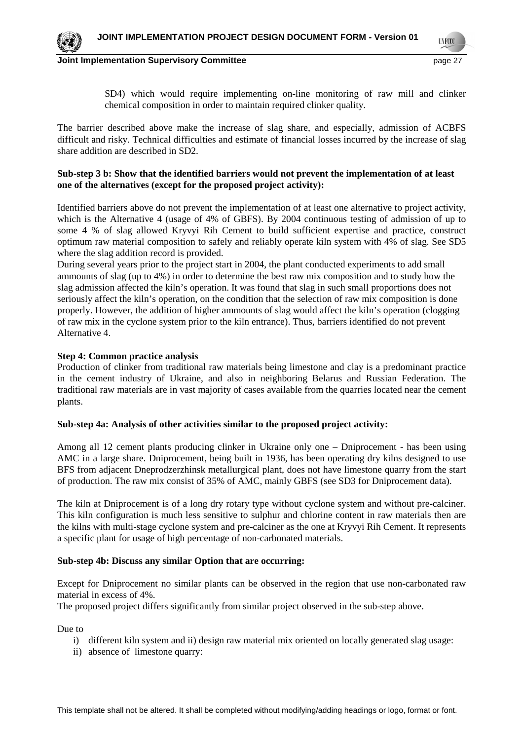SD4) which would require implementing on-line monitoring of raw mill and clinker chemical composition in order to maintain required clinker quality.

The barrier described above make the increase of slag share, and especially, admission of ACBFS difficult and risky. Technical difficulties and estimate of financial losses incurred by the increase of slag share addition are described in SD2.

# **Sub-step 3 b: Show that the identified barriers would not prevent the implementation of at least one of the alternatives (except for the proposed project activity):**

Identified barriers above do not prevent the implementation of at least one alternative to project activity, which is the Alternative 4 (usage of 4% of GBFS). By 2004 continuous testing of admission of up to some 4 % of slag allowed Kryvyi Rih Cement to build sufficient expertise and practice, construct optimum raw material composition to safely and reliably operate kiln system with 4% of slag. See SD5 where the slag addition record is provided.

During several years prior to the project start in 2004, the plant conducted experiments to add small ammounts of slag (up to 4%) in order to determine the best raw mix composition and to study how the slag admission affected the kiln's operation. It was found that slag in such small proportions does not seriously affect the kiln's operation, on the condition that the selection of raw mix composition is done properly. However, the addition of higher ammounts of slag would affect the kiln's operation (clogging of raw mix in the cyclone system prior to the kiln entrance). Thus, barriers identified do not prevent Alternative 4.

# **Step 4: Common practice analysis**

Production of clinker from traditional raw materials being limestone and clay is a predominant practice in the cement industry of Ukraine, and also in neighboring Belarus and Russian Federation. The traditional raw materials are in vast majority of cases available from the quarries located near the cement plants.

# **Sub-step 4a: Analysis of other activities similar to the proposed project activity:**

Among all 12 cement plants producing clinker in Ukraine only one – Dniprocement - has been using AMC in a large share. Dniprocement, being built in 1936, has been operating dry kilns designed to use BFS from adjacent Dneprodzerzhinsk metallurgical plant, does not have limestone quarry from the start of production. The raw mix consist of 35% of AMC, mainly GBFS (see SD3 for Dniprocement data).

The kiln at Dniprocement is of a long dry rotary type without cyclone system and without pre-calciner. This kiln configuration is much less sensitive to sulphur and chlorine content in raw materials then are the kilns with multi-stage cyclone system and pre-calciner as the one at Kryvyi Rih Cement. It represents a specific plant for usage of high percentage of non-carbonated materials.

# **Sub-step 4b: Discuss any similar Option that are occurring:**

Except for Dniprocement no similar plants can be observed in the region that use non-carbonated raw material in excess of 4%.

The proposed project differs significantly from similar project observed in the sub-step above.

Due to

- i) different kiln system and ii) design raw material mix oriented on locally generated slag usage:
- ii) absence of limestone quarry: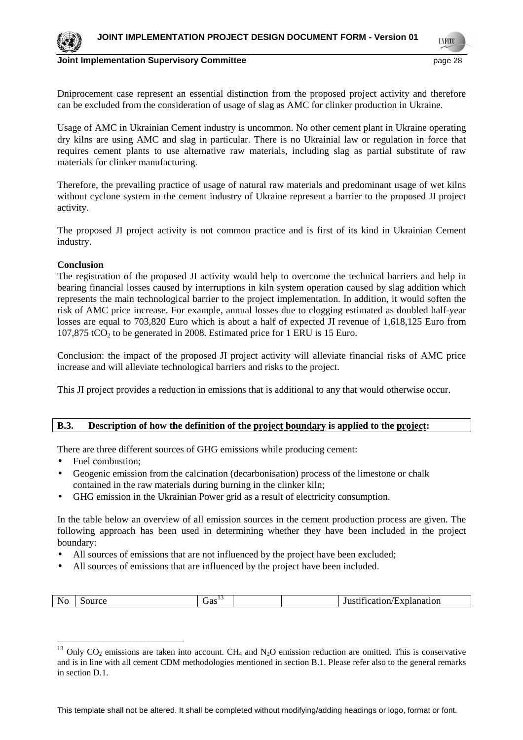

**Joint Implementation Supervisory Committee According the Control of the Control of the Control of the Control of the Page 28** 

Dniprocement case represent an essential distinction from the proposed project activity and therefore can be excluded from the consideration of usage of slag as AMC for clinker production in Ukraine.

Usage of AMC in Ukrainian Cement industry is uncommon. No other cement plant in Ukraine operating dry kilns are using AMC and slag in particular. There is no Ukrainial law or regulation in force that requires cement plants to use alternative raw materials, including slag as partial substitute of raw materials for clinker manufacturing.

Therefore, the prevailing practice of usage of natural raw materials and predominant usage of wet kilns without cyclone system in the cement industry of Ukraine represent a barrier to the proposed JI project activity.

The proposed JI project activity is not common practice and is first of its kind in Ukrainian Cement industry.

# **Conclusion**

The registration of the proposed JI activity would help to overcome the technical barriers and help in bearing financial losses caused by interruptions in kiln system operation caused by slag addition which represents the main technological barrier to the project implementation. In addition, it would soften the risk of AMC price increase. For example, annual losses due to clogging estimated as doubled half-year losses are equal to 703,820 Euro which is about a half of expected JI revenue of 1,618,125 Euro from 107,875 tCO<sub>2</sub> to be generated in 2008. Estimated price for 1 ERU is 15 Euro.

Conclusion: the impact of the proposed JI project activity will alleviate financial risks of AMC price increase and will alleviate technological barriers and risks to the project.

This JI project provides a reduction in emissions that is additional to any that would otherwise occur.

# **B.3. Description of how the definition of the project boundary is applied to the project:**

There are three different sources of GHG emissions while producing cement:

• Fuel combustion;

 $\overline{a}$ 

- Geogenic emission from the calcination (decarbonisation) process of the limestone or chalk contained in the raw materials during burning in the clinker kiln;
- GHG emission in the Ukrainian Power grid as a result of electricity consumption.

In the table below an overview of all emission sources in the cement production process are given. The following approach has been used in determining whether they have been included in the project boundary:

- All sources of emissions that are not influenced by the project have been excluded;
- All sources of emissions that are influenced by the project have been included.

|  | urce.<br><b>INO</b> | $\sigma$ as $\sim$ |  |  | . .<br>Ju<br>2411ON/ | xplanation: |
|--|---------------------|--------------------|--|--|----------------------|-------------|
|--|---------------------|--------------------|--|--|----------------------|-------------|

<sup>&</sup>lt;sup>13</sup> Only CO<sub>2</sub> emissions are taken into account. CH<sub>4</sub> and N<sub>2</sub>O emission reduction are omitted. This is conservative and is in line with all cement CDM methodologies mentioned in section B.1. Please refer also to the general remarks in section D.1.

This template shall not be altered. It shall be completed without modifying/adding headings or logo, format or font.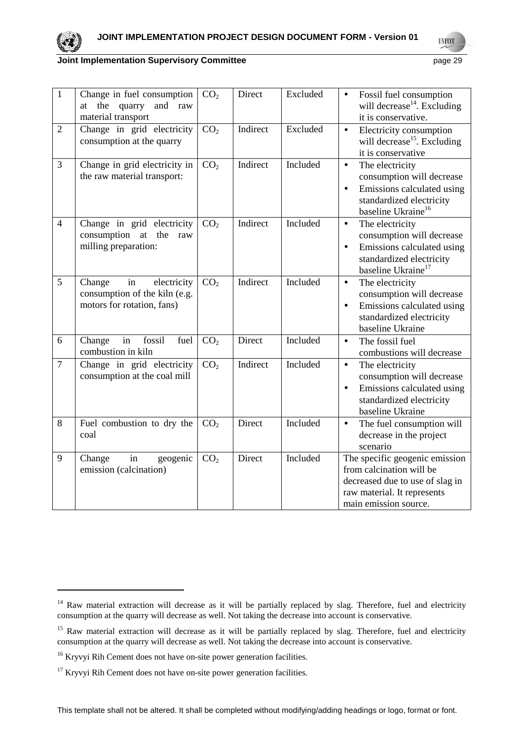

 $\overline{a}$ 

# **Joint Implementation Supervisory Committee** *page 29* **page 29**

**UNFCO** 

| $\mathbf{1}$   | Change in fuel consumption<br>at the quarry and raw<br>material transport                  | CO <sub>2</sub> | Direct   | Excluded | Fossil fuel consumption<br>$\bullet$<br>will decrease <sup>14</sup> . Excluding<br>it is conservative.                                                             |
|----------------|--------------------------------------------------------------------------------------------|-----------------|----------|----------|--------------------------------------------------------------------------------------------------------------------------------------------------------------------|
| $\overline{2}$ | Change in grid electricity<br>consumption at the quarry                                    | CO <sub>2</sub> | Indirect | Excluded | Electricity consumption<br>$\bullet$<br>will decrease <sup>15</sup> . Excluding<br>it is conservative                                                              |
| 3              | Change in grid electricity in<br>the raw material transport:                               | CO <sub>2</sub> | Indirect | Included | The electricity<br>$\bullet$<br>consumption will decrease<br>Emissions calculated using<br>$\bullet$<br>standardized electricity<br>baseline Ukraine <sup>16</sup> |
| $\overline{4}$ | Change in grid electricity<br>consumption at the<br>raw<br>milling preparation:            | CO <sub>2</sub> | Indirect | Included | The electricity<br>$\bullet$<br>consumption will decrease<br>Emissions calculated using<br>$\bullet$<br>standardized electricity<br>baseline Ukraine <sup>17</sup> |
| 5              | electricity<br>Change<br>in<br>consumption of the kiln (e.g.<br>motors for rotation, fans) | CO <sub>2</sub> | Indirect | Included | The electricity<br>$\bullet$<br>consumption will decrease<br>Emissions calculated using<br>$\bullet$<br>standardized electricity<br>baseline Ukraine               |
| 6              | in<br>fossil<br>fuel<br>Change<br>combustion in kiln                                       | CO <sub>2</sub> | Direct   | Included | The fossil fuel<br>$\bullet$<br>combustions will decrease                                                                                                          |
| $\overline{7}$ | Change in grid electricity<br>consumption at the coal mill                                 | CO <sub>2</sub> | Indirect | Included | The electricity<br>$\bullet$<br>consumption will decrease<br>Emissions calculated using<br>$\bullet$<br>standardized electricity<br>baseline Ukraine               |
| 8              | Fuel combustion to dry the<br>coal                                                         | CO <sub>2</sub> | Direct   | Included | The fuel consumption will<br>$\bullet$<br>decrease in the project<br>scenario                                                                                      |
| 9              | Change<br>in<br>geogenic<br>emission (calcination)                                         | CO <sub>2</sub> | Direct   | Included | The specific geogenic emission<br>from calcination will be<br>decreased due to use of slag in<br>raw material. It represents<br>main emission source.              |

<sup>&</sup>lt;sup>14</sup> Raw material extraction will decrease as it will be partially replaced by slag. Therefore, fuel and electricity consumption at the quarry will decrease as well. Not taking the decrease into account is conservative.

<sup>&</sup>lt;sup>15</sup> Raw material extraction will decrease as it will be partially replaced by slag. Therefore, fuel and electricity consumption at the quarry will decrease as well. Not taking the decrease into account is conservative.

<sup>&</sup>lt;sup>16</sup> Kryvyi Rih Cement does not have on-site power generation facilities.

 $17$  Kryvyi Rih Cement does not have on-site power generation facilities.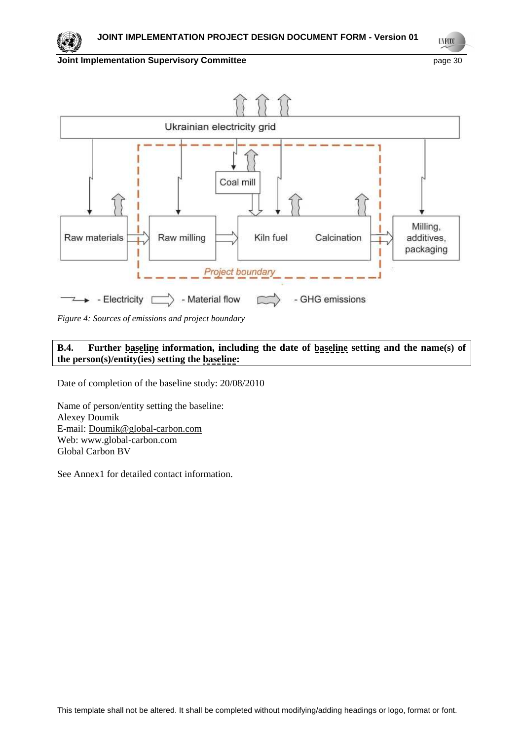**UNFCCC** 



*Figure 4: Sources of emissions and project boundary*

# **B.4. Further baseline information, including the date of baseline setting and the name(s) of the person(s)/entity(ies) setting the baseline:**

Date of completion of the baseline study: 20/08/2010

Name of person/entity setting the baseline: Alexey Doumik E-mail: Doumik@global-carbon.com Web: www.global-carbon.com Global Carbon BV

See Annex1 for detailed contact information.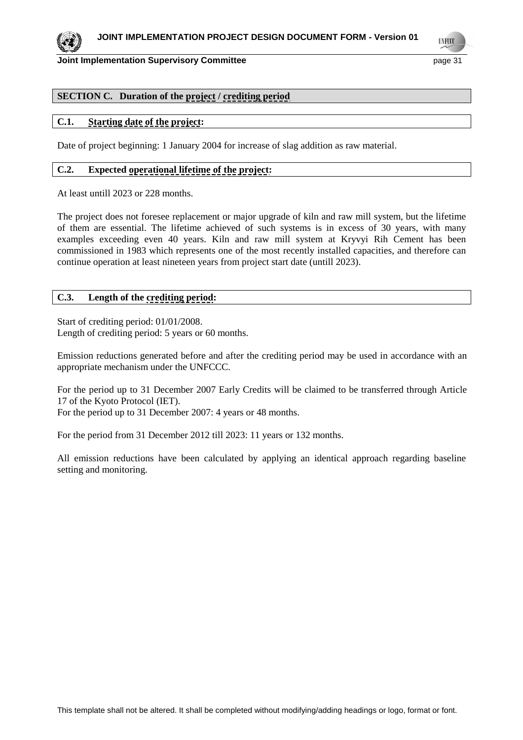**Joint Implementation Supervisory Committee** *page* **31 and 51 and 52 and 53 and 53 and 53 and 53 and 53 and 53 and 53 and 53 and 53 and 53 and 53 and 53 and 53 and 53 and 53 and 53 and 53 and 53 and 53 and 53 and 53 and 53** 

**UNFCCO** 

# **SECTION C. Duration of the project / crediting period**

# **C.1. Starting date of the project:**

Date of project beginning: 1 January 2004 for increase of slag addition as raw material.

# **C.2. Expected operational lifetime of the project:**

At least untill 2023 or 228 months.

The project does not foresee replacement or major upgrade of kiln and raw mill system, but the lifetime of them are essential. The lifetime achieved of such systems is in excess of 30 years, with many examples exceeding even 40 years. Kiln and raw mill system at Kryvyi Rih Cement has been commissioned in 1983 which represents one of the most recently installed capacities, and therefore can continue operation at least nineteen years from project start date (untill 2023).

# **C.3. Length of the crediting period:**

Start of crediting period: 01/01/2008. Length of crediting period: 5 years or 60 months.

Emission reductions generated before and after the crediting period may be used in accordance with an appropriate mechanism under the UNFCCC.

For the period up to 31 December 2007 Early Credits will be claimed to be transferred through Article 17 of the Kyoto Protocol (IET). For the period up to 31 December 2007: 4 years or 48 months.

For the period from 31 December 2012 till 2023: 11 years or 132 months.

All emission reductions have been calculated by applying an identical approach regarding baseline setting and monitoring.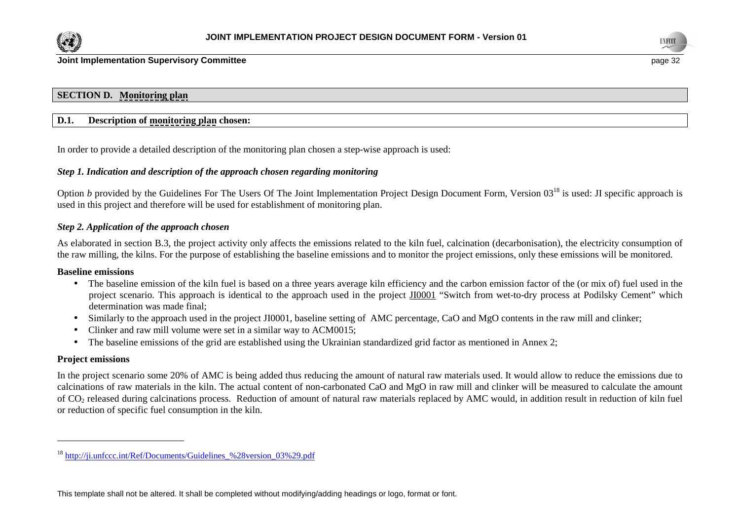



# **SECTION D. Monitoring plan**

# **D.1. Description of monitoring plan chosen:**

In order to provide a detailed description of the monitoring plan chosen a step-wise approach is used:

# *Step 1. Indication and description of the approach chosen regarding monitoring*

Option *b* provided by the Guidelines For The Users Of The Joint Implementation Project Design Document Form, Version 03<sup>18</sup> is used: JI specific approach is used in this project and therefore will be used for establishment of monitoring plan.

## *Step 2. Application of the approach chosen*

As elaborated in section B.3, the project activity only affects the emissions related to the kiln fuel, calcination (decarbonisation), the electricity consumption of the raw milling, the kilns. For the purpose of establishing the baseline emissions and to monitor the project emissions, only these emissions will be monitored.

#### **Baseline emissions**

- The baseline emission of the kiln fuel is based on a three years average kiln efficiency and the carbon emission factor of the (or mix of) fuel used in the project scenario. This approach is identical to the approach used in the project JI0001 "Switch from wet-to-dry process at Podilsky Cement" which determination was made final;
- Similarly to the approach used in the project JI0001, baseline setting of AMC percentage, CaO and MgO contents in the raw mill and clinker;
- Clinker and raw mill volume were set in a similar way to ACM0015;
- The baseline emissions of the grid are established using the Ukrainian standardized grid factor as mentioned in Annex 2;

#### **Project emissions**

In the project scenario some 20% of AMC is being added thus reducing the amount of natural raw materials used. It would allow to reduce the emissions due to calcinations of raw materials in the kiln. The actual content of non-carbonated CaO and MgO in raw mill and clinker will be measured to calculate the amount of CO<sub>2</sub> released during calcinations process. Reduction of amount of natural raw materials replaced by AMC would, in addition result in reduction of kiln fuel or reduction of specific fuel consumption in the kiln.

<sup>&</sup>lt;sup>18</sup> http://ji.unfccc.int/Ref/Documents/Guidelines\_%28version\_03%29.pdf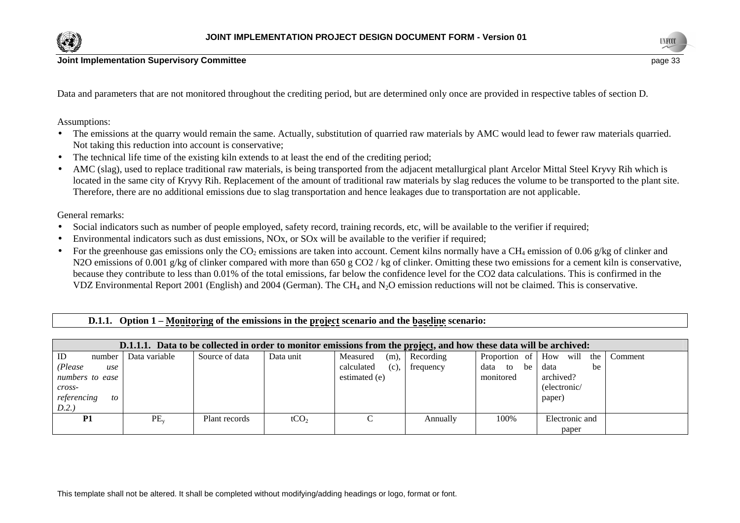



Data and parameters that are not monitored throughout the crediting period, but are determined only once are provided in respective tables of section D.

Assumptions:

- The emissions at the quarry would remain the same. Actually, substitution of quarried raw materials by AMC would lead to fewer raw materials quarried. Not taking this reduction into account is conservative;
- •The technical life time of the existing kiln extends to at least the end of the crediting period;
- • AMC (slag), used to replace traditional raw materials, is being transported from the adjacent metallurgical plant Arcelor Mittal Steel Kryvy Rih which is located in the same city of Kryvy Rih. Replacement of the amount of traditional raw materials by slag reduces the volume to be transported to the plant site. Therefore, there are no additional emissions due to slag transportation and hence leakages due to transportation are not applicable.

General remarks:

- •Social indicators such as number of people employed, safety record, training records, etc, will be available to the verifier if required;
- •Environmental indicators such as dust emissions, NOx, or SOx will be available to the verifier if required;
- •For the greenhouse gas emissions only the CO<sub>2</sub> emissions are taken into account. Cement kilns normally have a CH<sub>4</sub> emission of 0.06 g/kg of clinker and N2O emissions of 0.001 g/kg of clinker compared with more than 650 g CO2/kg of clinker. Omitting these two emissions for a cement kiln is conservative, because they contribute to less than 0.01% of the total emissions, far below the confidence level for the CO2 data calculations. This is confirmed in theVDZ Environmental Report 2001 (English) and 2004 (German). The CH<sub>4</sub> and N<sub>2</sub>O emission reductions will not be claimed. This is conservative.

 **D.1.1. Option 1 – Monitoring of the emissions in the project scenario and the baseline scenario:** 

| D.1.1.1. Data to be collected in order to monitor emissions from the project, and how these data will be archived: |               |                |                  |                    |           |               |                            |         |  |
|--------------------------------------------------------------------------------------------------------------------|---------------|----------------|------------------|--------------------|-----------|---------------|----------------------------|---------|--|
| ID<br>number                                                                                                       | Data variable | Source of data | Data unit        | (m),<br>Measured   | Recording |               | Proportion of How will the | Comment |  |
| (Please<br>use                                                                                                     |               |                |                  | calculated<br>(c), | frequency | data to<br>be | data<br>be                 |         |  |
| numbers to ease                                                                                                    |               |                |                  | estimated (e)      |           | monitored     | archived?                  |         |  |
| cross-                                                                                                             |               |                |                  |                    |           |               | (electronic/               |         |  |
| referencing<br>to                                                                                                  |               |                |                  |                    |           |               | paper)                     |         |  |
| D.2.                                                                                                               |               |                |                  |                    |           |               |                            |         |  |
| <b>P1</b>                                                                                                          | $PE_v$        | Plant records  | tCO <sub>2</sub> |                    | Annually  | 100%          | Electronic and             |         |  |
|                                                                                                                    |               |                |                  |                    |           |               | paper                      |         |  |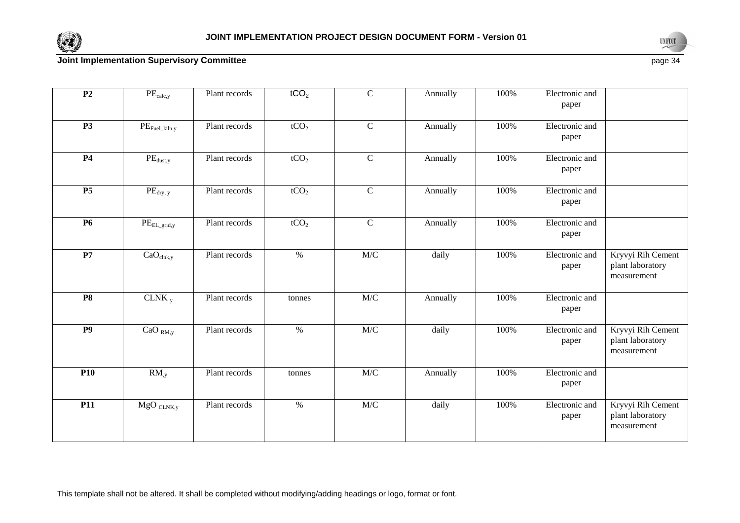



 $e$  page 34

| P <sub>2</sub>  | $PE_{calc,y}$                          | Plant records | tCO <sub>2</sub> | $\overline{C}$ | Annually | 100% | Electronic and<br>paper |                                                      |
|-----------------|----------------------------------------|---------------|------------------|----------------|----------|------|-------------------------|------------------------------------------------------|
| <b>P3</b>       | $\text{PE}_{\text{Fuel\_kiln},y}$      | Plant records | tCO <sub>2</sub> | $\overline{C}$ | Annually | 100% | Electronic and<br>paper |                                                      |
| <b>P4</b>       | $\overline{\text{PE}}_{\text{dust,y}}$ | Plant records | tCO <sub>2</sub> | $\overline{C}$ | Annually | 100% | Electronic and<br>paper |                                                      |
| <b>P5</b>       | $PE_{dry, y}$                          | Plant records | tCO <sub>2</sub> | $\overline{C}$ | Annually | 100% | Electronic and<br>paper |                                                      |
| <b>P6</b>       | $PE_{EL\_grid,y}$                      | Plant records | tCO <sub>2</sub> | $\overline{C}$ | Annually | 100% | Electronic and<br>paper |                                                      |
| P7              | CaO <sub>clnk,y</sub>                  | Plant records | $\%$             | M/C            | daily    | 100% | Electronic and<br>paper | Kryvyi Rih Cement<br>plant laboratory<br>measurement |
| <b>P8</b>       | CLNK $_{y}$                            | Plant records | tonnes           | M/C            | Annually | 100% | Electronic and<br>paper |                                                      |
| $\overline{P9}$ | CaO <sub>RM,y</sub>                    | Plant records | $\frac{0}{6}$    | M/C            | daily    | 100% | Electronic and<br>paper | Kryvyi Rih Cement<br>plant laboratory<br>measurement |
| <b>P10</b>      | $RM_{,y}$                              | Plant records | tonnes           | M/C            | Annually | 100% | Electronic and<br>paper |                                                      |
| <b>P11</b>      | $MgO$ CLNK,y                           | Plant records | $\frac{0}{6}$    | M/C            | daily    | 100% | Electronic and<br>paper | Kryvyi Rih Cement<br>plant laboratory<br>measurement |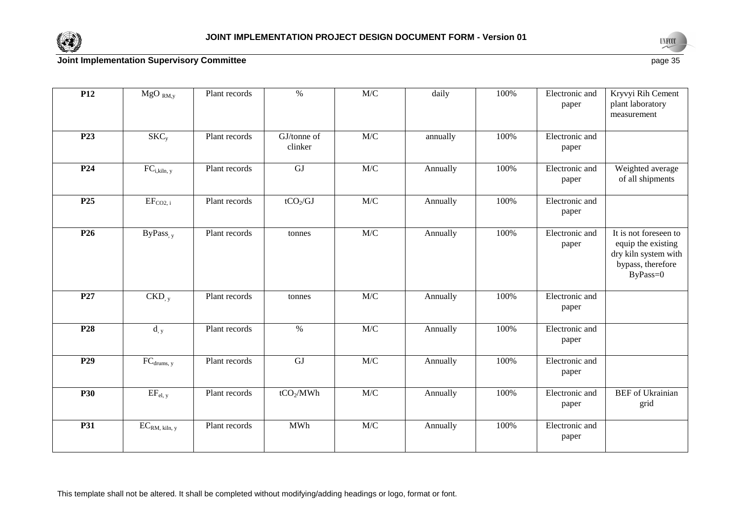



| <b>P12</b>      | $MgO_{RM,y}$                    | Plant records | %                      | M/C | daily    | 100% | Electronic and<br>paper | Kryvyi Rih Cement<br>plant laboratory<br>measurement                                                 |
|-----------------|---------------------------------|---------------|------------------------|-----|----------|------|-------------------------|------------------------------------------------------------------------------------------------------|
| P <sub>23</sub> | SKC <sub>y</sub>                | Plant records | GJ/tonne of<br>clinker | M/C | annually | 100% | Electronic and<br>paper |                                                                                                      |
| P <sub>24</sub> | $\overline{FC}_{i, kiln, y}$    | Plant records | GJ                     | M/C | Annually | 100% | Electronic and<br>paper | Weighted average<br>of all shipments                                                                 |
| P <sub>25</sub> | $EF_{CO2, i}$                   | Plant records | $tCO_2/GJ$             | M/C | Annually | 100% | Electronic and<br>paper |                                                                                                      |
| P <sub>26</sub> | $ByPass_{,y}$                   | Plant records | tonnes                 | M/C | Annually | 100% | Electronic and<br>paper | It is not foreseen to<br>equip the existing<br>dry kiln system with<br>bypass, therefore<br>ByPass=0 |
| P <sub>27</sub> | $CKD_{,y}$                      | Plant records | tonnes                 | M/C | Annually | 100% | Electronic and<br>paper |                                                                                                      |
| P <sub>28</sub> | $d_{,y}$                        | Plant records | $\%$                   | M/C | Annually | 100% | Electronic and<br>paper |                                                                                                      |
| P <sub>29</sub> | $FC_{\text{drums, y}}$          | Plant records | $\overline{GJ}$        | M/C | Annually | 100% | Electronic and<br>paper |                                                                                                      |
| <b>P30</b>      | $EF_{el, y}$                    | Plant records | tCO <sub>2</sub> /MWh  | M/C | Annually | 100% | Electronic and<br>paper | <b>BEF</b> of Ukrainian<br>grid                                                                      |
| <b>P31</b>      | $\text{EC}_{\text{RM, kih, y}}$ | Plant records | <b>MWh</b>             | M/C | Annually | 100% | Electronic and<br>paper |                                                                                                      |

This template shall not be altered. It shall be completed without modifying/adding headings or logo, format or font.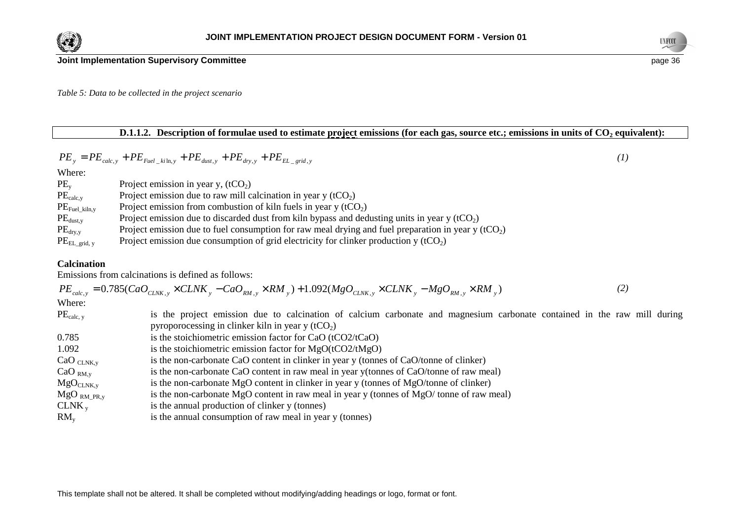



*Table 5: Data to be collected in the project scenario* 

# **D.1.1.2. Description of formulae used to estimate project emissions (for each gas, source etc.; emissions in units of CO2 equivalent):**

$$
PE_y = PE_{calc,y} + PE_{fuel\_kin,y} + PE_{dust,y} + PE_{dry,y} + PE_{EL\_grid,y}
$$
\n(1)

Where:

| $PE_v$                                | Project emission in year y, $(tCO2)$                                                                 |
|---------------------------------------|------------------------------------------------------------------------------------------------------|
| $PE_{calc,y}$                         | Project emission due to raw mill calcination in year $y(tCO2)$                                       |
| $\mathrm{PE}_{\mathrm{Fuel\_kiln,y}}$ | Project emission from combustion of kiln fuels in year $y(tCO2)$                                     |
| $PE_{dust,y}$                         | Project emission due to discarded dust from kiln bypass and dedusting units in year $y(tCO2)$        |
| $PE_{\text{dry},y}$                   | Project emission due to fuel consumption for raw meal drying and fuel preparation in year y $(tCO2)$ |
| $\rm{PE}_{\rm{EL\_grid},~y}$          | Project emission due consumption of grid electricity for clinker production $y(tCO2)$                |

# **Calcination**

Emissions from calcinations is defined as follows:

|                     | $PE_{calc,y} = 0.785(CaO_{CLNK,y} \times CLNK_y - CaO_{RM,y} \times RM_y) + 1.092(MgO_{CLNK,y} \times CLNK_y - MgO_{RM,y} \times RM_y)$ | (2) |  |
|---------------------|-----------------------------------------------------------------------------------------------------------------------------------------|-----|--|
| Where:              |                                                                                                                                         |     |  |
| $PE_{calc, y}$      | is the project emission due to calcination of calcium carbonate and magnesium carbonate contained in the raw mill during                |     |  |
|                     | pyroporocessing in clinker kiln in year y $(tCO2)$                                                                                      |     |  |
| 0.785               | is the stoichiometric emission factor for CaO (tCO2/tCaO)                                                                               |     |  |
| 1.092               | is the stoichiometric emission factor for $MgO(tCO2/tMgO)$                                                                              |     |  |
| $CaO_{CLNK,y}$      | is the non-carbonate CaO content in clinker in year y (tonnes of CaO/tonne of clinker)                                                  |     |  |
| CaO <sub>RM,y</sub> | is the non-carbonate CaO content in raw meal in year y(tonnes of CaO/tonne of raw meal)                                                 |     |  |
| $MgO_{CLNK,y}$      | is the non-carbonate MgO content in clinker in year y (tonnes of MgO/tonne of clinker)                                                  |     |  |
| $MgO_{RM\_PR,y}$    | is the non-carbonate MgO content in raw meal in year y (tonnes of MgO/tonne of raw meal)                                                |     |  |
| $CLNK_{v}$          | is the annual production of clinker y (tonnes)                                                                                          |     |  |
| $RM_{v}$            | is the annual consumption of raw meal in year y (tonnes)                                                                                |     |  |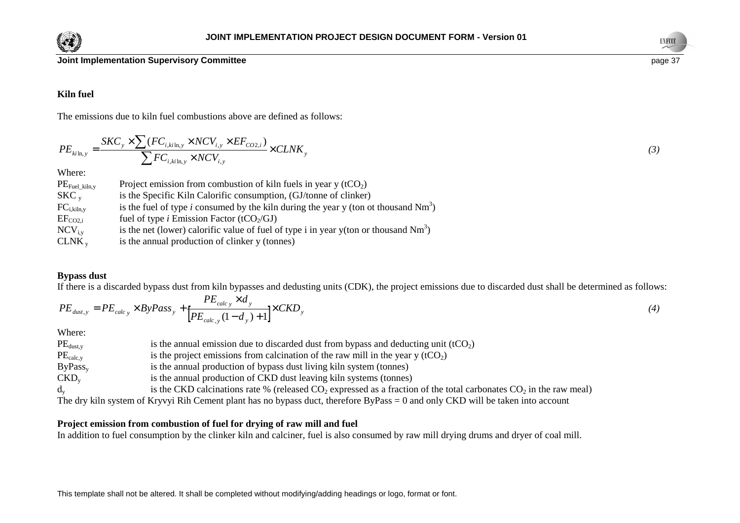



# **Kiln fuel**

The emissions due to kiln fuel combustions above are defined as follows:

$$
PE_{ki\ln,y} = \frac{SKC_y \times \sum (FC_{i,ki\ln,y} \times NCV_{i,y} \times EF_{CO2,i})}{\sum FC_{i,ki\ln,y} \times NCV_{i,y}} \times CLNK_y
$$
\n(3)

Where:

| $PE_{\text{Fuel\_kiln},y}$ | Project emission from combustion of kiln fuels in year $y(tCO2)$                              |
|----------------------------|-----------------------------------------------------------------------------------------------|
| $SKC_{v}$                  | is the Specific Kiln Calorific consumption, (GJ/tonne of clinker)                             |
| $FC_{i, kilm, v}$          | is the fuel of type <i>i</i> consumed by the kiln during the year y (ton ot thousand $Nm^3$ ) |
| $EF_{CO2,i}$               | fuel of type <i>i</i> Emission Factor (tCO <sub>2</sub> /GJ)                                  |
| $\text{NCV}_{i,v}$         | is the net (lower) calorific value of fuel of type i in year y(ton or thousand $Nm^3$ )       |
| CLNK <sub>v</sub>          | is the annual production of clinker y (tonnes)                                                |

# **Bypass dust**

If there is a discarded bypass dust from kiln bypasses and dedusting units (CDK), the project emissions due to discarded dust shall be determined as follows:

$$
PE_{dust,y} = PE_{calc_y} \times ByPass_y + \frac{PE_{calc_y} \times d_y}{[PE_{calc_y}(1 - d_y) + 1]} \times CKD_y \tag{4}
$$

Where:

| $PE_{dust,y}$       | is the annual emission due to discarded dust from bypass and deducting unit $(tCO2)$                                              |
|---------------------|-----------------------------------------------------------------------------------------------------------------------------------|
| $PE_{calc, v}$      | is the project emissions from calcination of the raw mill in the year $y(tCO2)$                                                   |
| ByPass <sub>v</sub> | is the annual production of bypass dust living kiln system (tonnes)                                                               |
| $CKD_{v}$           | is the annual production of CKD dust leaving kiln systems (tonnes)                                                                |
| $d_v$               | is the CKD calcinations rate % (released $CO_2$ expressed as a fraction of the total carbonates $CO_2$ in the raw meal)           |
|                     | The dry kiln system of Kryvyi Rih Cement plant has no bypass duct, therefore ByPass $= 0$ and only CKD will be taken into account |

# **Project emission from combustion of fuel for drying of raw mill and fuel**

In addition to fuel consumption by the clinker kiln and calciner, fuel is also consumed by raw mill drying drums and dryer of coal mill.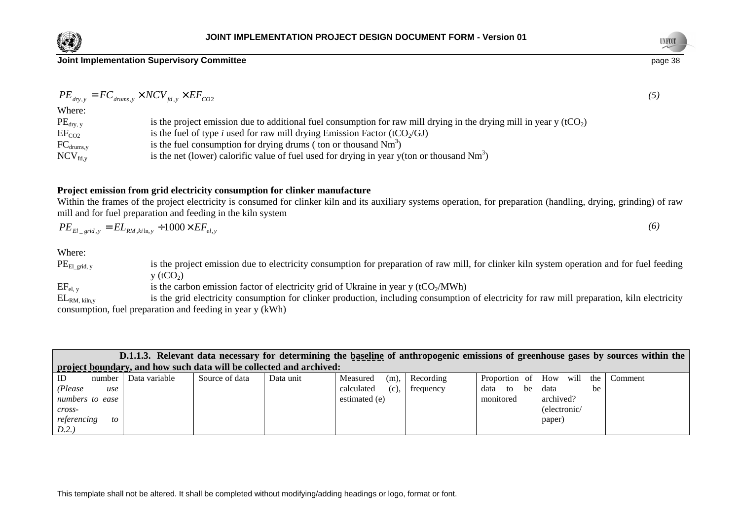



 $e$  page 38

 $PE_{dry, y} = FC_{drums, y} \times NCV_{fd, y} \times EF_{CO2}$  (5) Where:

| is the project emission due to additional fuel consumption for raw mill drying in the drying mill in year y $(tCO2)$ |
|----------------------------------------------------------------------------------------------------------------------|
|                                                                                                                      |
|                                                                                                                      |
|                                                                                                                      |
|                                                                                                                      |

# **Project emission from grid electricity consumption for clinker manufacture**

 Within the frames of the project electricity is consumed for clinker kiln and its auxiliary systems operation, for preparation (handling, drying, grinding) of raw mill and for fuel preparation and feeding in the kiln system

$$
PE_{El\_grid,y} = EL_{RM,ki\ln,y} \div 1000 \times EF_{el,y} \tag{6}
$$

Where:

 $PE_{El\_grid, y}$ is the project emission due to electricity consumption for preparation of raw mill, for clinker kiln system operation and for fuel feeding  $y(tCO<sub>2</sub>)$  $EF_{el, y}$  is the carbon emission factor of electricity grid of Ukraine in year y (tCO<sub>2</sub>/MWh)

 $EL_{RM, kiln,v}$  is the grid electricity consumption for clinker production, including consumption of electricity for raw mill preparation, kiln electricity consumption, fuel preparation and feeding in year y (kWh)

|                 |        |               |                |                                                                     |                       |           |                  |                    | D.1.1.3. Relevant data necessary for determining the baseline of anthropogenic emissions of greenhouse gases by sources within the |
|-----------------|--------|---------------|----------------|---------------------------------------------------------------------|-----------------------|-----------|------------------|--------------------|------------------------------------------------------------------------------------------------------------------------------------|
|                 |        |               |                | project boundary, and how such data will be collected and archived: |                       |           |                  |                    |                                                                                                                                    |
| ID              | number | Data variable | Source of data | Data unit                                                           | $(m)$ ,<br>Measured   | Recording | Proportion of    | How<br>will<br>the | Comment                                                                                                                            |
| (Please         | use    |               |                |                                                                     | calculated<br>$(c)$ , | frequency | data<br>be<br>to | data<br>be         |                                                                                                                                    |
| numbers to ease |        |               |                |                                                                     | estimated (e)         |           | monitored        | archived?          |                                                                                                                                    |
| cross-          |        |               |                |                                                                     |                       |           |                  | (electronic/       |                                                                                                                                    |
| referencing     | to     |               |                |                                                                     |                       |           |                  | paper)             |                                                                                                                                    |
| D.2.            |        |               |                |                                                                     |                       |           |                  |                    |                                                                                                                                    |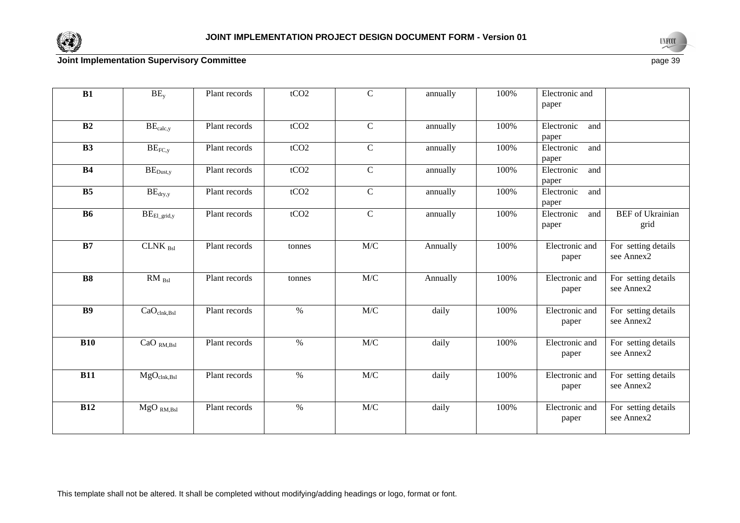



| B1             | $BE_{y}$                               | Plant records | tCO2   | $\mathbf C$    | annually | 100% | Electronic and<br>paper    |                                   |
|----------------|----------------------------------------|---------------|--------|----------------|----------|------|----------------------------|-----------------------------------|
| B2             | $BE_{calc,y}$                          | Plant records | tCO2   | $\mathbf C$    | annually | 100% | Electronic<br>and<br>paper |                                   |
| B3             | $BE_{FC,y}$                            | Plant records | tCO2   | $\mathbf C$    | annually | 100% | Electronic<br>and<br>paper |                                   |
| <b>B4</b>      | $\text{BE}_{\text{Dust,y}}$            | Plant records | tCO2   | $\mathbf C$    | annually | 100% | Electronic<br>and<br>paper |                                   |
| B <sub>5</sub> | $BE_{dry,y}$                           | Plant records | tCO2   | $\mathbf C$    | annually | 100% | Electronic<br>and<br>paper |                                   |
| <b>B6</b>      | $\text{BE}_{\rm El\_grid,y}$           | Plant records | tCO2   | $\overline{C}$ | annually | 100% | Electronic<br>and<br>paper | <b>BEF</b> of Ukrainian<br>grid   |
| B7             | CLNK $_{\rm Bsl}$                      | Plant records | tonnes | M/C            | Annually | 100% | Electronic and<br>paper    | For setting details<br>see Annex2 |
| <b>B8</b>      | $\overline{\text{RM}}_{\text{Bsl}}$    | Plant records | tonnes | M/C            | Annually | 100% | Electronic and<br>paper    | For setting details<br>see Annex2 |
| <b>B9</b>      | CaO <sub>clnk,Bsl</sub>                | Plant records | $\%$   | M/C            | daily    | 100% | Electronic and<br>paper    | For setting details<br>see Annex2 |
| <b>B10</b>     | $\overline{\text{CaO}}_{\text{RM,BS}}$ | Plant records | $\%$   | M/C            | daily    | 100% | Electronic and<br>paper    | For setting details<br>see Annex2 |
| <b>B11</b>     | $MgO_{\text{clnk,Bsl}}$                | Plant records | $\%$   | M/C            | daily    | 100% | Electronic and<br>paper    | For setting details<br>see Annex2 |
| <b>B12</b>     | $MgO_{RM,Bsl}$                         | Plant records | $\%$   | $\rm M/C$      | daily    | 100% | Electronic and<br>paper    | For setting details<br>see Annex2 |

This template shall not be altered. It shall be completed without modifying/adding headings or logo, format or font.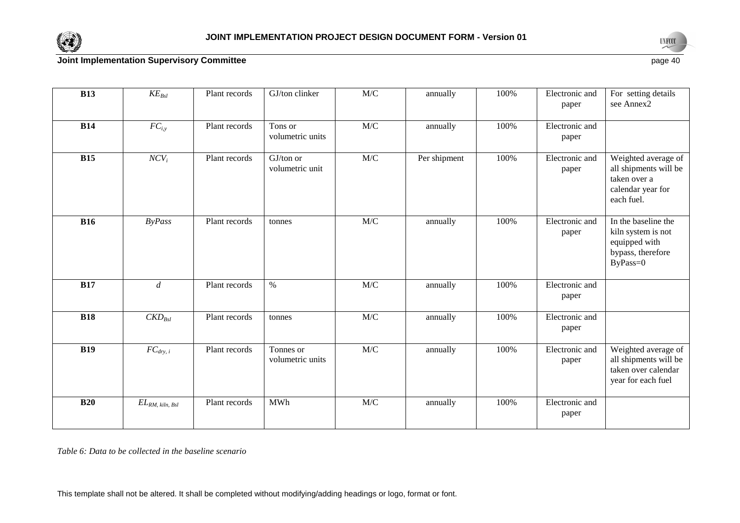



 $e$  page 40

| <b>B13</b> | $KE_{Bsl}$                 | Plant records | GJ/ton clinker                | $\mathbf{M}/\mathbf{C}$                              | annually     | 100% | Electronic and<br>paper | For setting details<br>see Annex2                                                               |
|------------|----------------------------|---------------|-------------------------------|------------------------------------------------------|--------------|------|-------------------------|-------------------------------------------------------------------------------------------------|
| <b>B14</b> | $FC_{i,y}$                 | Plant records | Tons or<br>volumetric units   | M/C                                                  | annually     | 100% | Electronic and<br>paper |                                                                                                 |
| <b>B15</b> | $NCV_i$                    | Plant records | GJ/ton or<br>volumetric unit  | M/C                                                  | Per shipment | 100% | Electronic and<br>paper | Weighted average of<br>all shipments will be<br>taken over a<br>calendar year for<br>each fuel. |
| <b>B16</b> | <b>ByPass</b>              | Plant records | tonnes                        | $\ensuremath{\text{M}}\xspace/\ensuremath{\text{C}}$ | annually     | 100% | Electronic and<br>paper | In the baseline the<br>kiln system is not<br>equipped with<br>bypass, therefore<br>ByPass=0     |
| <b>B17</b> | $\boldsymbol{d}$           | Plant records | $\%$                          | M/C                                                  | annually     | 100% | Electronic and<br>paper |                                                                                                 |
| <b>B18</b> | $CKD_{\text{Bsl}}$         | Plant records | tonnes                        | $\ensuremath{\text{M}}\xspace/\ensuremath{\text{C}}$ | annually     | 100% | Electronic and<br>paper |                                                                                                 |
| <b>B19</b> | $FC_{dry, i}$              | Plant records | Tonnes or<br>volumetric units | M/C                                                  | annually     | 100% | Electronic and<br>paper | Weighted average of<br>all shipments will be<br>taken over calendar<br>year for each fuel       |
| <b>B20</b> | $EL_{RM, \; kiln, \; Bsl}$ | Plant records | <b>MWh</b>                    | M/C                                                  | annually     | 100% | Electronic and<br>paper |                                                                                                 |

*Table 6: Data to be collected in the baseline scenario*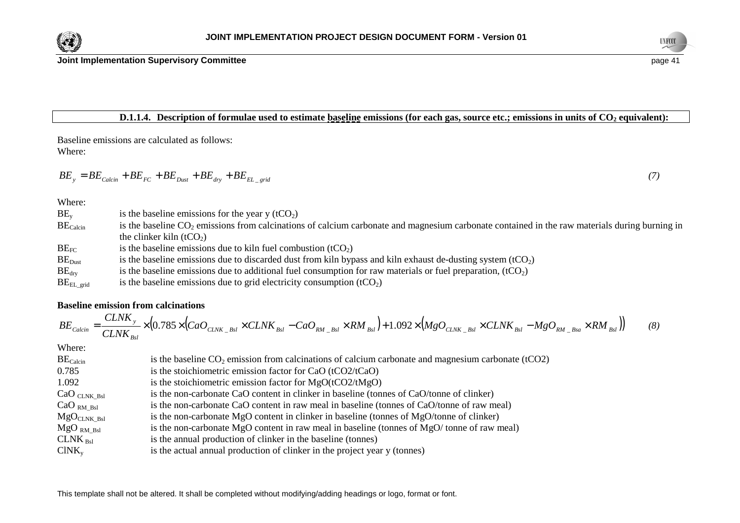



# **D.1.1.4.** Description of formulae used to estimate baseline emissions (for each gas, source etc.; emissions in units of CO<sub>2</sub> equivalent):

Baseline emissions are calculated as follows: Where:

$$
BE_y = BE_{Calcin} + BE_{FC} + BE_{Dust} + BE_{dry} + BE_{EL\_grid}
$$
\n
$$
\tag{7}
$$

Where:

| $BE_v$               | is the baseline emissions for the year y $(tCO2)$                                                                                                |
|----------------------|--------------------------------------------------------------------------------------------------------------------------------------------------|
| BE <sub>Calcin</sub> | is the baseline $CO_2$ emissions from calcinations of calcium carbonate and magnesium carbonate contained in the raw materials during burning in |
|                      | the clinker kiln $(tCO2)$                                                                                                                        |
| $BE_{FC}$            | is the baseline emissions due to kiln fuel combustion $(tCO2)$                                                                                   |
| $BE_{Dust}$          | is the baseline emissions due to discarded dust from kiln bypass and kiln exhaust de-dusting system (tCO <sub>2</sub> )                          |
| $BE_{\rm dry}$       | is the baseline emissions due to additional fuel consumption for raw materials or fuel preparation, $(tCO2)$                                     |

 $BE<sub>EL grid</sub>$  is the baseline emissions due to grid electricity consumption (tCO<sub>2</sub>)

# **Baseline emission from calcinations**

$$
BE_{Calcin} = \frac{CLNK_y}{CLNK_{Bsl}} \times (0.785 \times (CaO_{CLNK\_Bsl} \times CLNK_{Bsl} - CaO_{RM\_Bsl} \times RM_{Bsl}) + 1.092 \times (MgO_{CLNK\_Bsl} \times CLNK_{Bsl} - MgO_{RM\_Bsa} \times RM_{Bsl})) \tag{8}
$$

| BE <sub>Calcin</sub>    | is the baseline $CO2$ emission from calcinations of calcium carbonate and magnesium carbonate (tCO2) |
|-------------------------|------------------------------------------------------------------------------------------------------|
| 0.785                   | is the stoichiometric emission factor for CaO (tCO2/tCaO)                                            |
| 1.092                   | is the stoichiometric emission factor for $MgO(tCO2/tMgO)$                                           |
| $CaO_{CLNK\_Bsl}$       | is the non-carbonate CaO content in clinker in baseline (tonnes of CaO/tonne of clinker)             |
| CaO <sub>RM Bsl</sub>   | is the non-carbonate CaO content in raw meal in baseline (tonnes of CaO/tonne of raw meal)           |
| MgO <sub>CLNK Bsl</sub> | is the non-carbonate MgO content in clinker in baseline (tonnes of MgO/tonne of clinker)             |
| $MgO_{RM Bsl}$          | is the non-carbonate MgO content in raw meal in baseline (tonnes of MgO/tonne of raw meal)           |
| CLNK <sub>est</sub>     | is the annual production of clinker in the baseline (tonnes)                                         |
| $CINK_v$                | is the actual annual production of clinker in the project year y (tonnes)                            |
|                         |                                                                                                      |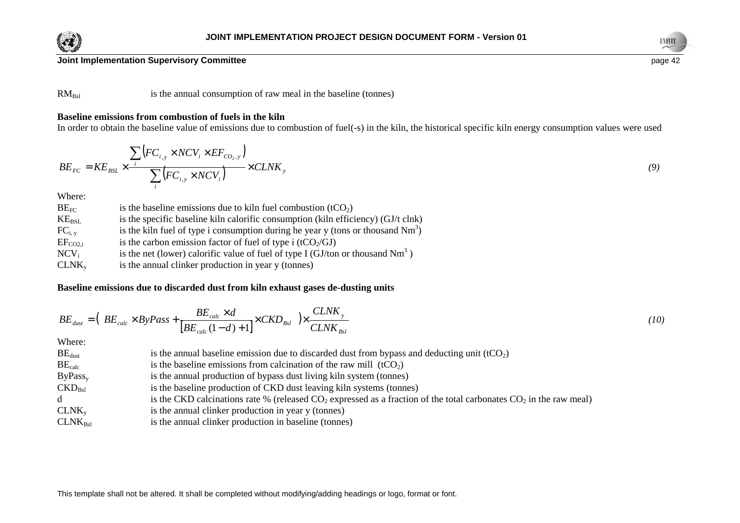



 $RM<sub>Bsl</sub>$  is the annual consumption of raw meal in the baseline (tonnes)

# **Baseline emissions from combustion of fuels in the kiln**

In order to obtain the baseline value of emissions due to combustion of fuel(-s) in the kiln, the historical specific kiln energy consumption values were used

$$
BE_{FC} = KE_{BSL} \times \frac{\sum_{i} \left( FC_{i,y} \times NCV_{i} \times EF_{CO_{2},y} \right)}{\sum_{i} \left( FC_{i,y} \times NCV_{i} \right)} \times CLNK_{y}
$$
\n(9)

Where:

| $BE_{FC}$      | is the baseline emissions due to kiln fuel combustion $(tCO2)$                     |
|----------------|------------------------------------------------------------------------------------|
| $KE_{\rm BSL}$ | is the specific baseline kiln calorific consumption (kiln efficiency) (GJ/t clnk)  |
| $FC_{i, v}$    | is the kiln fuel of type i consumption during he year y (tons or thousand $Nm^3$ ) |
| $EF_{CO2,i}$   | is the carbon emission factor of fuel of type i ( $tCO2/GI$ )                      |
| $NCV_i$        | is the net (lower) calorific value of fuel of type I (GJ/ton or thousand $Nm3$ )   |
| $CLNK_{v}$     | is the annual clinker production in year y (tonnes)                                |

# **Baseline emissions due to discarded dust from kiln exhaust gases de-dusting units**

$$
BE_{dust} = \left(BE_{calc} \times ByPass + \frac{BE_{calc} \times d}{\left[BE_{calc}(1-d) + 1\right]} \times CKD_{Bsl}\right) \times \frac{CLNK_y}{CLNK_{Bsl}}
$$
\n(10)

| $BE_{\text{dust}}$        | is the annual baseline emission due to discarded dust from bypass and deducting unit $(tCO2)$                           |
|---------------------------|-------------------------------------------------------------------------------------------------------------------------|
| $BE_{calc}$               | is the baseline emissions from calcination of the raw mill $(tCO2)$                                                     |
| ByPass <sub>v</sub>       | is the annual production of bypass dust living kiln system (tonnes)                                                     |
| $\text{CKD}_{\text{Bsl}}$ | is the baseline production of CKD dust leaving kiln systems (tonnes)                                                    |
| d                         | is the CKD calcinations rate % (released $CO_2$ expressed as a fraction of the total carbonates $CO_2$ in the raw meal) |
| $CLNK_{v}$                | is the annual clinker production in year y (tonnes)                                                                     |
| $CLNK_{Bsl}$              | is the annual clinker production in baseline (tonnes)                                                                   |
|                           |                                                                                                                         |

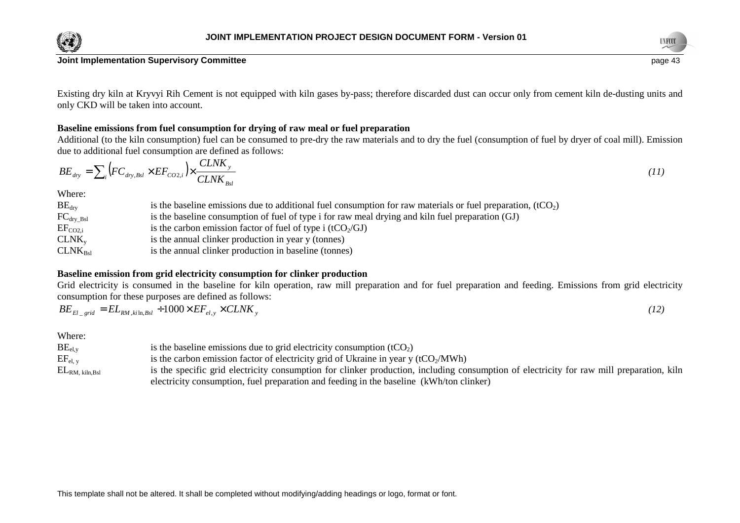

Existing dry kiln at Kryvyi Rih Cement is not equipped with kiln gases by-pass; therefore discarded dust can occur only from cement kiln de-dusting units and only CKD will be taken into account.

# **Baseline emissions from fuel consumption for drying of raw meal or fuel preparation**

 Additional (to the kiln consumption) fuel can be consumed to pre-dry the raw materials and to dry the fuel (consumption of fuel by dryer of coal mill). Emission due to additional fuel consumption are defined as follows:

$$
BE_{\text{dry}} = \sum_{i} \left( FC_{\text{dry},\text{Bsl}} \times EF_{CO2,i} \right) \times \frac{CLNK_y}{CLNK_{\text{Bsl}}} \tag{11}
$$

Where:

| $BE_{\text{dry}}$      | is the baseline emissions due to additional fuel consumption for raw materials or fuel preparation, $(tCO2)$ |
|------------------------|--------------------------------------------------------------------------------------------------------------|
| $FC_{\text{dry\_Bsl}}$ | is the baseline consumption of fuel of type i for raw meal drying and kiln fuel preparation (GJ)             |
| $EF_{CO2,i}$           | is the carbon emission factor of fuel of type i (tCO $\gamma$ GJ)                                            |
| $CLNK_{v}$             | is the annual clinker production in year y (tonnes)                                                          |
| $CLNK_{Bsl}$           | is the annual clinker production in baseline (tonnes)                                                        |

# **Baseline emission from grid electricity consumption for clinker production**

Grid electricity is consumed in the baseline for kiln operation, raw mill preparation and for fuel preparation and feeding. Emissions from grid electricity consumption for these purposes are defined as follows:

| $BE_{El\_grid} = EL_{RM,ki\ln,Bsl} + 1000 \times EF_{el,y} \times CLNK_{y}$ | (12) |
|-----------------------------------------------------------------------------|------|
|-----------------------------------------------------------------------------|------|

| $BE_{el,v}$                                      | is the baseline emissions due to grid electricity consumption $(tCO2)$                                                                   |
|--------------------------------------------------|------------------------------------------------------------------------------------------------------------------------------------------|
| $EF_{el, v}$                                     | is the carbon emission factor of electricity grid of Ukraine in year y ( $tCO2/MWh$ )                                                    |
| $\mathrm{EL}_{\mathrm{RM}, \mathrm{~kiln, Bsl}}$ | is the specific grid electricity consumption for clinker production, including consumption of electricity for raw mill preparation, kiln |
|                                                  | electricity consumption, fuel preparation and feeding in the baseline (kWh/ton clinker)                                                  |

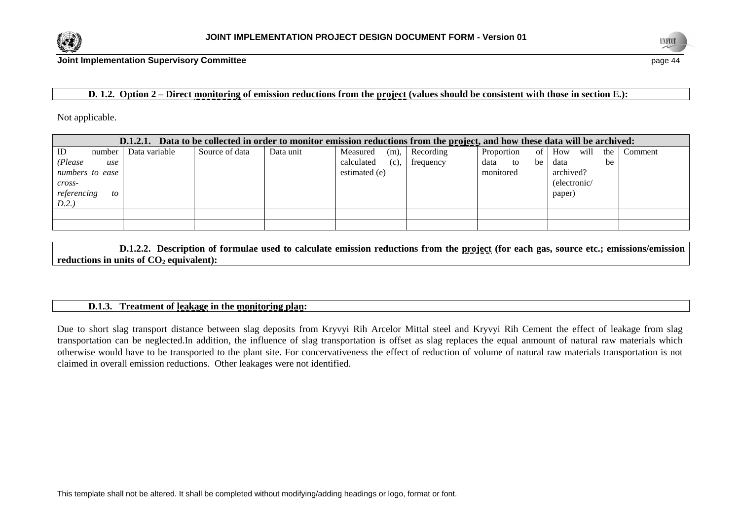



 $e$  page 44

# **D. 1.2.** Option 2 – Direct monitoring of emission reductions from the project (values should be consistent with those in section E.):

Not applicable.

| Data to be collected in order to monitor emission reductions from the <u>project</u> , and how these data will be archived:<br>D.1.2.1. |               |                |           |                       |           |                  |                    |         |  |
|-----------------------------------------------------------------------------------------------------------------------------------------|---------------|----------------|-----------|-----------------------|-----------|------------------|--------------------|---------|--|
| <b>ID</b><br>number                                                                                                                     | Data variable | Source of data | Data unit | (m),<br>Measured      | Recording | of<br>Proportion | will<br>How<br>the | Comment |  |
| (Please<br>use                                                                                                                          |               |                |           | calculated<br>$(c)$ , | frequency | data to<br>be    | be<br>data         |         |  |
| numbers to ease                                                                                                                         |               |                |           | estimated (e)         |           | monitored        | archived?          |         |  |
| cross-                                                                                                                                  |               |                |           |                       |           |                  | (electronic/       |         |  |
| referencing<br>to                                                                                                                       |               |                |           |                       |           |                  | paper)             |         |  |
| D.2.)                                                                                                                                   |               |                |           |                       |           |                  |                    |         |  |
|                                                                                                                                         |               |                |           |                       |           |                  |                    |         |  |
|                                                                                                                                         |               |                |           |                       |           |                  |                    |         |  |

 **D.1.2.2. Description of formulae used to calculate emission reductions from the project (for each gas, source etc.; emissions/emission reductions in units of CO2 equivalent):** 

# **D.1.3. Treatment of leakage in the monitoring plan:**

Due to short slag transport distance between slag deposits from Kryvyi Rih Arcelor Mittal steel and Kryvyi Rih Cement the effect of leakage from slag transportation can be neglected.In addition, the influence of slag transportation is offset as slag replaces the equal anmount of natural raw materials which otherwise would have to be transported to the plant site. For concervativeness the effect of reduction of volume of natural raw materials transportation is not claimed in overall emission reductions. Other leakages were not identified.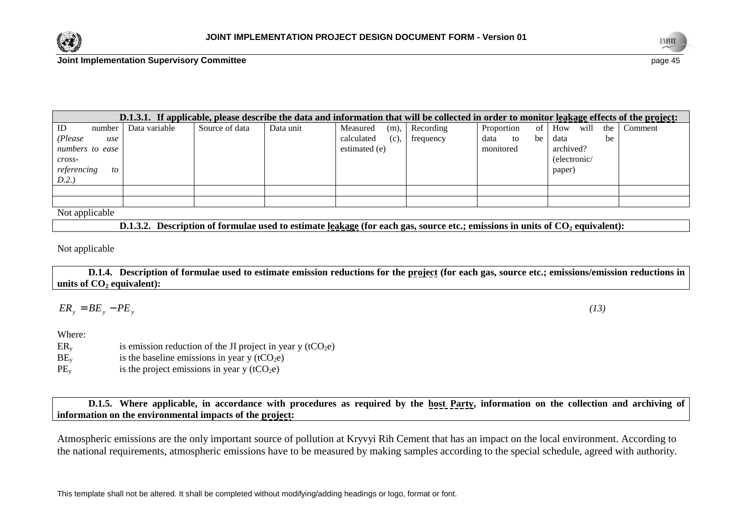



| -   | page 45 |
|-----|---------|
| . . | . .     |
|     |         |

| D.1.3.1. If applicable, please describe the data and information that will be collected in order to monitor leakage effects of the project: |        |               |                |           |               |         |           |            |      |              |      |       |         |
|---------------------------------------------------------------------------------------------------------------------------------------------|--------|---------------|----------------|-----------|---------------|---------|-----------|------------|------|--------------|------|-------|---------|
| ID                                                                                                                                          | number | Data variable | Source of data | Data unit | Measured      | $(m)$ , | Recording | Proportion | of 1 | How          | will | the 1 | Comment |
| (Please)                                                                                                                                    | use    |               |                |           | calculated    | (c),    | frequency | data<br>to | be   | data         |      | be    |         |
| numbers to ease                                                                                                                             |        |               |                |           | estimated (e) |         |           | monitored  |      | archived?    |      |       |         |
| $cross-$                                                                                                                                    |        |               |                |           |               |         |           |            |      | (electronic/ |      |       |         |
| referencing                                                                                                                                 | to     |               |                |           |               |         |           |            |      | paper)       |      |       |         |
| D.2.                                                                                                                                        |        |               |                |           |               |         |           |            |      |              |      |       |         |
|                                                                                                                                             |        |               |                |           |               |         |           |            |      |              |      |       |         |
|                                                                                                                                             |        |               |                |           |               |         |           |            |      |              |      |       |         |

Not applicable

 **D.1.3.2. Description of formulae used to estimate leakage (for each gas, source etc.; emissions in units of CO2 equivalent):** 

Not applicable

 **D.1.4. Description of formulae used to estimate emission reductions for the project (for each gas, source etc.; emissions/emission reductions in units of CO2 equivalent):** 

 $ER_{y} =$  $B = BE_y - PE_y$  *(13)* 

Where:

- $ER<sub>v</sub>$  is emission reduction of the JI project in year y (tCO<sub>2</sub>e)
- $BE<sub>v</sub>$  is the baseline emissions in year y (tCO<sub>2</sub>e)
- $PE<sub>v</sub>$  is the project emissions in year y (tCO<sub>2</sub>e)

 **D.1.5. Where applicable, in accordance with procedures as required by the host Party, information on the collection and archiving of information on the environmental impacts of the project:** 

Atmospheric emissions are the only important source of pollution at Kryvyi Rih Cement that has an impact on the local environment. According to the national requirements, atmospheric emissions have to be measured by making samples according to the special schedule, agreed with authority.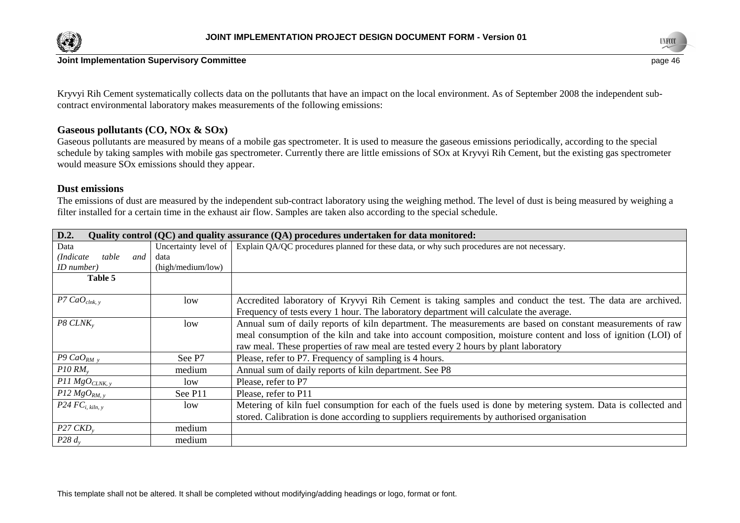



Kryvyi Rih Cement systematically collects data on the pollutants that have an impact on the local environment. As of September 2008 the independent subcontract environmental laboratory makes measurements of the following emissions:

# **Gaseous pollutants (CO, NOx & SOx)**

 Gaseous pollutants are measured by means of a mobile gas spectrometer. It is used to measure the gaseous emissions periodically, according to the specialschedule by taking samples with mobile gas spectrometer. Currently there are little emissions of SOx at Kryvyi Rih Cement, but the existing gas spectrometer would measure SOx emissions should they appear.

# **Dust emissions**

 The emissions of dust are measured by the independent sub-contract laboratory using the weighing method. The level of dust is being measured by weighing a filter installed for a certain time in the exhaust air flow. Samples are taken also according to the special schedule.

| D.2.                        |                      | Quality control (QC) and quality assurance (QA) procedures undertaken for data monitored:                                                                                                                                                                                                                           |
|-----------------------------|----------------------|---------------------------------------------------------------------------------------------------------------------------------------------------------------------------------------------------------------------------------------------------------------------------------------------------------------------|
| Data                        | Uncertainty level of | Explain QA/QC procedures planned for these data, or why such procedures are not necessary.                                                                                                                                                                                                                          |
| table<br>(Indicate)<br>and  | data                 |                                                                                                                                                                                                                                                                                                                     |
| ID number)                  | (high/medium/low)    |                                                                                                                                                                                                                                                                                                                     |
| Table 5                     |                      |                                                                                                                                                                                                                                                                                                                     |
| P7 $CaO_{\text{clnk. v}}$   | low                  | Accredited laboratory of Kryvyi Rih Cement is taking samples and conduct the test. The data are archived.<br>Frequency of tests every 1 hour. The laboratory department will calculate the average.                                                                                                                 |
| $P8$ CLNK <sub>y</sub>      | low                  | Annual sum of daily reports of kiln department. The measurements are based on constant measurements of raw<br>meal consumption of the kiln and take into account composition, moisture content and loss of ignition (LOI) of<br>raw meal. These properties of raw meal are tested every 2 hours by plant laboratory |
| P9 CaO <sub>RM</sub> $_{v}$ | See P7               | Please, refer to P7. Frequency of sampling is 4 hours.                                                                                                                                                                                                                                                              |
| $P10 RM$ <sub>v</sub>       | medium               | Annual sum of daily reports of kiln department. See P8                                                                                                                                                                                                                                                              |
| $P11\,MgO_{CLNK, y}$        | low                  | Please, refer to P7                                                                                                                                                                                                                                                                                                 |
| P12 MgO <sub>RM, y</sub>    | See P <sub>11</sub>  | Please, refer to P11                                                                                                                                                                                                                                                                                                |
| $P24FC_{i, kilm, y}$        | low                  | Metering of kiln fuel consumption for each of the fuels used is done by metering system. Data is collected and<br>stored. Calibration is done according to suppliers requirements by authorised organisation                                                                                                        |
| $P27$ CKD <sub>v</sub>      | medium               |                                                                                                                                                                                                                                                                                                                     |
| P28 $d_v$                   | medium               |                                                                                                                                                                                                                                                                                                                     |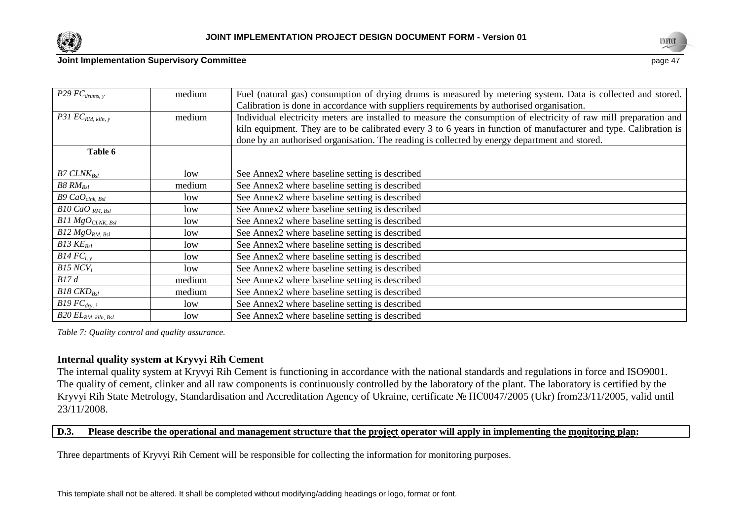



| $P29$ $FC_{drums, y}$          | medium | Fuel (natural gas) consumption of drying drums is measured by metering system. Data is collected and stored.      |
|--------------------------------|--------|-------------------------------------------------------------------------------------------------------------------|
|                                |        | Calibration is done in accordance with suppliers requirements by authorised organisation.                         |
| P31 $EC_{RM, kih, y}$          | medium | Individual electricity meters are installed to measure the consumption of electricity of raw mill preparation and |
|                                |        | kiln equipment. They are to be calibrated every 3 to 6 years in function of manufacturer and type. Calibration is |
|                                |        | done by an authorised organisation. The reading is collected by energy department and stored.                     |
| Table 6                        |        |                                                                                                                   |
| $B7$ CLN $K_{Bsl}$             | low    | See Annex2 where baseline setting is described                                                                    |
| $B8\,RM_{\rm Bsl}$             | medium | See Annex2 where baseline setting is described                                                                    |
| $B9$ Ca $O_{\text{clnk, Bsl}}$ | low    | See Annex2 where baseline setting is described                                                                    |
| $B10$ CaO $_{RM, Bsl}$         | low    | See Annex2 where baseline setting is described                                                                    |
| $B11\,MgO_{CLNK,~Bsl}$         | low    | See Annex2 where baseline setting is described                                                                    |
| $B12 MgO_{RM, Bsl}$            | low    | See Annex2 where baseline setting is described                                                                    |
| $B13$ $KE_{Bsl}$               | low    | See Annex2 where baseline setting is described                                                                    |
| $B14FC_{i, v}$                 | low    | See Annex2 where baseline setting is described                                                                    |
| B15 NCV <sub>i</sub>           | low    | See Annex2 where baseline setting is described                                                                    |
| B17d                           | medium | See Annex2 where baseline setting is described                                                                    |
| $B18$ CKD <sub>Bsl</sub>       | medium | See Annex2 where baseline setting is described                                                                    |
| $B19FC_{\text{dry}, i}$        | low    | See Annex2 where baseline setting is described                                                                    |
| $B20$ $EL_{RM,~kiln,~Bsl}$     | low    | See Annex2 where baseline setting is described                                                                    |

*Table 7: Quality control and quality assurance.* 

# **Internal quality system at Kryvyi Rih Cement**

 The internal quality system at Kryvyi Rih Cement is functioning in accordance with the national standards and regulations in force and ISO9001. The quality of cement, clinker and all raw components is continuously controlled by the laboratory of the plant. The laboratory is certified by the Kryvyi Rih State Metrology, Standardisation and Accreditation Agency of Ukraine, certificate № ПЄ0047/2005 (Ukr) from23/11/2005, valid until<br>23/11/2008 23/11/2008.

# **D.3. Please describe the operational and management structure that the project operator will apply in implementing the monitoring plan:**

Three departments of Kryvyi Rih Cement will be responsible for collecting the information for monitoring purposes.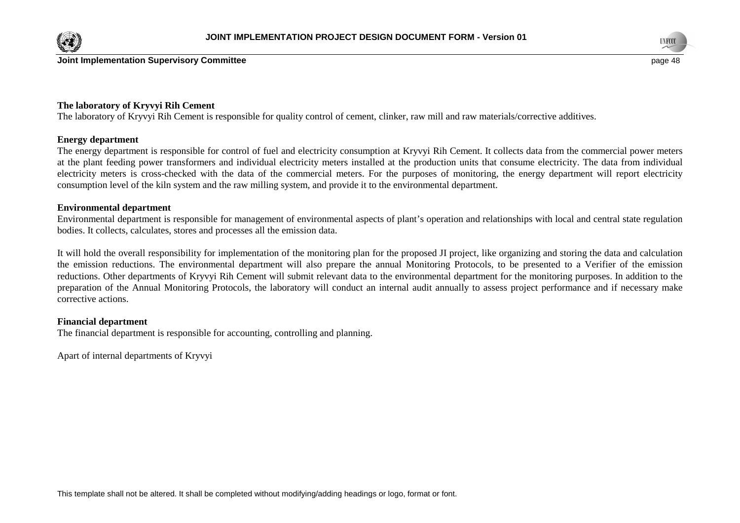



# **The laboratory of Kryvyi Rih Cement**

The laboratory of Kryvyi Rih Cement is responsible for quality control of cement, clinker, raw mill and raw materials/corrective additives.

#### **Energy department**

 The energy department is responsible for control of fuel and electricity consumption at Kryvyi Rih Cement. It collects data from the commercial power meters at the plant feeding power transformers and individual electricity meters installed at the production units that consume electricity. The data from individual electricity meters is cross-checked with the data of the commercial meters. For the purposes of monitoring, the energy department will report electricityconsumption level of the kiln system and the raw milling system, and provide it to the environmental department.

#### **Environmental department**

 Environmental department is responsible for management of environmental aspects of plant's operation and relationships with local and central state regulation bodies. It collects, calculates, stores and processes all the emission data.

It will hold the overall responsibility for implementation of the monitoring plan for the proposed JI project, like organizing and storing the data and calculation the emission reductions. The environmental department will also prepare the annual Monitoring Protocols, to be presented to a Verifier of the emission reductions. Other departments of Kryvyi Rih Cement will submit relevant data to the environmental department for the monitoring purposes. In addition to the preparation of the Annual Monitoring Protocols, the laboratory will conduct an internal audit annually to assess project performance and if necessary make corrective actions.

#### **Financial department**

The financial department is responsible for accounting, controlling and planning.

Apart of internal departments of Kryvyi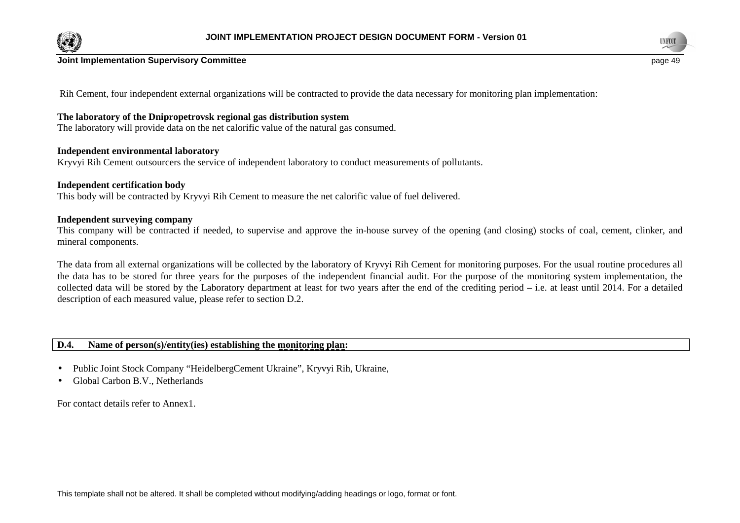



 $e$  page 49

Rih Cement, four independent external organizations will be contracted to provide the data necessary for monitoring plan implementation:

# **The laboratory of the Dnipropetrovsk regional gas distribution system**

The laboratory will provide data on the net calorific value of the natural gas consumed.

# **Independent environmental laboratory**

Kryvyi Rih Cement outsourcers the service of independent laboratory to conduct measurements of pollutants.

# **Independent certification body**

This body will be contracted by Kryvyi Rih Cement to measure the net calorific value of fuel delivered.

# **Independent surveying company**

 This company will be contracted if needed, to supervise and approve the in-house survey of the opening (and closing) stocks of coal, cement, clinker, andmineral components.

The data from all external organizations will be collected by the laboratory of Kryvyi Rih Cement for monitoring purposes. For the usual routine procedures all the data has to be stored for three years for the purposes of the independent financial audit. For the purpose of the monitoring system implementation, the collected data will be stored by the Laboratory department at least for two years after the end of the crediting period – i.e. at least until 2014. For a detailed description of each measured value, please refer to section D.2.

# **D.4. Name of person(s)/entity(ies) establishing the monitoring plan:**

- •Public Joint Stock Company "HeidelbergCement Ukraine", Kryvyi Rih, Ukraine,
- •Global Carbon B.V., Netherlands

For contact details refer to Annex1.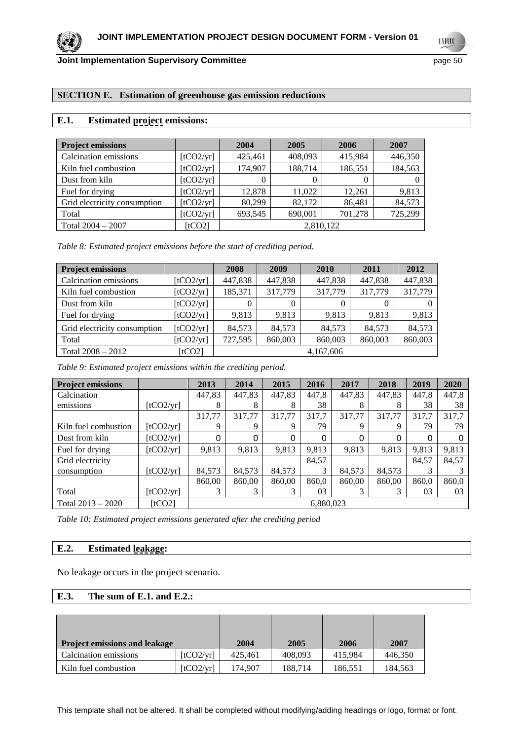**UNFCCC** 

# **SECTION E. Estimation of greenhouse gas emission reductions**

# **E.1. Estimated project emissions:**

| <b>Project emissions</b>     |           | 2004      | 2005    | 2006    | 2007    |  |  |
|------------------------------|-----------|-----------|---------|---------|---------|--|--|
| Calcination emissions        | [tCO2/yr] | 425,461   | 408,093 | 415,984 | 446,350 |  |  |
| Kiln fuel combustion         | [tCO2/yr] | 174,907   | 188,714 | 186,551 | 184,563 |  |  |
| Dust from kiln               | [tCO2/yr] | 0         | 0       |         |         |  |  |
| Fuel for drying              | [tCO2/yr] | 12.878    | 11.022  | 12.261  | 9,813   |  |  |
| Grid electricity consumption | [tCO2/yr] | 80,299    | 82,172  | 86,481  | 84,573  |  |  |
| Total                        | [tCO2/yr] | 693,545   | 690,001 | 701,278 | 725,299 |  |  |
| Total $2004 - 2007$          | [tCO2]    | 2,810,122 |         |         |         |  |  |

*Table 8: Estimated project emissions before the start of crediting period.* 

| <b>Project emissions</b>     |           | 2008      | 2009    | 2010           | 2011     | 2012    |  |  |  |
|------------------------------|-----------|-----------|---------|----------------|----------|---------|--|--|--|
| Calcination emissions        | [tCO2/yr] | 447,838   | 447,838 | 447,838        | 447,838  | 447,838 |  |  |  |
| Kiln fuel combustion         | [tCO2/yr] | 185,371   | 317,779 | 317,779        | 317,779  | 317,779 |  |  |  |
| Dust from kiln               | [tCO2/yr] | 0         | 0       | $\overline{0}$ | $\theta$ |         |  |  |  |
| Fuel for drying              | [tCO2/yr] | 9.813     | 9.813   | 9.813          | 9,813    | 9,813   |  |  |  |
| Grid electricity consumption | [tCO2/yr] | 84.573    | 84.573  | 84.573         | 84.573   | 84,573  |  |  |  |
| Total                        | [tCO2/yr] | 727,595   | 860,003 | 860,003        | 860,003  | 860,003 |  |  |  |
| Total $2008 - 2012$          | [tCO2]    | 4,167,606 |         |                |          |         |  |  |  |

*Table 9: Estimated project emissions within the crediting period.* 

| <b>Project emissions</b> |           | 2013   | 2014      | 2015   | 2016  | 2017   | 2018   | 2019  | 2020  |
|--------------------------|-----------|--------|-----------|--------|-------|--------|--------|-------|-------|
| Calcination              |           | 447,83 | 447,83    | 447,83 | 447,8 | 447,83 | 447,83 | 447,8 | 447,8 |
| emissions                | [tCO2/yr] | 8      | 8         | 8      | 38    | 8      | 8      | 38    | 38    |
|                          |           | 317.77 | 317.77    | 317.77 | 317.7 | 317.77 | 317.77 | 317.7 | 317,7 |
| Kiln fuel combustion     | [tCO2/yr] |        | 9         | 9      | 79    | 9      | 9      | 79    | 79    |
| Dust from kiln           | [tCO2/yr] |        | 0         |        | 0     |        | 0      | 0     |       |
| Fuel for drying          | [tCO2/yr] | 9,813  | 9,813     | 9,813  | 9,813 | 9,813  | 9,813  | 9,813 | 9,813 |
| Grid electricity         |           |        |           |        | 84,57 |        |        | 84,57 | 84,57 |
| consumption              | [tCO2/yr] | 84,573 | 84,573    | 84,573 | 3     | 84,573 | 84,573 |       |       |
|                          |           | 860,00 | 860.00    | 860,00 | 860,0 | 860,00 | 860.00 | 860,0 | 860,0 |
| Total                    | [tCO2/yr] |        |           |        | 03    |        | 3      | 03    | 03    |
| Total $2013 - 2020$      | [tCO2]    |        | 6.880.023 |        |       |        |        |       |       |

*Table 10: Estimated project emissions generated after the crediting period* 

# **E.2. Estimated leakage:**

No leakage occurs in the project scenario.

# **E.3. The sum of E.1. and E.2.:**

| <b>Project emissions and leakage</b> |           | 2004    | 2005    | 2006    | 2007    |
|--------------------------------------|-----------|---------|---------|---------|---------|
| Calcination emissions                | [tCO2/yr] | 425,461 | 408.093 | 415.984 | 446,350 |
| Kiln fuel combustion                 | [tCO2/vr] | 174.907 | 188.714 | 186,551 | 184,563 |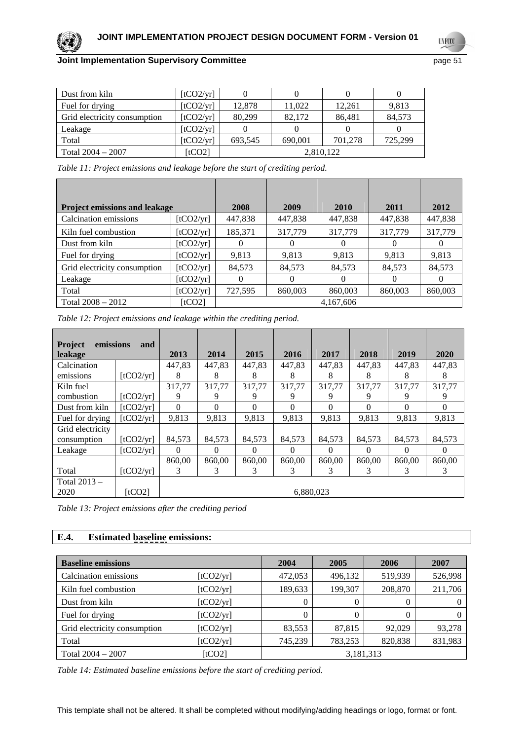**UNFCCC** 

| Dust from kiln               | [tCO2/yr] |           |         |         |         |  |  |
|------------------------------|-----------|-----------|---------|---------|---------|--|--|
| Fuel for drying              | [tCO2/yr] | 12,878    | 11.022  | 12.261  | 9,813   |  |  |
| Grid electricity consumption | [tCO2/yr] | 80,299    | 82,172  | 86.481  | 84,573  |  |  |
| Leakage                      | [tCO2/yr] |           |         |         |         |  |  |
| Total                        | [tCO2/yr] | 693,545   | 690.001 | 701.278 | 725,299 |  |  |
| Total $2004 - 2007$          | [tCO2]    | 2,810,122 |         |         |         |  |  |

| <b>Project emissions and leakage</b> |           | 2008    | 2009     | 2010      | 2011     | 2012    |
|--------------------------------------|-----------|---------|----------|-----------|----------|---------|
| Calcination emissions                | [tCO2/yr] | 447,838 | 447,838  | 447,838   | 447,838  | 447,838 |
| Kiln fuel combustion                 | [tCO2/yr] | 185,371 | 317,779  | 317,779   | 317,779  | 317,779 |
| Dust from kiln                       | [tCO2/yr] | 0       |          |           | $\Omega$ |         |
| Fuel for drying                      | [tCO2/yr] | 9,813   | 9,813    | 9,813     | 9,813    | 9,813   |
| Grid electricity consumption         | [tCO2/yr] | 84,573  | 84,573   | 84,573    | 84,573   | 84,573  |
| Leakage                              | [tCO2/yr] | 0       | $\Omega$ |           | $\Omega$ |         |
| Total                                | [tCO2/yr] | 727,595 | 860,003  | 860,003   | 860,003  | 860,003 |
| Total $2008 - 2012$                  | [tCO2]    |         |          | 4.167.606 |          |         |

| Table 12: Project emissions and leakage within the crediting period. |  |  |
|----------------------------------------------------------------------|--|--|
|----------------------------------------------------------------------|--|--|

| emissions<br><b>Project</b> | and       |          |           |          |          |          |          |          |          |  |
|-----------------------------|-----------|----------|-----------|----------|----------|----------|----------|----------|----------|--|
| leakage                     |           | 2013     | 2014      | 2015     | 2016     | 2017     | 2018     | 2019     | 2020     |  |
| Calcination                 |           | 447,83   | 447,83    | 447,83   | 447,83   | 447,83   | 447,83   | 447,83   | 447,83   |  |
| emissions                   | [tCO2/yr] | 8        | 8         | 8        | 8        | 8        | 8        | 8        | 8        |  |
| Kiln fuel                   |           | 317,77   | 317,77    | 317,77   | 317,77   | 317,77   | 317,77   | 317,77   | 317,77   |  |
| combustion                  | [tCO2/yr] | 9        | 9         | 9        |          | 9        |          | 9        |          |  |
| Dust from kiln              | [tCO2/yr] | $\Omega$ | $\Omega$  | 0        | 0        | 0        | 0        | 0        | 0        |  |
| Fuel for drying             | [tCO2/yr] | 9,813    | 9,813     | 9,813    | 9,813    | 9,813    | 9,813    | 9,813    | 9,813    |  |
| Grid electricity            |           |          |           |          |          |          |          |          |          |  |
| consumption                 | [tCO2/yr] | 84,573   | 84,573    | 84,573   | 84,573   | 84,573   | 84.573   | 84.573   | 84.573   |  |
| Leakage                     | [tCO2/yr] | $\Omega$ | $\theta$  | $\Omega$ | $\Omega$ | $\Omega$ | $\Omega$ | $\theta$ | $\theta$ |  |
|                             |           | 860.00   | 860,00    | 860.00   | 860.00   | 860.00   | 860.00   | 860.00   | 860,00   |  |
| Total                       | [tCO2/yr] | 3        | 3         | 3        | 3        | 3        | 3        | 3        | 3        |  |
| Total $2013 -$              |           |          |           |          |          |          |          |          |          |  |
| 2020                        | [tCO2]    |          | 6.880.023 |          |          |          |          |          |          |  |

*Table 13: Project emissions after the crediting period* 

# **E.4. Estimated baseline emissions:**

| <b>Baseline emissions</b>    |           | 2004    | 2005      | 2006    | 2007    |
|------------------------------|-----------|---------|-----------|---------|---------|
| Calcination emissions        | [tCO2/yr] | 472,053 | 496,132   | 519,939 | 526,998 |
| Kiln fuel combustion         | [tCO2/yr] | 189,633 | 199,307   | 208,870 | 211,706 |
| Dust from kiln               | [tCO2/yr] | 0       | 0         | 0       |         |
| Fuel for drying              | [tCO2/yr] |         | 0         | 0       |         |
| Grid electricity consumption | [tCO2/yr] | 83,553  | 87,815    | 92,029  | 93,278  |
| Total                        | [tCO2/yr] | 745,239 | 783,253   | 820,838 | 831,983 |
| Total $2004 - 2007$          | [tCO2]    |         | 3,181,313 |         |         |

*Table 14: Estimated baseline emissions before the start of crediting period.*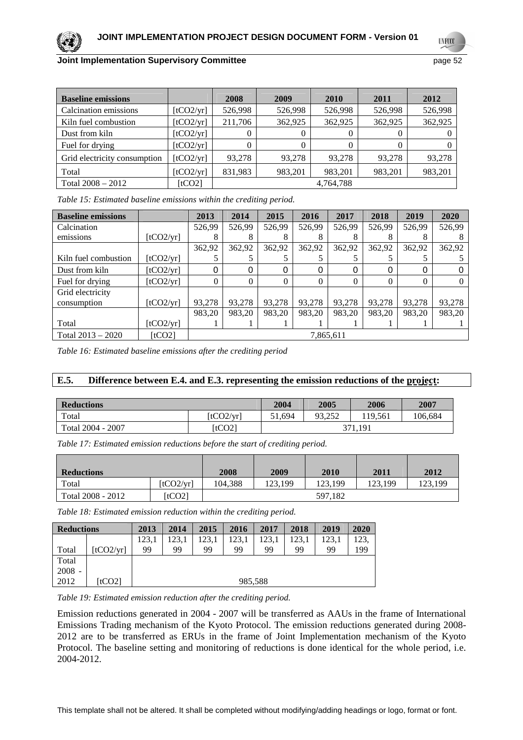**UNFCC** 

| <b>Baseline emissions</b>    |           | 2008      | 2009    | <b>2010</b> | 2011     | 2012    |  |
|------------------------------|-----------|-----------|---------|-------------|----------|---------|--|
| Calcination emissions        | [tCO2/yr] | 526,998   | 526,998 | 526,998     | 526,998  | 526,998 |  |
| Kiln fuel combustion         | [tCO2/yr] | 211,706   | 362,925 | 362,925     | 362,925  | 362,925 |  |
| Dust from kiln               | [tCO2/yr] |           | 0       | $\left($    | $\theta$ |         |  |
| Fuel for drying              | [tCO2/yr] | 0         | 0       | 0           | $^{(1)}$ |         |  |
| Grid electricity consumption | [tCO2/yr] | 93,278    | 93,278  | 93,278      | 93,278   | 93,278  |  |
| Total                        | [tCO2/yr] | 831,983   | 983,201 | 983,201     | 983,201  | 983,201 |  |
| Total $2008 - 2012$          | [tCO2]    | 4,764,788 |         |             |          |         |  |

*Table 15: Estimated baseline emissions within the crediting period.* 

| <b>Baseline emissions</b> |           | 2013     | 2014      | 2015     | 2016   | 2017   | 2018   | 2019   | 2020   |
|---------------------------|-----------|----------|-----------|----------|--------|--------|--------|--------|--------|
| Calcination               |           | 526,99   | 526,99    | 526,99   | 526,99 | 526,99 | 526,99 | 526,99 | 526,99 |
| emissions                 | [tCO2/yr] |          |           |          | δ      | δ      |        |        |        |
|                           |           | 362,92   | 362,92    | 362,92   | 362,92 | 362,92 | 362,92 | 362,92 | 362,92 |
| Kiln fuel combustion      | [tCO2/yr] |          |           |          |        |        |        |        |        |
| Dust from kiln            | [tCO2/yr] | 0        | 0         | 0        | 0      | 0      | 0      |        |        |
| Fuel for drying           | [tCO2/yr] | $\Omega$ | 0         | $\Omega$ | 0      | 0      | 0      |        |        |
| Grid electricity          |           |          |           |          |        |        |        |        |        |
| consumption               | [tCO2/yr] | 93,278   | 93,278    | 93,278   | 93.278 | 93,278 | 93.278 | 93.278 | 93,278 |
|                           |           | 983,20   | 983,20    | 983,20   | 983,20 | 983,20 | 983,20 | 983,20 | 983,20 |
| Total                     | [tCO2/yr] |          |           |          |        |        |        |        |        |
| Total $2013 - 2020$       | [tCO2]    |          | 7,865,611 |          |        |        |        |        |        |

*Table 16: Estimated baseline emissions after the crediting period* 

# **E.5. Difference between E.4. and E.3. representing the emission reductions of the project:**

| <b>Reductions</b> | 2004      | 2005    | 2006   | 2007   |         |  |
|-------------------|-----------|---------|--------|--------|---------|--|
| Total             | [tCO2/yr] | 51.694  | 93.252 | 19.561 | 106.684 |  |
| Total 2004 - 2007 | [tCO2]    | 371.191 |        |        |         |  |

*Table 17: Estimated emission reductions before the start of crediting period.* 

| <b>Reductions</b> |           | 2008    | 2009    | 2010    | 2011    | 2012    |
|-------------------|-----------|---------|---------|---------|---------|---------|
| Total             | [tCO2/yr] | 104.388 | 123.199 | 123.199 | 123.199 | 123.199 |
| Total 2008 - 2012 | [tCO2]    |         |         | 597.182 |         |         |

*Table 18: Estimated emission reduction within the crediting period.* 

| <b>Reductions</b> |           | 2013    | 2014  | 2015  | 2016  | 2017  | 2018  | 2019  | 2020 |
|-------------------|-----------|---------|-------|-------|-------|-------|-------|-------|------|
|                   |           | 123,1   | 123.1 | 123.1 | 123.1 | 123.1 | 123,1 | 123,1 | 123, |
| Total             | [tCO2/yr] | 99      | 99    | 99    | 99    | 99    | 99    | 99    | 199  |
| Total             |           |         |       |       |       |       |       |       |      |
| $2008 -$          |           |         |       |       |       |       |       |       |      |
| 2012              | [tCO2]    | 985,588 |       |       |       |       |       |       |      |

*Table 19: Estimated emission reduction after the crediting period.* 

Emission reductions generated in 2004 - 2007 will be transferred as AAUs in the frame of International Emissions Trading mechanism of the Kyoto Protocol. The emission reductions generated during 2008- 2012 are to be transferred as ERUs in the frame of Joint Implementation mechanism of the Kyoto Protocol. The baseline setting and monitoring of reductions is done identical for the whole period, i.e. 2004-2012.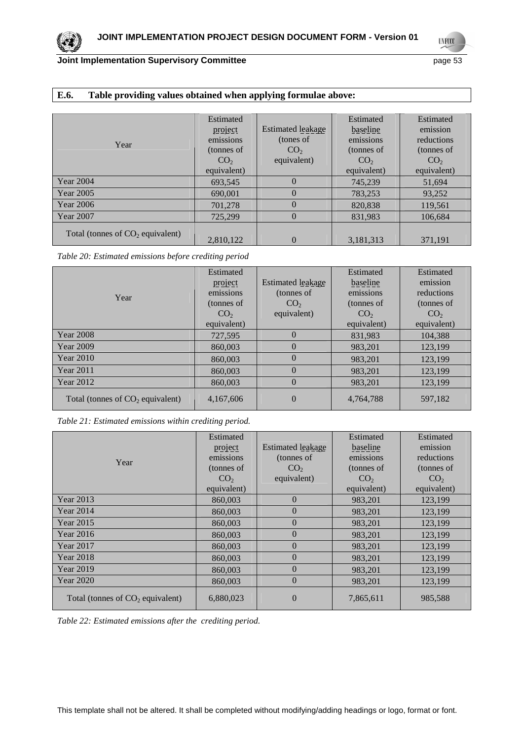# **E.6. Table providing values obtained when applying formulae above:**

| Year                               | Estimated<br>project<br>emissions<br>(tonnes of<br>CO <sub>2</sub><br>equivalent) | Estimated leakage<br>(tones of<br>CO <sub>2</sub><br>equivalent) | Estimated<br>baseline<br>emissions<br>(tonnes of<br>CO <sub>2</sub><br>equivalent) | Estimated<br>emission<br>reductions<br>(tonnes of<br>CO <sub>2</sub><br>equivalent) |
|------------------------------------|-----------------------------------------------------------------------------------|------------------------------------------------------------------|------------------------------------------------------------------------------------|-------------------------------------------------------------------------------------|
| <b>Year 2004</b>                   | 693,545                                                                           | $\theta$                                                         | 745,239                                                                            | 51,694                                                                              |
| Year 2005                          | 690,001                                                                           | $\theta$                                                         | 783,253                                                                            | 93,252                                                                              |
| <b>Year 2006</b>                   | 701,278                                                                           | 0                                                                | 820,838                                                                            | 119,561                                                                             |
| Year 2007                          | 725,299                                                                           | 0                                                                | 831,983                                                                            | 106,684                                                                             |
| Total (tonnes of $CO2$ equivalent) | 2,810,122                                                                         | $\theta$                                                         | 3,181,313                                                                          | 371,191                                                                             |

*Table 20: Estimated emissions before crediting period* 

|                                    | Estimated       |                   | Estimated       | Estimated       |
|------------------------------------|-----------------|-------------------|-----------------|-----------------|
|                                    | project         | Estimated leakage | baseline        | emission        |
| Year                               | emissions       | (tonnes of        | emissions       | reductions      |
|                                    | (tonnes of      | CO <sub>2</sub>   | (tonnes of      | (tonnes of      |
|                                    | CO <sub>2</sub> | equivalent)       | CO <sub>2</sub> | CO <sub>2</sub> |
|                                    | equivalent)     |                   | equivalent)     | equivalent)     |
| <b>Year 2008</b>                   | 727,595         | $\Omega$          | 831,983         | 104,388         |
| <b>Year 2009</b>                   | 860,003         | $\theta$          | 983.201         | 123,199         |
| <b>Year 2010</b>                   | 860,003         | $\theta$          | 983,201         | 123,199         |
| <b>Year 2011</b>                   | 860,003         | $\Omega$          | 983,201         | 123,199         |
| <b>Year 2012</b>                   | 860,003         | $\Omega$          | 983,201         | 123,199         |
| Total (tonnes of $CO2$ equivalent) | 4, 167, 606     | $\theta$          | 4,764,788       | 597,182         |

*Table 21: Estimated emissions within crediting period.* 

|                                    | Estimated       |                   | Estimated       | Estimated       |
|------------------------------------|-----------------|-------------------|-----------------|-----------------|
|                                    | project         | Estimated leakage | baseline        | emission        |
| Year                               | emissions       | (tonnes of        | emissions       | reductions      |
|                                    | (tonnes of      | CO <sub>2</sub>   | (tonnes of      | (tonnes of      |
|                                    | CO <sub>2</sub> | equivalent)       | CO <sub>2</sub> | CO <sub>2</sub> |
|                                    | equivalent)     |                   | equivalent)     | equivalent)     |
| Year 2013                          | 860,003         | $\theta$          | 983,201         | 123,199         |
| Year 2014                          | 860,003         | $\overline{0}$    | 983,201         | 123,199         |
| <b>Year 2015</b>                   | 860,003         | $\theta$          | 983,201         | 123,199         |
| Year 2016                          | 860,003         | $\overline{0}$    | 983,201         | 123,199         |
| Year 2017                          | 860,003         | $\Omega$          | 983,201         | 123,199         |
| Year 2018                          | 860,003         | $\overline{0}$    | 983,201         | 123,199         |
| <b>Year 2019</b>                   | 860,003         | $\overline{0}$    | 983.201         | 123,199         |
| Year 2020                          | 860,003         | $\overline{0}$    | 983,201         | 123,199         |
| Total (tonnes of $CO2$ equivalent) | 6,880,023       | $\overline{0}$    | 7,865,611       | 985,588         |

*Table 22: Estimated emissions after the crediting period.* 

**UNFCCC**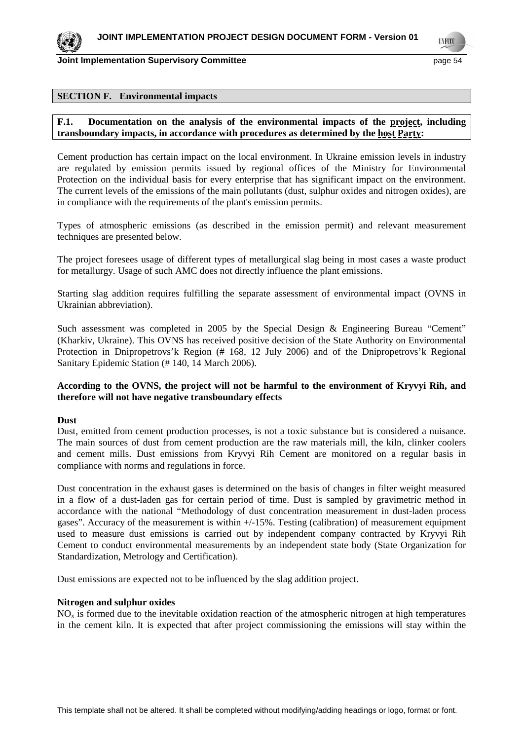**Joint Implementation Supervisory Committee According to the Committee of the Committee Committee According to the Committee According to the Committee According to the Committee According to the Committee According to the** 

**TNF00** 

#### **SECTION F. Environmental impacts**

# **F.1. Documentation on the analysis of the environmental impacts of the project, including transboundary impacts, in accordance with procedures as determined by the host Party:**

Cement production has certain impact on the local environment. In Ukraine emission levels in industry are regulated by emission permits issued by regional offices of the Ministry for Environmental Protection on the individual basis for every enterprise that has significant impact on the environment. The current levels of the emissions of the main pollutants (dust, sulphur oxides and nitrogen oxides), are in compliance with the requirements of the plant's emission permits.

Types of atmospheric emissions (as described in the emission permit) and relevant measurement techniques are presented below.

The project foresees usage of different types of metallurgical slag being in most cases a waste product for metallurgy. Usage of such AMC does not directly influence the plant emissions.

Starting slag addition requires fulfilling the separate assessment of environmental impact (OVNS in Ukrainian abbreviation).

Such assessment was completed in 2005 by the Special Design & Engineering Bureau "Cement" (Kharkiv, Ukraine). This OVNS has received positive decision of the State Authority on Environmental Protection in Dnipropetrovs'k Region (# 168, 12 July 2006) and of the Dnipropetrovs'k Regional Sanitary Epidemic Station (# 140, 14 March 2006).

# **According to the OVNS, the project will not be harmful to the environment of Kryvyi Rih, and therefore will not have negative transboundary effects**

# **Dust**

Dust, emitted from cement production processes, is not a toxic substance but is considered a nuisance. The main sources of dust from cement production are the raw materials mill, the kiln, clinker coolers and cement mills. Dust emissions from Kryvyi Rih Cement are monitored on a regular basis in compliance with norms and regulations in force.

Dust concentration in the exhaust gases is determined on the basis of changes in filter weight measured in a flow of a dust-laden gas for certain period of time. Dust is sampled by gravimetric method in accordance with the national "Methodology of dust concentration measurement in dust-laden process gases". Accuracy of the measurement is within +/-15%. Testing (calibration) of measurement equipment used to measure dust emissions is carried out by independent company contracted by Kryvyi Rih Cement to conduct environmental measurements by an independent state body (State Organization for Standardization, Metrology and Certification).

Dust emissions are expected not to be influenced by the slag addition project.

#### **Nitrogen and sulphur oxides**

NOx is formed due to the inevitable oxidation reaction of the atmospheric nitrogen at high temperatures in the cement kiln. It is expected that after project commissioning the emissions will stay within the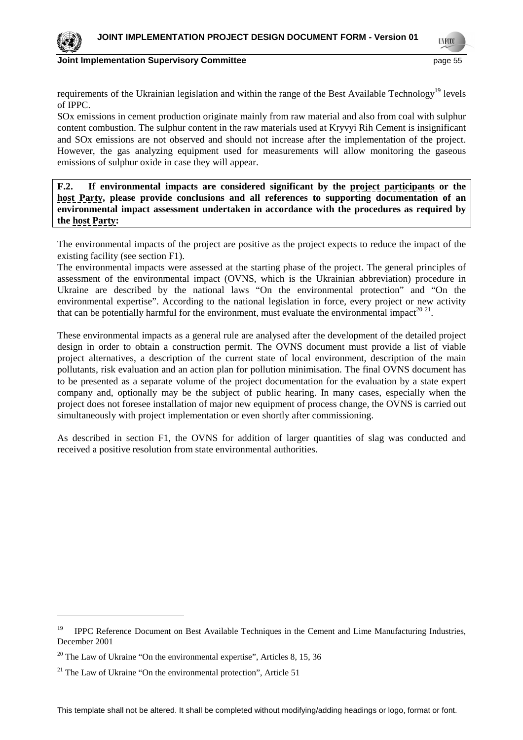

**Joint Implementation Supervisory Committee According the Control of the Control of the Control of the Control of the Control of the Control of the Control of the Control of the Control of the Control of the Control of the** 

requirements of the Ukrainian legislation and within the range of the Best Available Technology<sup>19</sup> levels of IPPC.

SOx emissions in cement production originate mainly from raw material and also from coal with sulphur content combustion. The sulphur content in the raw materials used at Kryvyi Rih Cement is insignificant and SOx emissions are not observed and should not increase after the implementation of the project. However, the gas analyzing equipment used for measurements will allow monitoring the gaseous emissions of sulphur oxide in case they will appear.

**F.2. If environmental impacts are considered significant by the project participants or the host Party, please provide conclusions and all references to supporting documentation of an environmental impact assessment undertaken in accordance with the procedures as required by the host Party:** 

The environmental impacts of the project are positive as the project expects to reduce the impact of the existing facility (see section F1).

The environmental impacts were assessed at the starting phase of the project. The general principles of assessment of the environmental impact (OVNS, which is the Ukrainian abbreviation) procedure in Ukraine are described by the national laws "On the environmental protection" and "On the environmental expertise". According to the national legislation in force, every project or new activity that can be potentially harmful for the environment, must evaluate the environmental impact<sup>20 21</sup>.

These environmental impacts as a general rule are analysed after the development of the detailed project design in order to obtain a construction permit. The OVNS document must provide a list of viable project alternatives, a description of the current state of local environment, description of the main pollutants, risk evaluation and an action plan for pollution minimisation. The final OVNS document has to be presented as a separate volume of the project documentation for the evaluation by a state expert company and, optionally may be the subject of public hearing. In many cases, especially when the project does not foresee installation of major new equipment of process change, the OVNS is carried out simultaneously with project implementation or even shortly after commissioning.

As described in section F1, the OVNS for addition of larger quantities of slag was conducted and received a positive resolution from state environmental authorities.

<sup>&</sup>lt;sup>19</sup> IPPC Reference Document on Best Available Techniques in the Cement and Lime Manufacturing Industries, December 2001

 $20$  The Law of Ukraine "On the environmental expertise", Articles 8, 15, 36

 $21$  The Law of Ukraine "On the environmental protection", Article 51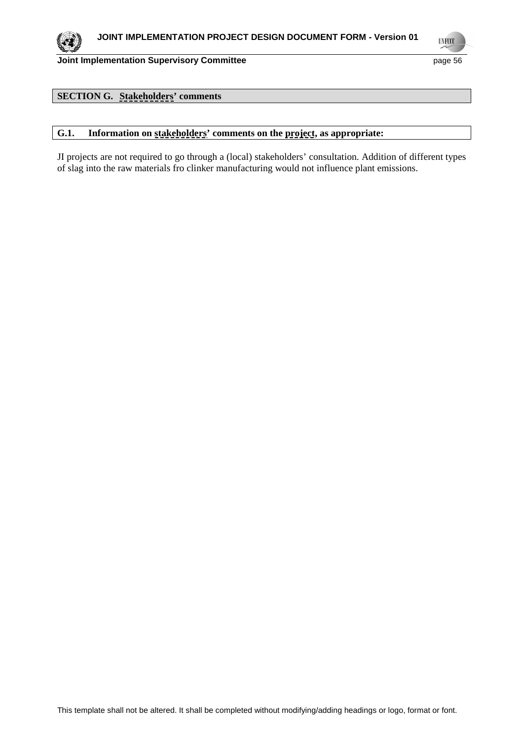**UNFCCC** 

# **SECTION G. Stakeholders' comments**

# **G.1. Information on stakeholders' comments on the project, as appropriate:**

JI projects are not required to go through a (local) stakeholders' consultation. Addition of different types of slag into the raw materials fro clinker manufacturing would not influence plant emissions.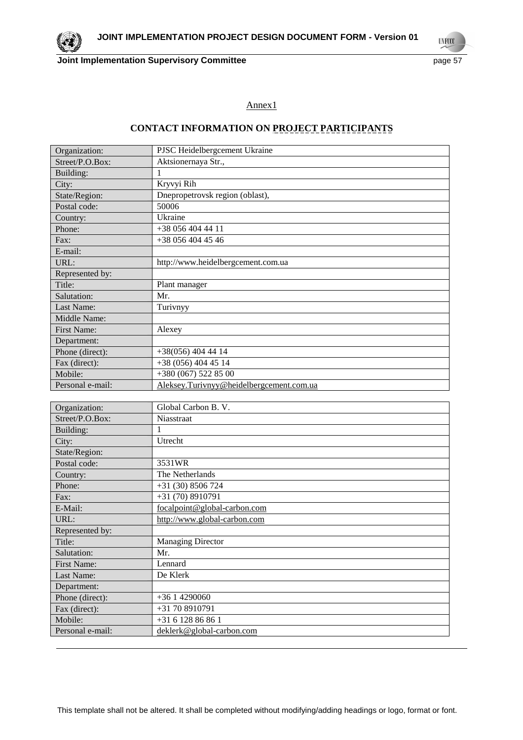

**UNFCCC** 

# Annex1

# **CONTACT INFORMATION ON PROJECT PARTICIPANTS**

| Organization:      | PJSC Heidelbergcement Ukraine            |
|--------------------|------------------------------------------|
| Street/P.O.Box:    | Aktsionernaya Str.,                      |
| Building:          | 1                                        |
| City:              | Kryvyi Rih                               |
| State/Region:      | Dnepropetrovsk region (oblast),          |
| Postal code:       | 50006                                    |
| Country:           | Ukraine                                  |
| Phone:             | $+380564044411$                          |
| Fax:               | +38 056 404 45 46                        |
| E-mail:            |                                          |
| URL:               | http://www.heidelbergcement.com.ua       |
| Represented by:    |                                          |
| Title:             | Plant manager                            |
| Salutation:        | Mr.                                      |
| Last Name:         | Turivnyy                                 |
| Middle Name:       |                                          |
| <b>First Name:</b> | Alexey                                   |
| Department:        |                                          |
| Phone (direct):    | $+38(056)$ 404 44 14                     |
| Fax (direct):      | $+38(056)$ 404 45 14                     |
| Mobile:            | +380 (067) 522 85 00                     |
| Personal e-mail:   | Aleksey.Turivnyy@heidelbergcement.com.ua |
|                    |                                          |
|                    |                                          |

| Organization:      | Global Carbon B. V.          |
|--------------------|------------------------------|
| Street/P.O.Box:    | Niasstraat                   |
| Building:          |                              |
| City:              | Utrecht                      |
| State/Region:      |                              |
| Postal code:       | 3531WR                       |
| Country:           | The Netherlands              |
| Phone:             | $+31(30)8506724$             |
| Fax:               | $+31(70)8910791$             |
| E-Mail:            | focalpoint@global-carbon.com |
| URL:               | http://www.global-carbon.com |
| Represented by:    |                              |
| Title:             | <b>Managing Director</b>     |
| Salutation:        | Mr.                          |
| <b>First Name:</b> | Lennard                      |
| Last Name:         | De Klerk                     |
| Department:        |                              |
| Phone (direct):    | $+3614290060$                |
| Fax (direct):      | +31 70 8910791               |
| Mobile:            | +31 6 128 86 86 1            |
| Personal e-mail:   | deklerk@global-carbon.com    |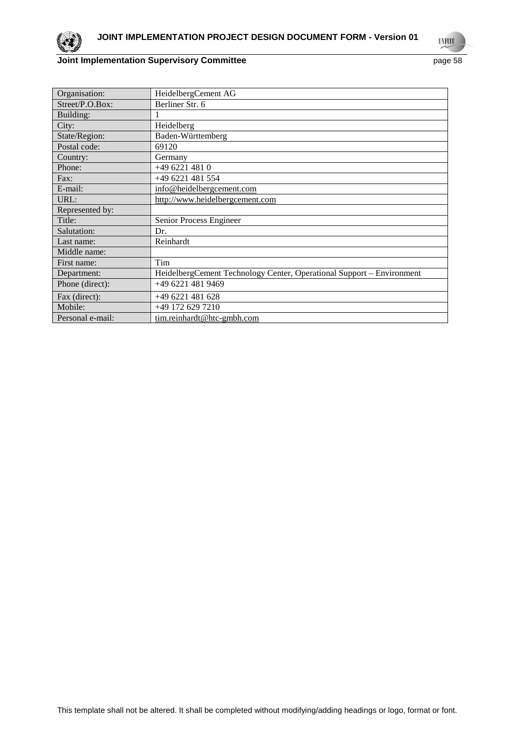

**UNFCCC** 

# **Joint Implementation Supervisory Committee** page 58

| Organisation:    | HeidelbergCement AG                                                   |
|------------------|-----------------------------------------------------------------------|
| Street/P.O.Box:  | Berliner Str. 6                                                       |
| Building:        |                                                                       |
| City:            | Heidelberg                                                            |
| State/Region:    | Baden-Württemberg                                                     |
| Postal code:     | 69120                                                                 |
| Country:         | Germany                                                               |
| Phone:           | +49 6221 481 0                                                        |
| Fax:             | +49 6221 481 554                                                      |
| E-mail:          | info@heidelbergcement.com                                             |
| URL:             | http://www.heidelbergcement.com                                       |
| Represented by:  |                                                                       |
| Title:           | Senior Process Engineer                                               |
| Salutation:      | Dr.                                                                   |
| Last name:       | Reinhardt                                                             |
| Middle name:     |                                                                       |
| First name:      | Tim                                                                   |
| Department:      | HeidelbergCement Technology Center, Operational Support – Environment |
| Phone (direct):  | +49 6221 481 9469                                                     |
| Fax (direct):    | $+496221481628$                                                       |
| Mobile:          | +49 172 629 7210                                                      |
| Personal e-mail: | tim.reinhardt@htc-gmbh.com                                            |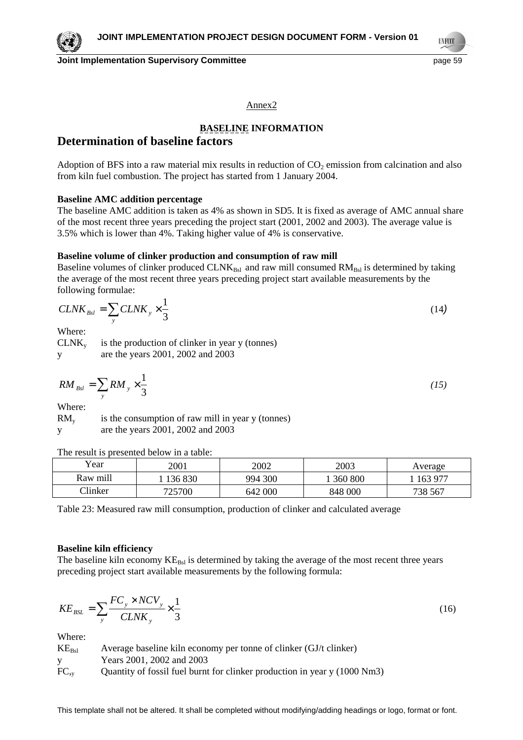**Joint Implementation Supervisory Committee Access 2008 12 and 2009 12 and 2009 13 and 2009 13 and 2009 13 and 200** 

**TNF00** 

#### Annex2

# **BASELINE INFORMATION**

# **Determination of baseline factors**

Adoption of BFS into a raw material mix results in reduction of  $CO<sub>2</sub>$  emission from calcination and also from kiln fuel combustion. The project has started from 1 January 2004.

#### **Baseline AMC addition percentage**

The baseline AMC addition is taken as 4% as shown in SD5. It is fixed as average of AMC annual share of the most recent three years preceding the project start (2001, 2002 and 2003). The average value is 3.5% which is lower than 4%. Taking higher value of 4% is conservative.

# **Baseline volume of clinker production and consumption of raw mill**

Baseline volumes of clinker produced  $CLNK_{Bsl}$  and raw mill consumed  $RM_{Bsl}$  is determined by taking the average of the most recent three years preceding project start available measurements by the following formulae:

$$
CLNK_{\text{Bsl}} = \sum_{y} CLNK_{y} \times \frac{1}{3}
$$
 (14)

Where:

 $CLNK<sub>v</sub>$  is the production of clinker in year y (tonnes) y are the years 2001, 2002 and 2003

$$
RM_{Bsl} = \sum_{y} RM_y \times \frac{1}{3} \tag{15}
$$

Where:

 $RM<sub>v</sub>$  is the consumption of raw mill in year y (tonnes) y are the years 2001, 2002 and 2003

The result is presented below in a table:

| Year            | 2001    | 2002    | 2003    | Average |
|-----------------|---------|---------|---------|---------|
| Raw mill        | 136 830 | 994 300 | 360 800 | 163 977 |
| $\gamma$ linker | 725700  | 642 000 | 848 000 | 738 567 |

Table 23: Measured raw mill consumption, production of clinker and calculated average

#### **Baseline kiln efficiency**

The baseline kiln economy  $KE_{\text{Bsl}}$  is determined by taking the average of the most recent three years preceding project start available measurements by the following formula:

$$
KE_{BSL} = \sum_{y} \frac{FC_{y} \times NCV_{y}}{CLNK_{y}} \times \frac{1}{3}
$$
 (16)

| $KE_{Bsl}$ | Average baseline kiln economy per tonne of clinker (GJ/t clinker)         |
|------------|---------------------------------------------------------------------------|
|            | Years 2001, 2002 and 2003                                                 |
| $FC_{,v}$  | Quantity of fossil fuel burnt for clinker production in year y (1000 Nm3) |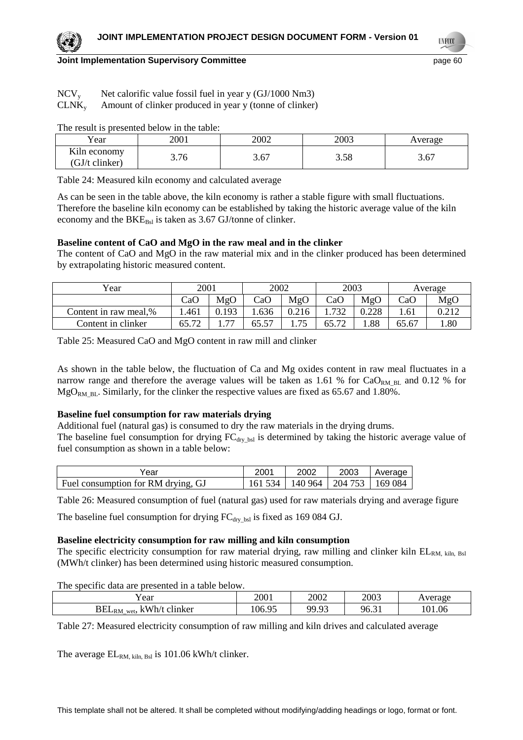# **Joint Implementation Supervisory Committee Access 2008 120 and 2009 120 and 2009 120 and 2009 120 and 2009 120**

| $\rm{NCV}_{v}$ |  | Net calorific value fossil fuel in year y (GJ/1000 Nm3) |
|----------------|--|---------------------------------------------------------|
|                |  |                                                         |

# $CLNK<sub>y</sub>$  Amount of clinker produced in year y (tonne of clinker)

The result is presented below in the table:

| Year                                                        | 2001       | 2002 | 2003        | verage                |
|-------------------------------------------------------------|------------|------|-------------|-----------------------|
| T <i>T</i> * 1<br>K <sub>1</sub> h economy<br>GJ/t clinker) | 76<br>3.70 | 3.67 | 200<br>J.J0 | $\sim$ $\sim$<br>J.U. |

Table 24: Measured kiln economy and calculated average

As can be seen in the table above, the kiln economy is rather a stable figure with small fluctuations. Therefore the baseline kiln economy can be established by taking the historic average value of the kiln economy and the  $BKE_{Bsl}$  is taken as 3.67 GJ/tonne of clinker.

# **Baseline content of CaO and MgO in the raw meal and in the clinker**

The content of CaO and MgO in the raw material mix and in the clinker produced has been determined by extrapolating historic measured content.

| Year                  | 2001  |                          | 2002  |       | 2003  |       | Average |       |
|-----------------------|-------|--------------------------|-------|-------|-------|-------|---------|-------|
|                       | CaO   | MgO                      | CaO   | MgO   | CaC   | MgO   | CaO     | MgO   |
| Content in raw meal,% | .461  | 0.193                    | .636  | 0.216 | 732   | 0.228 | .61     | 0.212 |
| Content in clinker    | 65.72 | $\overline{\phantom{a}}$ | 65.57 | 75    | 65.72 | .88   | 65.67   | .80   |

Table 25: Measured CaO and MgO content in raw mill and clinker

As shown in the table below, the fluctuation of Ca and Mg oxides content in raw meal fluctuates in a narrow range and therefore the average values will be taken as 1.61 % for  $CaO<sub>RM-BL</sub>$  and 0.12 % for  $MgO_{RM\,BL}$ . Similarly, for the clinker the respective values are fixed as 65.67 and 1.80%.

# **Baseline fuel consumption for raw materials drying**

Additional fuel (natural gas) is consumed to dry the raw materials in the drying drums.

The baseline fuel consumption for drying  $FC<sub>dv</sub>$ <sub>bsl</sub> is determined by taking the historic average value of fuel consumption as shown in a table below:

| Year                               | 200 <sup>.</sup> | 2002                        | 2003 | Average |
|------------------------------------|------------------|-----------------------------|------|---------|
| Fuel consumption for RM drying, GJ | 161 534          | 140 964   204 753   169 084 |      |         |

Table 26: Measured consumption of fuel (natural gas) used for raw materials drying and average figure

The baseline fuel consumption for drying  $FC_{\text{dry}}$  bsl is fixed as 169 084 GJ.

# **Baseline electricity consumption for raw milling and kiln consumption**

The specific electricity consumption for raw material drying, raw milling and clinker kiln  $EL_{RM, kilm, Bsl}$ (MWh/t clinker) has been determined using historic measured consumption.

The specific data are presented in a table below.

| ′ear                                        | 2001   | 2002                 | 2003  | verage      |
|---------------------------------------------|--------|----------------------|-------|-------------|
| kWh/t<br>$BEL_{RM}$<br>clinker<br>м.<br>wet | 106.95 | <b>90 03</b><br>ン・ノン | 96.31 | 1.06<br>101 |

Table 27: Measured electricity consumption of raw milling and kiln drives and calculated average

The average  $EL_{RM, kilm, Bsl}$  is 101.06 kWh/t clinker.

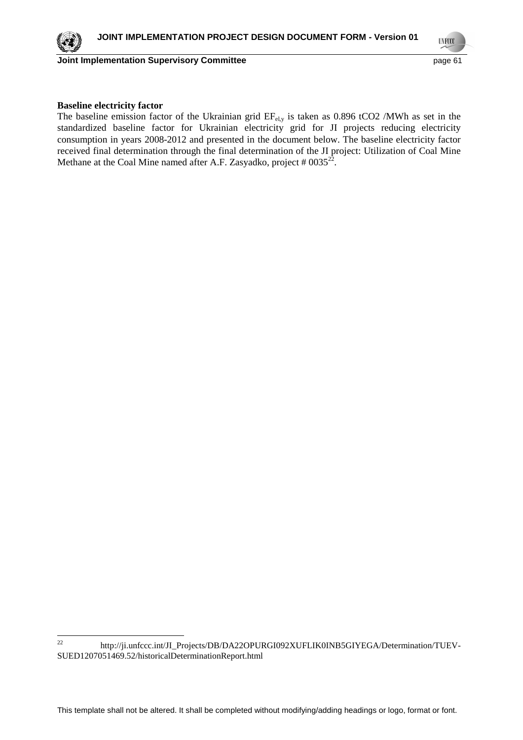**UNFCCC** 

# **Baseline electricity factor**

The baseline emission factor of the Ukrainian grid  $EF_{el,v}$  is taken as 0.896 tCO2 /MWh as set in the standardized baseline factor for Ukrainian electricity grid for JI projects reducing electricity consumption in years 2008-2012 and presented in the document below. The baseline electricity factor received final determination through the final determination of the JI project: Utilization of Coal Mine Methane at the Coal Mine named after A.F. Zasyadko, project  $#0035^{22}$ .

 $22$ http://ji.unfccc.int/JI\_Projects/DB/DA22OPURGI092XUFLIK0INB5GIYEGA/Determination/TUEV-SUED1207051469.52/historicalDeterminationReport.html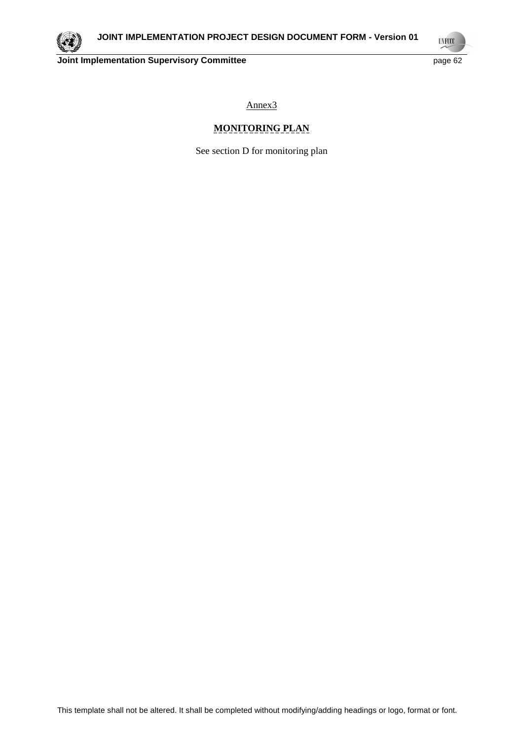

**UNFCCC** 

Annex3

# **MONITORING PLAN**

See section D for monitoring plan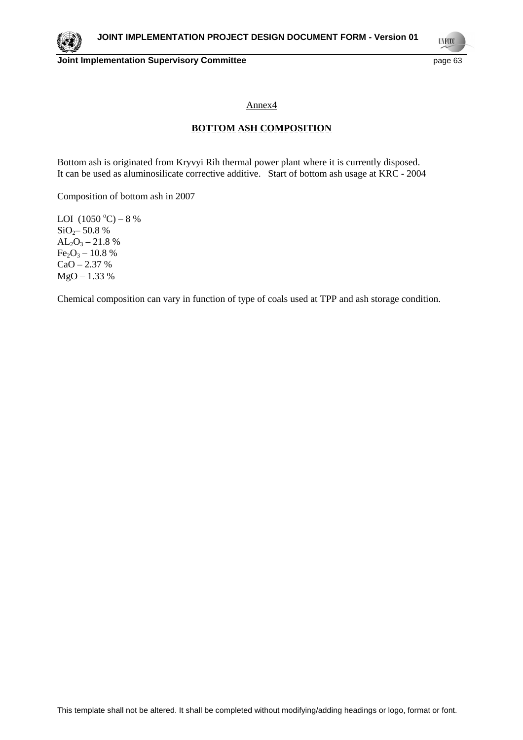

**UNFCCC** 

Annex4

# **BOTTOM ASH COMPOSITION**

Bottom ash is originated from Kryvyi Rih thermal power plant where it is currently disposed. It can be used as aluminosilicate corrective additive. Start of bottom ash usage at KRC - 2004

Composition of bottom ash in 2007

LOI  $(1050 °C) - 8 %$  $SiO<sub>2</sub>$ – 50.8 %  $AL_2O_3 - 21.8$ %  $Fe<sub>2</sub>O<sub>3</sub> - 10.8 %$  $CaO - 2.37 %$ MgO – 1.33 %

Chemical composition can vary in function of type of coals used at TPP and ash storage condition.